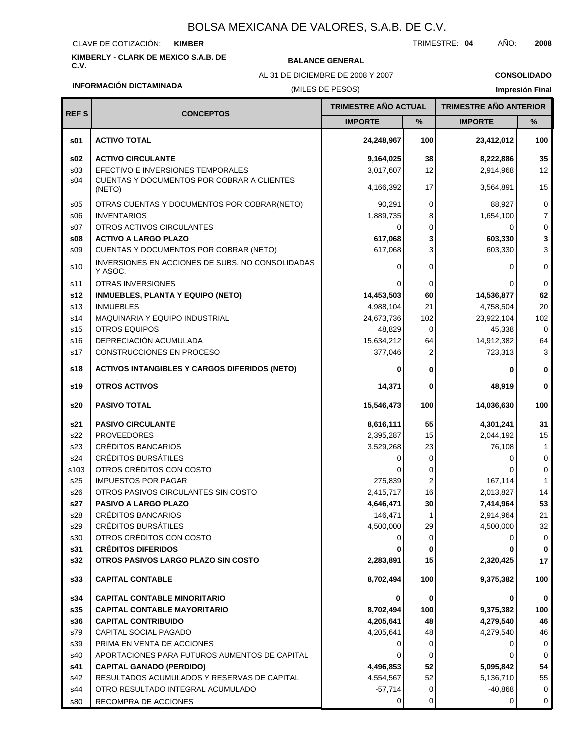#### CLAVE DE COTIZACIÓN: **KIMBER**

**KIMBERLY - CLARK DE MEXICO S.A.B. DE C.V. BALANCE GENERAL**

AL 31 DE DICIEMBRE DE 2008 Y 2007

**CONSOLIDADO**

### **INFORMACIÓN DICTAMINADA**

#### (MILES DE PESOS)

## **Impresión Final**

| <b>REFS</b>     | <b>CONCEPTOS</b>                                            | TRIMESTRE AÑO ACTUAL |          |                       | <b>TRIMESTRE AÑO ANTERIOR</b> |  |
|-----------------|-------------------------------------------------------------|----------------------|----------|-----------------------|-------------------------------|--|
|                 |                                                             | <b>IMPORTE</b>       | %        | <b>IMPORTE</b>        | $\%$                          |  |
| \$01            | <b>ACTIVO TOTAL</b>                                         | 24,248,967           | 100      | 23,412,012            | 100                           |  |
| \$02            | <b>ACTIVO CIRCULANTE</b>                                    | 9,164,025            | 38       | 8,222,886             | 35                            |  |
| s <sub>03</sub> | EFECTIVO E INVERSIONES TEMPORALES                           | 3,017,607            | 12       | 2,914,968             | 12                            |  |
| s04             | CUENTAS Y DOCUMENTOS POR COBRAR A CLIENTES<br>(NETO)        | 4,166,392            | 17       | 3,564,891             | 15                            |  |
| \$05            | OTRAS CUENTAS Y DOCUMENTOS POR COBRAR(NETO)                 | 90,291               | 0        | 88,927                | 0                             |  |
| \$06            | <b>INVENTARIOS</b>                                          | 1,889,735            | 8        | 1,654,100             | $\overline{7}$                |  |
| s <sub>07</sub> | OTROS ACTIVOS CIRCULANTES                                   | 0                    | 0        | 0                     | 0                             |  |
| \$08            | <b>ACTIVO A LARGO PLAZO</b>                                 | 617,068              | 3        | 603,330               | 3                             |  |
| \$09            | CUENTAS Y DOCUMENTOS POR COBRAR (NETO)                      | 617,068              | 3        | 603,330               | 3                             |  |
| s10             | INVERSIONES EN ACCIONES DE SUBS. NO CONSOLIDADAS<br>Y ASOC. | $\Omega$             | $\Omega$ | 0                     | 0                             |  |
| s11             | <b>OTRAS INVERSIONES</b>                                    |                      | 0        |                       | 0                             |  |
| s12             | <b>INMUEBLES, PLANTA Y EQUIPO (NETO)</b>                    | 14,453,503           | 60       | 14,536,877            | 62                            |  |
| s <sub>13</sub> | <b>INMUEBLES</b>                                            | 4,988,104            | 21       | 4,758,504             | 20                            |  |
| s14             | MAQUINARIA Y EQUIPO INDUSTRIAL                              | 24,673,736           | 102      | 23,922,104            | 102                           |  |
| s <sub>15</sub> | <b>OTROS EQUIPOS</b><br>DEPRECIACIÓN ACUMULADA              | 48,829<br>15,634,212 | 0        | 45,338                | 0                             |  |
| s16<br>s17      | CONSTRUCCIONES EN PROCESO                                   | 377,046              | 64<br>2  | 14,912,382<br>723,313 | 64<br>3                       |  |
| s18             | <b>ACTIVOS INTANGIBLES Y CARGOS DIFERIDOS (NETO)</b>        |                      | 0        | 0                     | 0                             |  |
| s19             | <b>OTROS ACTIVOS</b>                                        | 14,371               | 0        | 48,919                | 0                             |  |
|                 |                                                             |                      |          |                       |                               |  |
| s20             | <b>PASIVO TOTAL</b>                                         | 15,546,473           | 100      | 14,036,630            | 100                           |  |
| s21             | <b>PASIVO CIRCULANTE</b>                                    | 8,616,111            | 55       | 4,301,241             | 31                            |  |
| s22             | <b>PROVEEDORES</b>                                          | 2,395,287            | 15       | 2,044,192             | 15                            |  |
| s23<br>s24      | <b>CRÉDITOS BANCARIOS</b><br><b>CRÉDITOS BURSÁTILES</b>     | 3,529,268<br>0       | 23       | 76,108                | $\mathbf{1}$<br>$\mathbf 0$   |  |
| s103            | OTROS CRÉDITOS CON COSTO                                    |                      | 0<br>0   | 0<br>0                | $\pmb{0}$                     |  |
| s25             | <b>IMPUESTOS POR PAGAR</b>                                  | 275,839              | 2        | 167,114               | $\mathbf 1$                   |  |
| s26             | OTROS PASIVOS CIRCULANTES SIN COSTO                         | 2,415,717            | 16       | 2,013,827             | 14                            |  |
| s27             | <b>PASIVO A LARGO PLAZO</b>                                 | 4,646,471            | 30       | 7,414,964             | 53                            |  |
| s28             | <b>CRÉDITOS BANCARIOS</b>                                   | 146,471              | 1        | 2,914,964             | 21                            |  |
| s29             | <b>CRÉDITOS BURSÁTILES</b>                                  | 4,500,000            | 29       | 4,500,000             | 32                            |  |
| s30             | OTROS CRÉDITOS CON COSTO                                    |                      | 0        | 0                     | 0                             |  |
| s31             | <b>CRÉDITOS DIFERIDOS</b>                                   |                      | 0        |                       | 0                             |  |
| s32             | OTROS PASIVOS LARGO PLAZO SIN COSTO                         | 2,283,891            | 15       | 2,320,425             | 17                            |  |
| s33             | <b>CAPITAL CONTABLE</b>                                     | 8,702,494            | 100      | 9,375,382             | 100                           |  |
| s34             | <b>CAPITAL CONTABLE MINORITARIO</b>                         | 0                    | 0        | 0                     | 0                             |  |
| s35             | <b>CAPITAL CONTABLE MAYORITARIO</b>                         | 8,702,494            | 100      | 9,375,382             | 100                           |  |
| s36             | <b>CAPITAL CONTRIBUIDO</b>                                  | 4,205,641            | 48       | 4,279,540             | 46                            |  |
| s79             | CAPITAL SOCIAL PAGADO                                       | 4,205,641            | 48       | 4,279,540             | 46                            |  |
| s39             | PRIMA EN VENTA DE ACCIONES                                  |                      | 0        | 0                     | 0                             |  |
| s40             | APORTACIONES PARA FUTUROS AUMENTOS DE CAPITAL               |                      | 0        | 0                     | 0                             |  |
| s41             | <b>CAPITAL GANADO (PERDIDO)</b>                             | 4,496,853            | 52       | 5,095,842             | 54                            |  |
| s42             | RESULTADOS ACUMULADOS Y RESERVAS DE CAPITAL                 | 4,554,567            | 52       | 5,136,710             | 55                            |  |
| s44             | OTRO RESULTADO INTEGRAL ACUMULADO                           | $-57,714$            | 0        | $-40,868$             | 0                             |  |
| s80             | RECOMPRA DE ACCIONES                                        | 0                    | 0        | 0                     | 0                             |  |

TRIMESTRE: **04** AÑO: **2008**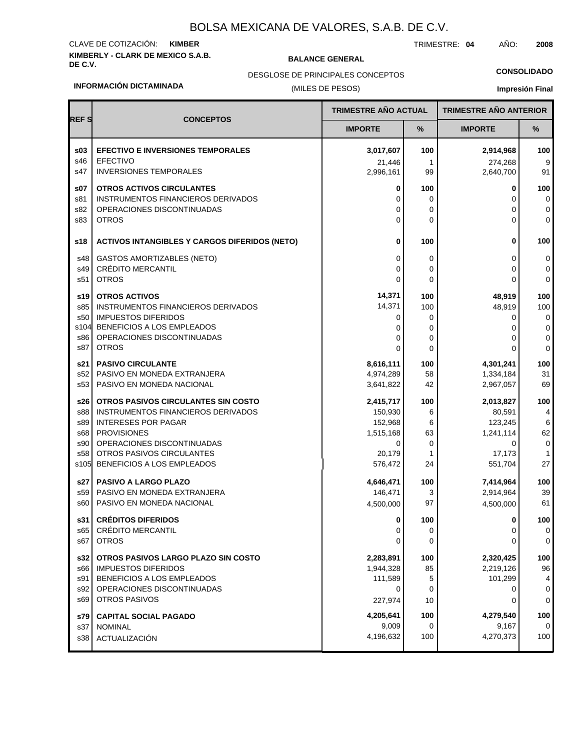## **KIMBERLY - CLARK DE MEXICO S.A.B.** CLAVE DE COTIZACIÓN: **KIMBER**

**REF S CONCEPTOS**

**EFECTIVO E INVERSIONES TEMPORALES**

### **BALANCE GENERAL**

TRIMESTRE: **04** AÑO: **2008**

**CONSOLIDADO**

DESGLOSE DE PRINCIPALES CONCEPTOS

#### **INFORMACIÓN DICTAMINADA**

**s03**

### (MILES DE

| FESOS)<br><b>Impresión Final</b> |                     |     |                               |         |
|----------------------------------|---------------------|-----|-------------------------------|---------|
| <b>TRIMESTRE AÑO ACTUAL</b>      |                     |     | <b>TRIMESTRE AÑO ANTERIOR</b> |         |
|                                  | <b>IMPORTE</b>      | %   | <b>IMPORTE</b>                | %       |
|                                  | 3,017,607           | 100 | 2,914,968                     | 100     |
|                                  | 21,446<br>2,996,161 | 99  | 274,268<br>2,640,700          | 9<br>91 |
|                                  | 0                   | 100 | 0                             | 100     |

| s46<br>s47      | <b>EFECTIVO</b><br><b>INVERSIONES TEMPORALES</b>     | 21,446<br>2,996,161 | $\mathbf{1}$<br>99 | 274,268<br>2,640,700 | 9<br>91        |
|-----------------|------------------------------------------------------|---------------------|--------------------|----------------------|----------------|
| \$07            | <b>OTROS ACTIVOS CIRCULANTES</b>                     | 0                   | 100                | $\mathbf 0$          | 100            |
| s81             | INSTRUMENTOS FINANCIEROS DERIVADOS                   | 0                   | 0                  | 0                    | 0              |
| s82             | OPERACIONES DISCONTINUADAS                           | 0                   | $\mathbf 0$        | 0                    | 0              |
| s83             | <b>OTROS</b>                                         | $\Omega$            | $\Omega$           | $\mathbf{0}$         | $\Omega$       |
| s18             | <b>ACTIVOS INTANGIBLES Y CARGOS DIFERIDOS (NETO)</b> | 0                   | 100                | 0                    | 100            |
| s48             | <b>GASTOS AMORTIZABLES (NETO)</b>                    | 0                   | 0                  | 0                    | $\pmb{0}$      |
| s49             | <b>CRÉDITO MERCANTIL</b>                             | 0                   | $\mathbf 0$        | 0                    | 0              |
| s51             | <b>OTROS</b>                                         | 0                   | $\Omega$           | $\Omega$             | 0              |
| s19             | <b>OTROS ACTIVOS</b>                                 | 14,371              | 100                | 48,919               | 100            |
| s85             | INSTRUMENTOS FINANCIEROS DERIVADOS                   | 14,371              | 100                | 48,919               | 100            |
| s50             | <b>IMPUESTOS DIFERIDOS</b>                           | 0                   | 0                  | 0                    | $\mathbf 0$    |
| s104            | BENEFICIOS A LOS EMPLEADOS                           | $\Omega$            | $\mathbf 0$        | $\mathbf 0$          | 0              |
| s86             | OPERACIONES DISCONTINUADAS                           | 0                   | 0                  | 0                    | 0              |
| s87             | <b>OTROS</b>                                         | $\Omega$            | 0                  | $\Omega$             | $\mathbf 0$    |
| s21             | <b>PASIVO CIRCULANTE</b>                             | 8,616,111           | 100                | 4,301,241            | 100            |
| s <sub>52</sub> | PASIVO EN MONEDA EXTRANJERA                          | 4,974,289           | 58                 | 1,334,184            | 31             |
| s53             | PASIVO EN MONEDA NACIONAL                            | 3,641,822           | 42                 | 2,967,057            | 69             |
| s26             | OTROS PASIVOS CIRCULANTES SIN COSTO                  | 2,415,717           | 100                | 2,013,827            | 100            |
| s88             | <b>INSTRUMENTOS FINANCIEROS DERIVADOS</b>            | 150,930             | 6                  | 80,591               | $\overline{4}$ |
| s89             | <b>INTERESES POR PAGAR</b>                           | 152,968             | 6                  | 123,245              | 6              |
| s68             | <b>PROVISIONES</b>                                   | 1,515,168           | 63                 | 1,241,114            | 62             |
| s90             | OPERACIONES DISCONTINUADAS                           | 0                   | $\mathbf 0$        | 0                    | 0              |
| s58             | OTROS PASIVOS CIRCULANTES                            | 20,179              | $\mathbf{1}$       | 17,173               | $\mathbf{1}$   |
| s105            | BENEFICIOS A LOS EMPLEADOS                           | 576,472             | 24                 | 551,704              | 27             |
| s27             | <b>PASIVO A LARGO PLAZO</b>                          | 4,646,471           | 100                | 7,414,964            | 100            |
| s <sub>59</sub> | PASIVO EN MONEDA EXTRANJERA                          | 146,471             | 3                  | 2,914,964            | 39             |
| s60             | PASIVO EN MONEDA NACIONAL                            | 4,500,000           | 97                 | 4,500,000            | 61             |
| s31             | <b>CRÉDITOS DIFERIDOS</b>                            | 0                   | 100                | 0                    | 100            |
| s65             | CRÉDITO MERCANTIL                                    | 0                   | 0                  | 0                    | 0              |
| s67             | <b>OTROS</b>                                         | $\Omega$            | $\Omega$           | $\Omega$             | $\mathbf 0$    |
| s32             | OTROS PASIVOS LARGO PLAZO SIN COSTO                  | 2,283,891           | 100                | 2,320,425            | 100            |
| s66             | <b>IMPUESTOS DIFERIDOS</b>                           | 1,944,328           | 85                 | 2,219,126            | 96             |
| s91             | BENEFICIOS A LOS EMPLEADOS                           | 111,589             | 5                  | 101,299              | 4              |
| s92             | OPERACIONES DISCONTINUADAS                           | $\Omega$            | 0                  | 0                    | 0              |
| s69             | <b>OTROS PASIVOS</b>                                 | 227,974             | 10                 | 0                    | $\mathbf 0$    |
| s79             | <b>CAPITAL SOCIAL PAGADO</b>                         | 4,205,641           | 100                | 4,279,540            | 100            |
| s37             | <b>NOMINAL</b>                                       | 9,009               | 0                  | 9,167                | 0              |
| s38             | ACTUALIZACIÓN                                        | 4,196,632           | 100                | 4,270,373            | 100            |
|                 |                                                      |                     |                    |                      |                |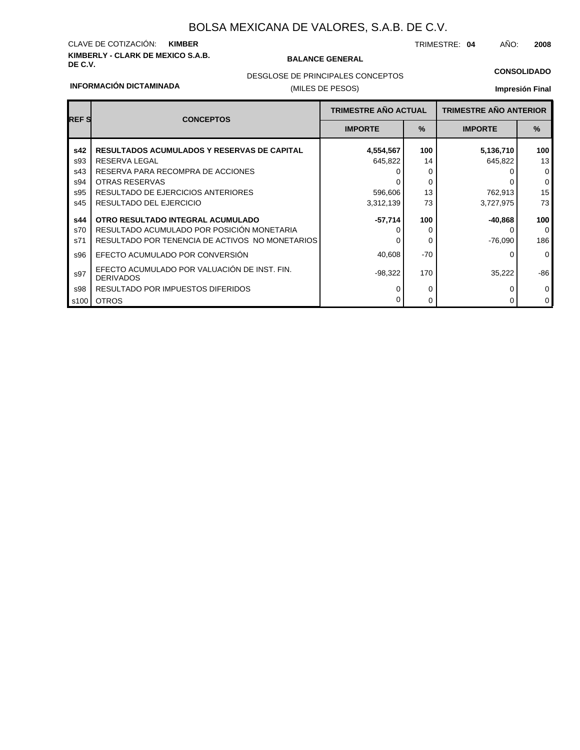## **KIMBERLY - CLARK DE MEXICO S.A.B.** CLAVE DE COTIZACIÓN: **KIMBER**

#### **BALANCE GENERAL**

TRIMESTRE: **04** AÑO: **2008**

## **CONSOLIDADO**

#### **INFORMACIÓN DICTAMINADA**

## DESGLOSE DE PRINCIPALES CONCEPTOS

### (MILES DE PESOS)

### **Impresión Final**

| <b>REF S</b> | <b>CONCEPTOS</b>                                                 | <b>TRIMESTRE AÑO ACTUAL</b> |               | <b>TRIMESTRE AÑO ANTERIOR</b> |              |
|--------------|------------------------------------------------------------------|-----------------------------|---------------|-------------------------------|--------------|
|              |                                                                  | <b>IMPORTE</b>              | $\frac{9}{6}$ | <b>IMPORTE</b>                | $\%$         |
| s42          | <b>RESULTADOS ACUMULADOS Y RESERVAS DE CAPITAL</b>               | 4,554,567                   | 100           | 5,136,710                     | 100          |
| s93          | RESERVA LEGAL                                                    | 645,822                     | 14            | 645,822                       | 13           |
| s43          | RESERVA PARA RECOMPRA DE ACCIONES                                |                             |               |                               | $\mathbf{0}$ |
| s94          | OTRAS RESERVAS                                                   |                             | 0             |                               | $\mathbf 0$  |
| s95          | <b>RESULTADO DE EJERCICIOS ANTERIORES</b>                        | 596,606                     | 13            | 762,913                       | 15           |
| s45          | RESULTADO DEL EJERCICIO                                          | 3,312,139                   | 73            | 3,727,975                     | 73           |
| s44          | OTRO RESULTADO INTEGRAL ACUMULADO                                | -57,714                     | 100           | $-40,868$                     | 100          |
| s70          | RESULTADO ACUMULADO POR POSICIÓN MONETARIA                       |                             | 0             |                               | $\Omega$     |
| s71          | RESULTADO POR TENENCIA DE ACTIVOS NO MONETARIOS                  |                             | 0             | $-76,090$                     | 186          |
| s96          | EFECTO ACUMULADO POR CONVERSIÓN                                  | 40,608                      | $-70$         |                               | $\Omega$     |
| s97          | EFECTO ACUMULADO POR VALUACIÓN DE INST. FIN.<br><b>DERIVADOS</b> | $-98,322$                   | 170           | 35,222                        | $-86$        |
| s98          | RESULTADO POR IMPUESTOS DIFERIDOS                                |                             | 0             |                               | 0            |
| s100         | <b>OTROS</b>                                                     |                             | 0             |                               | $\mathbf 0$  |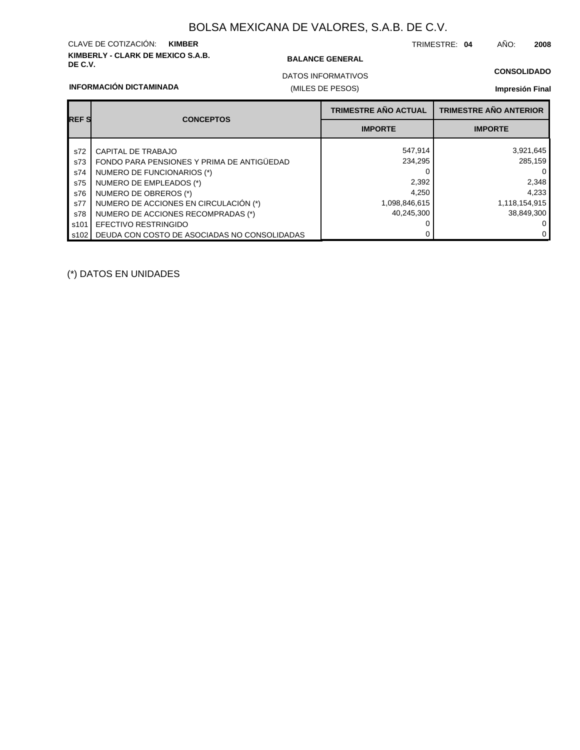## **KIMBERLY - CLARK DE MEXICO S.A.B.** CLAVE DE COTIZACIÓN: **KIMBER**

#### **BALANCE GENERAL**

TRIMESTRE: **04** AÑO: **2008**

(MILES DE PESOS) DATOS INFORMATIVOS

#### **CONSOLIDADO**

**Impresión Final**

| <b>INFORMACION DICTAMINADA</b> |  |
|--------------------------------|--|
|                                |  |

| <b>REFS</b> | <b>CONCEPTOS</b>                             | <b>TRIMESTRE AÑO ACTUAL</b> | <b>TRIMESTRE AÑO ANTERIOR</b> |
|-------------|----------------------------------------------|-----------------------------|-------------------------------|
|             |                                              | <b>IMPORTE</b>              | <b>IMPORTE</b>                |
| s72         | CAPITAL DE TRABAJO                           | 547,914                     | 3,921,645                     |
| s73         | FONDO PARA PENSIONES Y PRIMA DE ANTIGÜEDAD   | 234.295                     | 285.159                       |
| s74         | NUMERO DE FUNCIONARIOS (*)                   |                             | $\overline{0}$                |
| s75         | NUMERO DE EMPLEADOS (*)                      | 2,392                       | 2,348                         |
| s76         | NUMERO DE OBREROS (*)                        | 4.250                       | 4,233                         |
| s77         | NUMERO DE ACCIONES EN CIRCULACIÓN (*)        | 1,098,846,615               | 1,118,154,915                 |
| s78         | NUMERO DE ACCIONES RECOMPRADAS (*)           | 40,245,300                  | 38,849,300                    |
| s101        | <b>EFECTIVO RESTRINGIDO</b>                  |                             | $\overline{0}$                |
| s102        | DEUDA CON COSTO DE ASOCIADAS NO CONSOLIDADAS |                             | $\overline{0}$                |

(\*) DATOS EN UNIDADES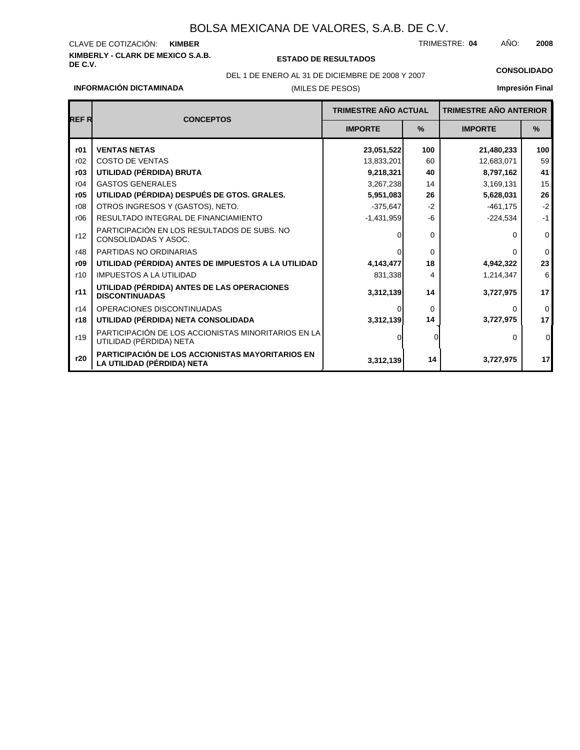## **KIMBERLY - CLARK DE MEXICO S.A.B.** CLAVE DE COTIZACIÓN: KIMBER

## **DE C.V. ESTADO DE RESULTADOS**

TRIMESTRE: AÑO: **KIMBER 04 2008**

## DEL 1 DE ENERO AL 31 DE DICIEMBRE DE 2008 Y 2007 **CONSOLIDADO**

## **Impresión Final**

**17**

|       | <b>INFORMACIÓN DICTAMINADA</b><br>(MILES DE PESOS)                             |                             |                               | Impresión Fin  |                          |
|-------|--------------------------------------------------------------------------------|-----------------------------|-------------------------------|----------------|--------------------------|
|       |                                                                                | <b>TRIMESTRE AÑO ACTUAL</b> | <b>TRIMESTRE AÑO ANTERIOR</b> |                |                          |
| REF R | <b>CONCEPTOS</b>                                                               | <b>IMPORTE</b>              | %                             | <b>IMPORTE</b> | %                        |
| r01   | <b>VENTAS NETAS</b>                                                            | 23,051,522                  | 100                           | 21,480,233     | 100                      |
| r02   | <b>COSTO DE VENTAS</b>                                                         | 13,833,201                  | 60                            | 12,683,071     | 59                       |
| r03   | UTILIDAD (PÉRDIDA) BRUTA                                                       | 9,218,321                   | 40                            | 8,797,162      | 4 <sup>1</sup>           |
| r04   | <b>GASTOS GENERALES</b>                                                        | 3,267,238                   | 14                            | 3,169,131      | 15                       |
| r05   | UTILIDAD (PÉRDIDA) DESPUÉS DE GTOS. GRALES.                                    | 5,951,083                   | 26                            | 5,628,031      | 26                       |
| r08   | OTROS INGRESOS Y (GASTOS), NETO.                                               | $-375,647$                  | $-2$                          | $-461,175$     | ÷,                       |
| r06   | RESULTADO INTEGRAL DE FINANCIAMIENTO                                           | $-1,431,959$                | -6                            | $-224,534$     | $\overline{\phantom{a}}$ |
| r12   | PARTICIPACIÓN EN LOS RESULTADOS DE SUBS. NO<br>CONSOLIDADAS Y ASOC.            |                             | 0                             | 0              |                          |
| r48   | PARTIDAS NO ORDINARIAS                                                         |                             | $\Omega$                      | 0              |                          |
| r09   | UTILIDAD (PÉRDIDA) ANTES DE IMPUESTOS A LA UTILIDAD                            | 4,143,477                   | 18                            | 4,942,322      | 23                       |
| r10   | <b>IMPUESTOS A LA UTILIDAD</b>                                                 | 831,338                     | 4                             | 1,214,347      |                          |
| r11   | UTILIDAD (PÉRDIDA) ANTES DE LAS OPERACIONES<br><b>DISCONTINUADAS</b>           | 3,312,139                   | 14                            | 3,727,975      | 17                       |
| r14   | OPERACIONES DISCONTINUADAS                                                     |                             | $\Omega$                      | 0              |                          |
| r18   | UTILIDAD (PÉRDIDA) NETA CONSOLIDADA                                            | 3,312,139                   | 14                            | 3,727,975      | 17                       |
| r19   | PARTICIPACIÓN DE LOS ACCIONISTAS MINORITARIOS EN LA<br>UTILIDAD (PÉRDIDA) NETA |                             |                               | 0              |                          |
| r20   | PARTICIPACIÓN DE LOS ACCIONISTAS MAYORITARIOS EN<br>LA UTILIDAD (PÉRDIDA) NETA | 3,312,139                   | 14                            | 3,727,975      | 11                       |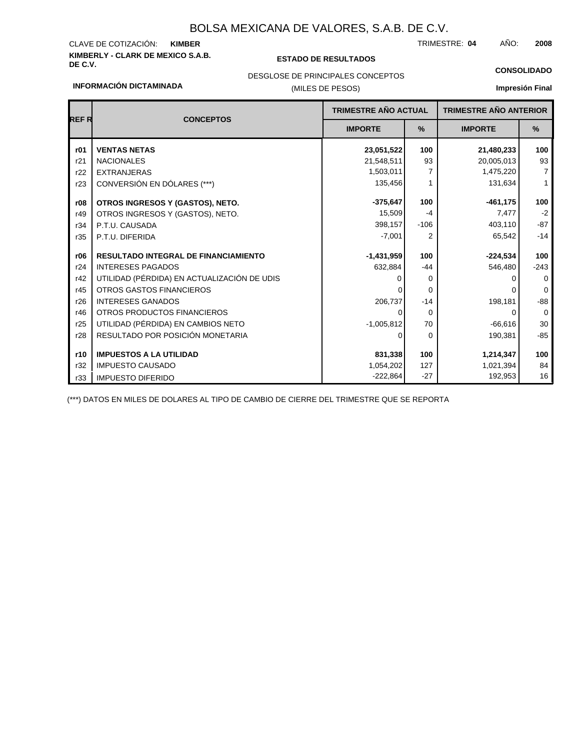## **KIMBERLY - CLARK DE MEXICO S.A.B.** CLAVE DE COTIZACIÓN:

### **DE C.V. ESTADO DE RESULTADOS**

TRIMESTRE: AÑO: **KIMBER 04 2008**

**CONSOLIDADO**

#### **INFORMACIÓN DICTAMINADA**

## DESGLOSE DE PRINCIPALES CONCEPTOS

## (MILES DE PESOS)

## **Impresión Final**

|             |                                             | <b>TRIMESTRE AÑO ACTUAL</b> |               | <b>TRIMESTRE AÑO ANTERIOR</b> |                |
|-------------|---------------------------------------------|-----------------------------|---------------|-------------------------------|----------------|
| <b>REFR</b> | <b>CONCEPTOS</b>                            | <b>IMPORTE</b>              | $\frac{9}{6}$ | <b>IMPORTE</b>                | $\%$           |
| r01         | <b>VENTAS NETAS</b>                         | 23,051,522                  | 100           | 21,480,233                    | 100            |
| r21         | <b>NACIONALES</b>                           | 21,548,511                  | 93            | 20,005,013                    | 93             |
| r22         | <b>EXTRANJERAS</b>                          | 1,503,011                   | 7             | 1,475,220                     | $\overline{7}$ |
| r23         | CONVERSIÓN EN DÓLARES (***)                 | 135,456                     | 1             | 131,634                       | 1              |
| r08         | OTROS INGRESOS Y (GASTOS), NETO.            | $-375,647$                  | 100           | $-461, 175$                   | 100            |
| r49         | OTROS INGRESOS Y (GASTOS), NETO.            | 15,509                      | $-4$          | 7,477                         | $-2$           |
| r34         | P.T.U. CAUSADA                              | 398,157                     | $-106$        | 403,110                       | $-87$          |
| r35         | P.T.U. DIFERIDA                             | $-7,001$                    | 2             | 65,542                        | $-14$          |
| r06         | <b>RESULTADO INTEGRAL DE FINANCIAMIENTO</b> | $-1,431,959$                | 100           | $-224,534$                    | 100            |
| r24         | <b>INTERESES PAGADOS</b>                    | 632,884                     | $-44$         | 546,480                       | $-243$         |
| r42         | UTILIDAD (PÉRDIDA) EN ACTUALIZACIÓN DE UDIS |                             | 0             | n                             | $\Omega$       |
| r45         | OTROS GASTOS FINANCIEROS                    |                             | $\Omega$      |                               | $\Omega$       |
| r26         | <b>INTERESES GANADOS</b>                    | 206,737                     | $-14$         | 198,181                       | $-88$          |
| r46         | OTROS PRODUCTOS FINANCIEROS                 | $\Omega$                    | $\Omega$      | 0                             | $\Omega$       |
| r25         | UTILIDAD (PÉRDIDA) EN CAMBIOS NETO          | $-1,005,812$                | 70            | $-66,616$                     | 30             |
| r28         | RESULTADO POR POSICIÓN MONETARIA            | $\Omega$                    | $\Omega$      | 190,381                       | $-85$          |
| r10         | <b>IMPUESTOS A LA UTILIDAD</b>              | 831,338                     | 100           | 1,214,347                     | 100            |
| r32         | <b>IMPUESTO CAUSADO</b>                     | 1,054,202                   | 127           | 1,021,394                     | 84             |
| r33         | <b>IMPUESTO DIFERIDO</b>                    | $-222,864$                  | $-27$         | 192,953                       | 16             |

(\*\*\*) DATOS EN MILES DE DOLARES AL TIPO DE CAMBIO DE CIERRE DEL TRIMESTRE QUE SE REPORTA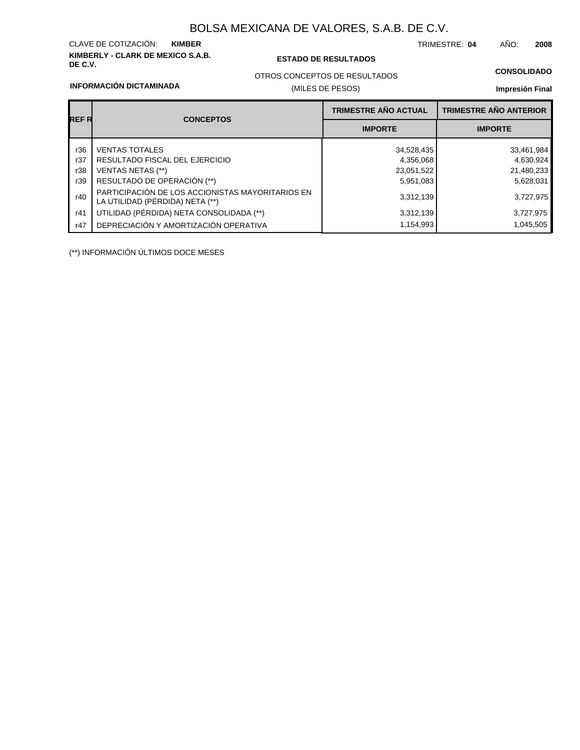## **KIMBERLY - CLARK DE MEXICO S.A.B.** CLAVE DE COTIZACIÓN:

### **DE C.V. ESTADO DE RESULTADOS**

TRIMESTRE: AÑO: **KIMBER 04 2008**

### **CONSOLIDADO**

#### **INFORMACIÓN DICTAMINADA**

## (MILES DE PESOS) OTROS CONCEPTOS DE RESULTADOS

## **Impresión Final**

| REF R | <b>CONCEPTOS</b>                                                                    | <b>TRIMESTRE AÑO ACTUAL</b> | <b>TRIMESTRE AÑO ANTERIOR</b> |
|-------|-------------------------------------------------------------------------------------|-----------------------------|-------------------------------|
|       |                                                                                     | <b>IMPORTE</b>              | <b>IMPORTE</b>                |
| r36   | <b>VENTAS TOTALES</b>                                                               | 34,528,435                  | 33,461,984                    |
| r37   | RESULTADO FISCAL DEL EJERCICIO                                                      | 4,356,068                   | 4,630,924                     |
| r38   | <b>VENTAS NETAS (**)</b>                                                            | 23,051,522                  | 21,480,233                    |
| r39   | RESULTADO DE OPERACIÓN (**)                                                         | 5,951,083                   | 5,628,031                     |
| r40   | PARTICIPACIÓN DE LOS ACCIONISTAS MAYORITARIOS EN<br>LA UTILIDAD (PÉRDIDA) NETA (**) | 3,312,139                   | 3,727,975                     |
| r41   | UTILIDAD (PÉRDIDA) NETA CONSOLIDADA (**)                                            | 3,312,139                   | 3,727,975                     |
| r47   | DEPRECIACIÓN Y AMORTIZACIÓN OPERATIVA                                               | 1,154,993                   | 1,045,505                     |

(\*\*) INFORMACIÓN ÚLTIMOS DOCE MESES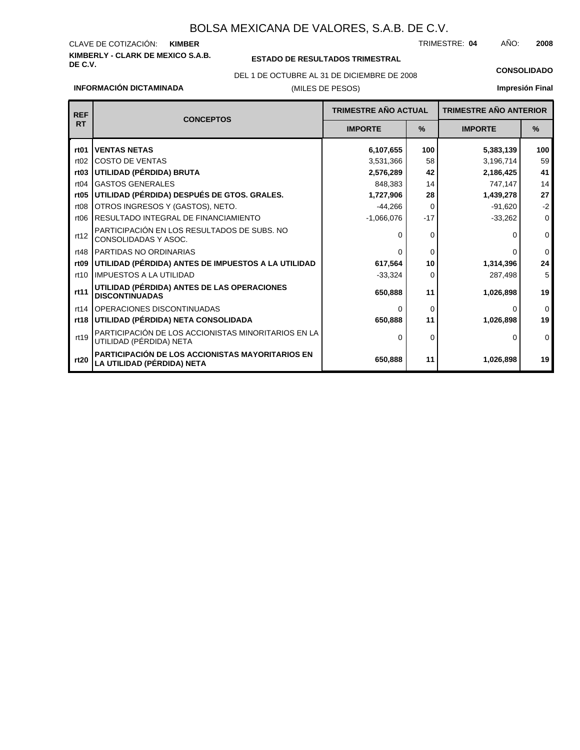#### **KIMBERLY - CLARK DE MEXICO S.A.B.** CLAVE DE COTIZACIÓN: TRIMESTRE: AÑO: **KIMBER 04 2008**

**INFORMACIÓN DICTAMINADA**

#### **ESTADO DE RESULTADOS TRIMESTRAL**

(MILES DE PESOS) DEL 1 DE OCTUBRE AL 31 DE DICIEMBRE DE 2008 **CONSOLIDADO**

**Impresión Final**

| <b>REF</b>       |                                                                                       | <b>TRIMESTRE AÑO ACTUAL</b> |          | <b>TRIMESTRE AÑO ANTERIOR</b> |             |
|------------------|---------------------------------------------------------------------------------------|-----------------------------|----------|-------------------------------|-------------|
| <b>RT</b>        | <b>CONCEPTOS</b>                                                                      | <b>IMPORTE</b>              | $\%$     | <b>IMPORTE</b>                | $\%$        |
| rt01             | <b>VENTAS NETAS</b>                                                                   | 6,107,655                   | 100      | 5,383,139                     | 100         |
| rt02             | <b>COSTO DE VENTAS</b>                                                                | 3,531,366                   | 58       | 3,196,714                     | 59          |
| rt <sub>03</sub> | UTILIDAD (PÉRDIDA) BRUTA                                                              | 2,576,289                   | 42       | 2,186,425                     | 41          |
| rt04             | <b>GASTOS GENERALES</b>                                                               | 848,383                     | 14       | 747,147                       | 14          |
| rt05             | UTILIDAD (PÉRDIDA) DESPUÉS DE GTOS. GRALES.                                           | 1,727,906                   | 28       | 1,439,278                     | 27          |
| rt08             | OTROS INGRESOS Y (GASTOS), NETO.                                                      | $-44,266$                   | $\Omega$ | $-91,620$                     | $-2$        |
| rt06             | RESULTADO INTEGRAL DE FINANCIAMIENTO                                                  | $-1,066,076$                | $-17$    | $-33,262$                     | $\Omega$    |
| rt12             | PARTICIPACIÓN EN LOS RESULTADOS DE SUBS. NO<br>CONSOLIDADAS Y ASOC.                   | $\Omega$                    | 0        | O                             | $\mathbf 0$ |
| rt48             | PARTIDAS NO ORDINARIAS                                                                | $\Omega$                    | 0        | ∩                             | $\mathbf 0$ |
| rt <sub>09</sub> | UTILIDAD (PÉRDIDA) ANTES DE IMPUESTOS A LA UTILIDAD                                   | 617,564                     | 10       | 1,314,396                     | 24          |
| rt10             | <b>IMPUESTOS A LA UTILIDAD</b>                                                        | $-33,324$                   | 0        | 287,498                       | 5           |
| rt11             | UTILIDAD (PÉRDIDA) ANTES DE LAS OPERACIONES<br><b>DISCONTINUADAS</b>                  | 650,888                     | 11       | 1,026,898                     | 19          |
| rt14             | OPERACIONES DISCONTINUADAS                                                            | ∩                           | 0        | 0                             | $\Omega$    |
| rt18             | UTILIDAD (PÉRDIDA) NETA CONSOLIDADA                                                   | 650,888                     | 11       | 1,026,898                     | 19          |
| rt19             | PARTICIPACIÓN DE LOS ACCIONISTAS MINORITARIOS EN LA<br>UTILIDAD (PÉRDIDA) NETA        | $\Omega$                    | 0        |                               | $\Omega$    |
| rt20             | <b>PARTICIPACIÓN DE LOS ACCIONISTAS MAYORITARIOS EN</b><br>LA UTILIDAD (PÉRDIDA) NETA | 650,888                     | 11       | 1,026,898                     | 19          |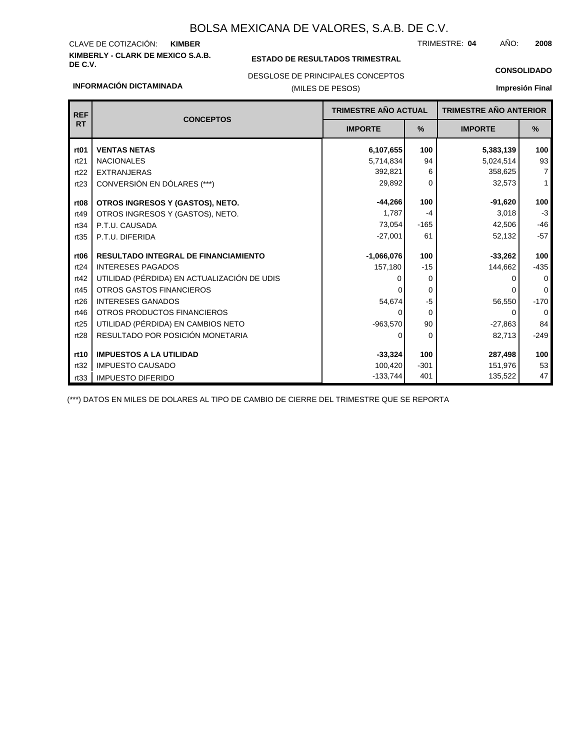## **KIMBERLY - CLARK DE MEXICO S.A.B.** CLAVE DE COTIZACIÓN:

**INFORMACIÓN DICTAMINADA**

### **ESTADO DE RESULTADOS TRIMESTRAL**

TRIMESTRE: AÑO: **KIMBER 04 2008**

### DESGLOSE DE PRINCIPALES CONCEPTOS

### (MILES DE PESOS)

## **CONSOLIDADO Impresión Final**

| <b>REF</b>       |                                             | <b>TRIMESTRE AÑO ACTUAL</b> |               | <b>TRIMESTRE AÑO ANTERIOR</b> |                |
|------------------|---------------------------------------------|-----------------------------|---------------|-------------------------------|----------------|
| <b>RT</b>        | <b>CONCEPTOS</b>                            | <b>IMPORTE</b>              | $\frac{9}{6}$ | <b>IMPORTE</b>                | %              |
| rt <sub>01</sub> | <b>VENTAS NETAS</b>                         | 6,107,655                   | 100           | 5,383,139                     | 100            |
| rt21             | <b>NACIONALES</b>                           | 5,714,834                   | 94            | 5,024,514                     | 93             |
| rt22             | <b>EXTRANJERAS</b>                          | 392,821                     | 6             | 358,625                       | $\overline{7}$ |
| rt23             | CONVERSIÓN EN DÓLARES (***)                 | 29,892                      | $\Omega$      | 32,573                        | $\mathbf{1}$   |
| rt <sub>08</sub> | OTROS INGRESOS Y (GASTOS), NETO.            | $-44,266$                   | 100           | $-91,620$                     | 100            |
| rt49             | OTROS INGRESOS Y (GASTOS), NETO.            | 1.787                       | $-4$          | 3,018                         | $-3$           |
| rt34             | P.T.U. CAUSADA                              | 73,054                      | $-165$        | 42,506                        | $-46$          |
| rt35             | P.T.U. DIFERIDA                             | $-27,001$                   | 61            | 52,132                        | $-57$          |
| rt <sub>06</sub> | <b>RESULTADO INTEGRAL DE FINANCIAMIENTO</b> | $-1,066,076$                | 100           | $-33,262$                     | 100            |
| rt24             | <b>INTERESES PAGADOS</b>                    | 157,180                     | $-15$         | 144,662                       | $-435$         |
| rt42             | UTILIDAD (PÉRDIDA) EN ACTUALIZACIÓN DE UDIS |                             | $\Omega$      | O                             | $\Omega$       |
| rt45             | OTROS GASTOS FINANCIEROS                    |                             | $\Omega$      |                               | $\Omega$       |
| rt26             | <b>INTERESES GANADOS</b>                    | 54,674                      | $-5$          | 56,550                        | $-170$         |
| rt46             | OTROS PRODUCTOS FINANCIEROS                 | 0                           | $\Omega$      | 0                             | $\mathbf 0$    |
| rt25             | UTILIDAD (PÉRDIDA) EN CAMBIOS NETO          | $-963,570$                  | 90            | $-27,863$                     | 84             |
| rt28             | RESULTADO POR POSICIÓN MONETARIA            | 0                           | $\Omega$      | 82,713                        | $-249$         |
| rt10             | <b>IMPUESTOS A LA UTILIDAD</b>              | $-33,324$                   | 100           | 287,498                       | 100            |
| rt32             | <b>IMPUESTO CAUSADO</b>                     | 100,420                     | $-301$        | 151,976                       | 53             |
| rt33             | <b>IMPUESTO DIFERIDO</b>                    | $-133,744$                  | 401           | 135,522                       | 47             |

(\*\*\*) DATOS EN MILES DE DOLARES AL TIPO DE CAMBIO DE CIERRE DEL TRIMESTRE QUE SE REPORTA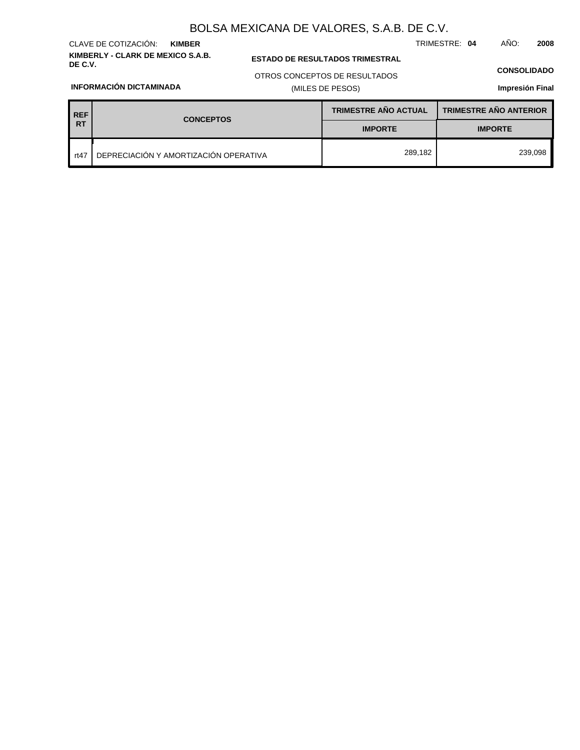**KIMBERLY - CLARK DE MEXICO S.A.B.** CLAVE DE COTIZACIÓN: **KIMBER**

## **ESTADO DE RESULTADOS TRIMESTRAL**

#### **CONSOLIDADO**

TRIMESTRE: **04** AÑO: **2008**

**INFORMACIÓN DICTAMINADA**

## OTROS CONCEPTOS DE RESULTADOS

## (MILES DE PESOS)

## **Impresión Final**

| <b>REF</b> | <b>CONCEPTOS</b>                      | <b>TRIMESTRE AÑO ACTUAL</b> | <b>TRIMESTRE AÑO ANTERIOR</b> |  |
|------------|---------------------------------------|-----------------------------|-------------------------------|--|
| <b>RT</b>  |                                       | <b>IMPORTE</b>              | <b>IMPORTE</b>                |  |
| rt47       | DEPRECIACIÓN Y AMORTIZACIÓN OPERATIVA | 289,182                     | 239,098                       |  |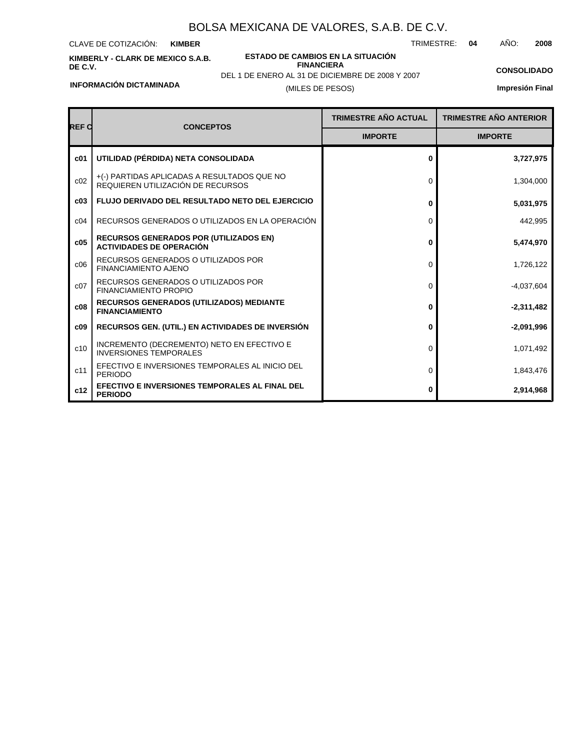CLAVE DE COTIZACIÓN: **KIMBER**

**KIMBERLY - CLARK DE MEXICO S.A.B. DE C.V.**

**ESTADO DE CAMBIOS EN LA SITUACIÓN FINANCIERA**

TRIMESTRE: **04** AÑO: **2008**

**CONSOLIDADO**

DEL 1 DE ENERO AL 31 DE DICIEMBRE DE 2008 Y 2007

**Impresión Final**

**INFORMACIÓN DICTAMINADA**

## (MILES DE PESOS)

| REF C           | <b>CONCEPTOS</b>                                                                 | <b>TRIMESTRE AÑO ACTUAL</b> | <b>TRIMESTRE AÑO ANTERIOR</b> |
|-----------------|----------------------------------------------------------------------------------|-----------------------------|-------------------------------|
|                 |                                                                                  | <b>IMPORTE</b>              | <b>IMPORTE</b>                |
| c <sub>01</sub> | UTILIDAD (PÉRDIDA) NETA CONSOLIDADA                                              | 0                           | 3,727,975                     |
| c02             | +(-) PARTIDAS APLICADAS A RESULTADOS QUE NO<br>REQUIEREN UTILIZACIÓN DE RECURSOS | 0                           | 1,304,000                     |
| c03             | <b>FLUJO DERIVADO DEL RESULTADO NETO DEL EJERCICIO</b>                           | 0                           | 5,031,975                     |
| C <sub>04</sub> | RECURSOS GENERADOS O UTILIZADOS EN LA OPERACIÓN                                  | 0                           | 442,995                       |
| c05             | <b>RECURSOS GENERADOS POR (UTILIZADOS EN)</b><br><b>ACTIVIDADES DE OPERACIÓN</b> | 0                           | 5,474,970                     |
| c06             | RECURSOS GENERADOS O UTILIZADOS POR<br><b>FINANCIAMIENTO AJENO</b>               | 0                           | 1,726,122                     |
| c07             | RECURSOS GENERADOS O UTILIZADOS POR<br><b>FINANCIAMIENTO PROPIO</b>              | 0                           | $-4,037,604$                  |
| c08             | <b>RECURSOS GENERADOS (UTILIZADOS) MEDIANTE</b><br><b>FINANCIAMIENTO</b>         | 0                           | $-2,311,482$                  |
| c09             | <b>RECURSOS GEN. (UTIL.) EN ACTIVIDADES DE INVERSIÓN</b>                         | 0                           | $-2,091,996$                  |
| c10             | INCREMENTO (DECREMENTO) NETO EN EFECTIVO E<br><b>INVERSIONES TEMPORALES</b>      | 0                           | 1,071,492                     |
| c11             | EFECTIVO E INVERSIONES TEMPORALES AL INICIO DEL<br><b>PERIODO</b>                | 0                           | 1,843,476                     |
| c12             | EFECTIVO E INVERSIONES TEMPORALES AL FINAL DEL<br><b>PERIODO</b>                 | 0                           | 2,914,968                     |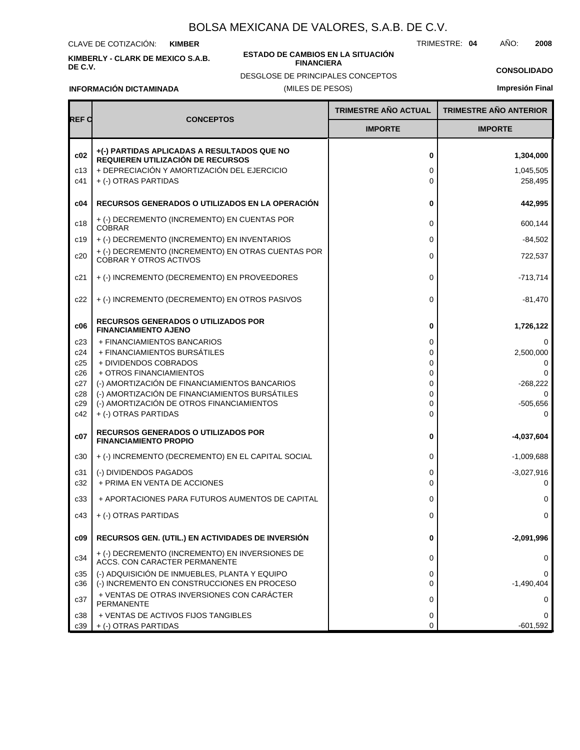CLAVE DE COTIZACIÓN: **KIMBER**

**KIMBERLY - CLARK DE MEXICO S.A.B. DE C.V.**

#### **ESTADO DE CAMBIOS EN LA SITUACIÓN FINANCIERA**

TRIMESTRE: **04** AÑO: **2008**

## **CONSOLIDADO**

**INFORMACIÓN DICTAMINADA**

(MILES DE PESOS) DESGLOSE DE PRINCIPALES CONCEPTOS

**Impresión Final**

|                   |                                                                                                                                                         | <b>TRIMESTRE AÑO ACTUAL</b> | <b>TRIMESTRE AÑO ANTERIOR</b>     |
|-------------------|---------------------------------------------------------------------------------------------------------------------------------------------------------|-----------------------------|-----------------------------------|
| <b>REF C</b>      | <b>CONCEPTOS</b>                                                                                                                                        | <b>IMPORTE</b>              | <b>IMPORTE</b>                    |
| c02<br>c13<br>c41 | +(-) PARTIDAS APLICADAS A RESULTADOS QUE NO<br>REQUIEREN UTILIZACIÓN DE RECURSOS<br>+ DEPRECIACIÓN Y AMORTIZACIÓN DEL EJERCICIO<br>+ (-) OTRAS PARTIDAS | 0<br>0<br>0                 | 1,304,000<br>1,045,505<br>258,495 |
| c04               | <b>RECURSOS GENERADOS O UTILIZADOS EN LA OPERACIÓN</b>                                                                                                  | 0                           | 442,995                           |
| c18               | + (-) DECREMENTO (INCREMENTO) EN CUENTAS POR<br><b>COBRAR</b>                                                                                           | 0                           | 600.144                           |
| c19               | + (-) DECREMENTO (INCREMENTO) EN INVENTARIOS                                                                                                            | 0                           | $-84,502$                         |
| c20               | + (-) DECREMENTO (INCREMENTO) EN OTRAS CUENTAS POR<br><b>COBRAR Y OTROS ACTIVOS</b>                                                                     | 0                           | 722,537                           |
| c21               | + (-) INCREMENTO (DECREMENTO) EN PROVEEDORES                                                                                                            | 0                           | $-713,714$                        |
| c22               | + (-) INCREMENTO (DECREMENTO) EN OTROS PASIVOS                                                                                                          | 0                           | -81,470                           |
| c06               | <b>RECURSOS GENERADOS O UTILIZADOS POR</b><br><b>FINANCIAMIENTO AJENO</b>                                                                               | 0                           | 1,726,122                         |
| c23               | + FINANCIAMIENTOS BANCARIOS                                                                                                                             | 0                           | $\Omega$                          |
| c24               | + FINANCIAMIENTOS BURSÁTILES                                                                                                                            | 0                           | 2,500,000                         |
| c25<br>c26        | + DIVIDENDOS COBRADOS<br>+ OTROS FINANCIAMIENTOS                                                                                                        | 0<br>0                      | $\Omega$<br>0                     |
| c27               | (-) AMORTIZACIÓN DE FINANCIAMIENTOS BANCARIOS                                                                                                           | 0                           | $-268,222$                        |
| c28               | (-) AMORTIZACIÓN DE FINANCIAMIENTOS BURSÁTILES                                                                                                          | 0                           | $\Omega$                          |
| c29               | (-) AMORTIZACIÓN DE OTROS FINANCIAMIENTOS                                                                                                               | 0                           | $-505,656$                        |
| c42               | + (-) OTRAS PARTIDAS                                                                                                                                    | 0                           | $\Omega$                          |
| c07               | <b>RECURSOS GENERADOS O UTILIZADOS POR</b><br><b>FINANCIAMIENTO PROPIO</b>                                                                              | 0                           | -4,037,604                        |
| c30               | + (-) INCREMENTO (DECREMENTO) EN EL CAPITAL SOCIAL                                                                                                      | 0                           | $-1,009,688$                      |
| c31               | (-) DIVIDENDOS PAGADOS                                                                                                                                  | 0                           | $-3,027,916$                      |
| c32               | + PRIMA EN VENTA DE ACCIONES                                                                                                                            | 0                           | 0                                 |
| c33               | + APORTACIONES PARA FUTUROS AUMENTOS DE CAPITAL                                                                                                         | 0                           | 0                                 |
| c43               | + (-) OTRAS PARTIDAS                                                                                                                                    | 0                           | 0                                 |
| c09               | RECURSOS GEN. (UTIL.) EN ACTIVIDADES DE INVERSIÓN                                                                                                       | 0                           | -2,091,996                        |
| c34               | + (-) DECREMENTO (INCREMENTO) EN INVERSIONES DE<br>ACCS. CON CARACTER PERMANENTE                                                                        | 0                           | 0                                 |
| c35<br>c36        | (-) ADQUISICIÓN DE INMUEBLES, PLANTA Y EQUIPO<br>(-) INCREMENTO EN CONSTRUCCIONES EN PROCESO                                                            | 0<br>0                      | 0<br>$-1,490,404$                 |
| c37               | + VENTAS DE OTRAS INVERSIONES CON CARÁCTER<br><b>PERMANENTE</b>                                                                                         | 0                           | 0                                 |
| c38               | + VENTAS DE ACTIVOS FIJOS TANGIBLES                                                                                                                     | 0                           | $\Omega$                          |
| c39               | + (-) OTRAS PARTIDAS                                                                                                                                    | 0                           | $-601,592$                        |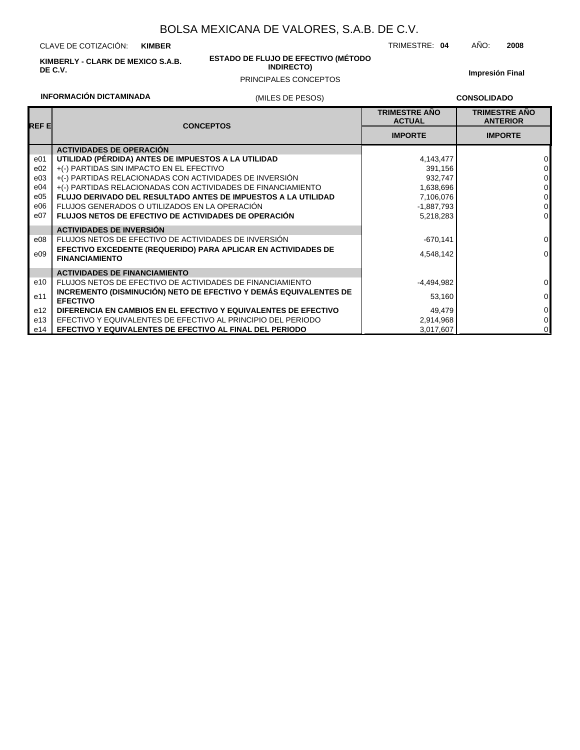CLAVE DE COTIZACIÓN: **KIMBER**

**KIMBERLY - CLARK DE MEXICO S.A.B. DE C.V.**

#### **ESTADO DE FLUJO DE EFECTIVO (MÉTODO INDIRECTO)**

## PRINCIPALES CONCEPTOS

**Impresión Final**

## **INFORMACIÓN DICTAMINADA**

### (MILES DE PESOS)

**CONSOLIDADO**

TRIMESTRE: **04** AÑO: **2008**

| <b>REFE</b>     | <b>CONCEPTOS</b>                                                                       | <b>TRIMESTRE ANO</b><br><b>ACTUAL</b> | <b>TRIMESTRE ANO</b><br><b>ANTERIOR</b> |
|-----------------|----------------------------------------------------------------------------------------|---------------------------------------|-----------------------------------------|
|                 |                                                                                        | <b>IMPORTE</b>                        | <b>IMPORTE</b>                          |
|                 | <b>ACTIVIDADES DE OPERACIÓN</b>                                                        |                                       |                                         |
| e <sub>01</sub> | UTILIDAD (PÉRDIDA) ANTES DE IMPUESTOS A LA UTILIDAD                                    | 4,143,477                             | $\Omega$                                |
| e02             | +(-) PARTIDAS SIN IMPACTO EN EL EFECTIVO                                               | 391,156                               | 0                                       |
| e03             | +(-) PARTIDAS RELACIONADAS CON ACTIVIDADES DE INVERSIÓN                                | 932,747                               | 0                                       |
| e04             | +(-) PARTIDAS RELACIONADAS CON ACTIVIDADES DE FINANCIAMIENTO                           | 1,638,696                             | 0                                       |
| e05             | FLUJO DERIVADO DEL RESULTADO ANTES DE IMPUESTOS A LA UTILIDAD                          | 7,106,076                             | $\mathbf 0$                             |
| e06             | FLUJOS GENERADOS O UTILIZADOS EN LA OPERACIÓN                                          | -1,887,793                            | $\mathbf 0$                             |
| e07             | FLUJOS NETOS DE EFECTIVO DE ACTIVIDADES DE OPERACIÓN                                   | 5,218,283                             | $\mathbf 0$                             |
|                 | <b>ACTIVIDADES DE INVERSIÓN</b>                                                        |                                       |                                         |
| e08             | FLUJOS NETOS DE EFECTIVO DE ACTIVIDADES DE INVERSIÓN                                   | $-670,141$                            | 0                                       |
| e09             | EFECTIVO EXCEDENTE (REQUERIDO) PARA APLICAR EN ACTIVIDADES DE<br><b>FINANCIAMIENTO</b> | 4,548,142                             | $\mathbf 0$                             |
|                 | <b>ACTIVIDADES DE FINANCIAMIENTO</b>                                                   |                                       |                                         |
| e10             | FLUJOS NETOS DE EFECTIVO DE ACTIVIDADES DE FINANCIAMIENTO                              | $-4,494,982$                          | 0                                       |
| e11             | INCREMENTO (DISMINUCIÓN) NETO DE EFECTIVO Y DEMÁS EQUIVALENTES DE<br><b>EFECTIVO</b>   | 53,160                                | $\pmb{0}$                               |
| e <sub>12</sub> | DIFERENCIA EN CAMBIOS EN EL EFECTIVO Y EQUIVALENTES DE EFECTIVO                        | 49,479                                | $\mathbf 0$                             |
| e13             | EFECTIVO Y EQUIVALENTES DE EFECTIVO AL PRINCIPIO DEL PERIODO                           | 2,914,968                             | $\mathbf 0$                             |
| e14             | EFECTIVO Y EQUIVALENTES DE EFECTIVO AL FINAL DEL PERIODO                               | 3,017,607                             | 0                                       |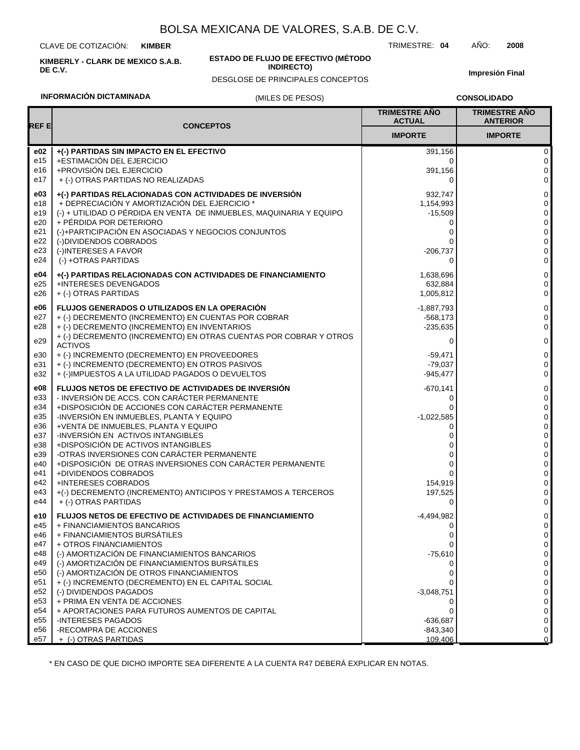CLAVE DE COTIZACIÓN: **KIMBER**

**KIMBERLY - CLARK DE MEXICO S.A.B. DE C.V.**

#### **ESTADO DE FLUJO DE EFECTIVO (MÉTODO INDIRECTO)**

DESGLOSE DE PRINCIPALES CONCEPTOS

**Impresión Final**

## **INFORMACIÓN DICTAMINADA**

### (MILES DE PESOS)

**CONSOLIDADO**

| <b>REFE</b><br><b>CONCEPTOS</b><br><b>IMPORTE</b><br><b>IMPORTE</b><br>e02<br>+(-) PARTIDAS SIN IMPACTO EN EL EFECTIVO<br>391,156<br>e15<br>+ESTIMACIÓN DEL EJERCICIO<br>0<br>+PROVISIÓN DEL EJERCICIO<br>e16<br>391,156<br>e17<br>+ (-) OTRAS PARTIDAS NO REALIZADAS<br>0<br>+(-) PARTIDAS RELACIONADAS CON ACTIVIDADES DE INVERSIÓN<br>e03<br>932,747<br>+ DEPRECIACIÓN Y AMORTIZACIÓN DEL EJERCICIO *<br>e18<br>1,154,993<br>(-) + UTILIDAD O PÉRDIDA EN VENTA DE INMUEBLES, MAQUINARIA Y EQUIPO<br>e19<br>$-15,509$<br>+ PÉRDIDA POR DETERIORO<br>e20<br>0<br>(-)+PARTICIPACIÓN EN ASOCIADAS Y NEGOCIOS CONJUNTOS<br>e21<br>0<br>e22<br>(-)DIVIDENDOS COBRADOS<br>e23<br>(-)INTERESES A FAVOR<br>$-206,737$<br>(-) +OTRAS PARTIDAS<br>e24<br>$\Omega$<br>0<br>e04<br>+(-) PARTIDAS RELACIONADAS CON ACTIVIDADES DE FINANCIAMIENTO<br>1,638,696<br>e25<br>+INTERESES DEVENGADOS<br>632,884<br>e26<br>+ (-) OTRAS PARTIDAS<br>1,005,812<br><b>FLUJOS GENERADOS O UTILIZADOS EN LA OPERACIÓN</b><br>e06<br>$-1,887,793$<br>e27<br>+ (-) DECREMENTO (INCREMENTO) EN CUENTAS POR COBRAR<br>$-568,173$<br>+ (-) DECREMENTO (INCREMENTO) EN INVENTARIOS<br>e28<br>$-235,635$<br>+ (-) DECREMENTO (INCREMENTO) EN OTRAS CUENTAS POR COBRAR Y OTROS<br>e29<br>$\Omega$<br><b>ACTIVOS</b><br>e30<br>+ (-) INCREMENTO (DECREMENTO) EN PROVEEDORES<br>$-59,471$<br>+ (-) INCREMENTO (DECREMENTO) EN OTROS PASIVOS<br>e31<br>$-79,037$<br>+ (-)IMPUESTOS A LA UTILIDAD PAGADOS O DEVUELTOS<br>e32<br>$-945,477$<br>e08<br><b>FLUJOS NETOS DE EFECTIVO DE ACTIVIDADES DE INVERSIÓN</b><br>$-670,141$<br>- INVERSIÓN DE ACCS. CON CARÁCTER PERMANENTE<br>e33<br>0<br>+DISPOSICIÓN DE ACCIONES CON CARÁCTER PERMANENTE<br>e34<br>0<br>e35<br>-INVERSIÓN EN INMUEBLES, PLANTA Y EQUIPO<br>$-1,022,585$<br>+VENTA DE INMUEBLES, PLANTA Y EQUIPO<br>e36<br>0<br>-INVERSIÓN EN ACTIVOS INTANGIBLES<br>e37<br>e38<br>+DISPOSICIÓN DE ACTIVOS INTANGIBLES<br>ი<br>-OTRAS INVERSIONES CON CARÁCTER PERMANENTE<br>e39<br>0<br>0<br>+DISPOSICIÓN DE OTRAS INVERSIONES CON CARÁCTER PERMANENTE<br>e40<br>0<br>+DIVIDENDOS COBRADOS<br>e41<br>$\Omega$<br>+INTERESES COBRADOS<br>e42<br>154,919<br>+(-) DECREMENTO (INCREMENTO) ANTICIPOS Y PRESTAMOS A TERCEROS<br>e43<br>197,525<br>+ (-) OTRAS PARTIDAS<br>e44<br>0<br>e10<br><b>FLUJOS NETOS DE EFECTIVO DE ACTIVIDADES DE FINANCIAMIENTO</b><br>-4,494,982<br>e45<br>+ FINANCIAMIENTOS BANCARIOS<br>0<br>+ FINANCIAMIENTOS BURSÁTILES<br>e46<br>0<br>+ OTROS FINANCIAMIENTOS<br>e47<br>0<br>(-) AMORTIZACIÓN DE FINANCIAMIENTOS BANCARIOS<br>e48<br>$-75,610$<br>(-) AMORTIZACIÓN DE FINANCIAMIENTOS BURSÁTILES<br>e49<br>0<br>(-) AMORTIZACIÓN DE OTROS FINANCIAMIENTOS<br>e50<br>0<br>e51<br>+ (-) INCREMENTO (DECREMENTO) EN EL CAPITAL SOCIAL<br>e52<br>(-) DIVIDENDOS PAGADOS<br>$-3,048,751$<br>+ PRIMA EN VENTA DE ACCIONES<br>e53<br>0<br>e54<br>+ APORTACIONES PARA FUTUROS AUMENTOS DE CAPITAL<br>e55<br><b>INTERESES PAGADOS</b><br>$-636,687$<br>-RECOMPRA DE ACCIONES<br>e56<br>$-843,340$<br>e57<br>109,406<br>+ (-) OTRAS PARTIDAS |  | <b>TRIMESTRE ANO</b><br><b>ACTUAL</b> | <b>TRIMESTRE AÑO</b><br><b>ANTERIOR</b> |
|---------------------------------------------------------------------------------------------------------------------------------------------------------------------------------------------------------------------------------------------------------------------------------------------------------------------------------------------------------------------------------------------------------------------------------------------------------------------------------------------------------------------------------------------------------------------------------------------------------------------------------------------------------------------------------------------------------------------------------------------------------------------------------------------------------------------------------------------------------------------------------------------------------------------------------------------------------------------------------------------------------------------------------------------------------------------------------------------------------------------------------------------------------------------------------------------------------------------------------------------------------------------------------------------------------------------------------------------------------------------------------------------------------------------------------------------------------------------------------------------------------------------------------------------------------------------------------------------------------------------------------------------------------------------------------------------------------------------------------------------------------------------------------------------------------------------------------------------------------------------------------------------------------------------------------------------------------------------------------------------------------------------------------------------------------------------------------------------------------------------------------------------------------------------------------------------------------------------------------------------------------------------------------------------------------------------------------------------------------------------------------------------------------------------------------------------------------------------------------------------------------------------------------------------------------------------------------------------------------------------------------------------------------------------------------------------------------------------------------------------------------------------------------------------------------------------------------------------------------------------------------------------------------------------------------------------------------------------------------------------------------------------------------------------------------------------------------|--|---------------------------------------|-----------------------------------------|
|                                                                                                                                                                                                                                                                                                                                                                                                                                                                                                                                                                                                                                                                                                                                                                                                                                                                                                                                                                                                                                                                                                                                                                                                                                                                                                                                                                                                                                                                                                                                                                                                                                                                                                                                                                                                                                                                                                                                                                                                                                                                                                                                                                                                                                                                                                                                                                                                                                                                                                                                                                                                                                                                                                                                                                                                                                                                                                                                                                                                                                                                                 |  |                                       |                                         |
|                                                                                                                                                                                                                                                                                                                                                                                                                                                                                                                                                                                                                                                                                                                                                                                                                                                                                                                                                                                                                                                                                                                                                                                                                                                                                                                                                                                                                                                                                                                                                                                                                                                                                                                                                                                                                                                                                                                                                                                                                                                                                                                                                                                                                                                                                                                                                                                                                                                                                                                                                                                                                                                                                                                                                                                                                                                                                                                                                                                                                                                                                 |  |                                       | 0                                       |
|                                                                                                                                                                                                                                                                                                                                                                                                                                                                                                                                                                                                                                                                                                                                                                                                                                                                                                                                                                                                                                                                                                                                                                                                                                                                                                                                                                                                                                                                                                                                                                                                                                                                                                                                                                                                                                                                                                                                                                                                                                                                                                                                                                                                                                                                                                                                                                                                                                                                                                                                                                                                                                                                                                                                                                                                                                                                                                                                                                                                                                                                                 |  |                                       | 0                                       |
|                                                                                                                                                                                                                                                                                                                                                                                                                                                                                                                                                                                                                                                                                                                                                                                                                                                                                                                                                                                                                                                                                                                                                                                                                                                                                                                                                                                                                                                                                                                                                                                                                                                                                                                                                                                                                                                                                                                                                                                                                                                                                                                                                                                                                                                                                                                                                                                                                                                                                                                                                                                                                                                                                                                                                                                                                                                                                                                                                                                                                                                                                 |  |                                       | $\mathbf 0$                             |
|                                                                                                                                                                                                                                                                                                                                                                                                                                                                                                                                                                                                                                                                                                                                                                                                                                                                                                                                                                                                                                                                                                                                                                                                                                                                                                                                                                                                                                                                                                                                                                                                                                                                                                                                                                                                                                                                                                                                                                                                                                                                                                                                                                                                                                                                                                                                                                                                                                                                                                                                                                                                                                                                                                                                                                                                                                                                                                                                                                                                                                                                                 |  |                                       | 0                                       |
|                                                                                                                                                                                                                                                                                                                                                                                                                                                                                                                                                                                                                                                                                                                                                                                                                                                                                                                                                                                                                                                                                                                                                                                                                                                                                                                                                                                                                                                                                                                                                                                                                                                                                                                                                                                                                                                                                                                                                                                                                                                                                                                                                                                                                                                                                                                                                                                                                                                                                                                                                                                                                                                                                                                                                                                                                                                                                                                                                                                                                                                                                 |  |                                       | 0                                       |
|                                                                                                                                                                                                                                                                                                                                                                                                                                                                                                                                                                                                                                                                                                                                                                                                                                                                                                                                                                                                                                                                                                                                                                                                                                                                                                                                                                                                                                                                                                                                                                                                                                                                                                                                                                                                                                                                                                                                                                                                                                                                                                                                                                                                                                                                                                                                                                                                                                                                                                                                                                                                                                                                                                                                                                                                                                                                                                                                                                                                                                                                                 |  |                                       | 0                                       |
|                                                                                                                                                                                                                                                                                                                                                                                                                                                                                                                                                                                                                                                                                                                                                                                                                                                                                                                                                                                                                                                                                                                                                                                                                                                                                                                                                                                                                                                                                                                                                                                                                                                                                                                                                                                                                                                                                                                                                                                                                                                                                                                                                                                                                                                                                                                                                                                                                                                                                                                                                                                                                                                                                                                                                                                                                                                                                                                                                                                                                                                                                 |  |                                       | 0                                       |
|                                                                                                                                                                                                                                                                                                                                                                                                                                                                                                                                                                                                                                                                                                                                                                                                                                                                                                                                                                                                                                                                                                                                                                                                                                                                                                                                                                                                                                                                                                                                                                                                                                                                                                                                                                                                                                                                                                                                                                                                                                                                                                                                                                                                                                                                                                                                                                                                                                                                                                                                                                                                                                                                                                                                                                                                                                                                                                                                                                                                                                                                                 |  |                                       | 0                                       |
|                                                                                                                                                                                                                                                                                                                                                                                                                                                                                                                                                                                                                                                                                                                                                                                                                                                                                                                                                                                                                                                                                                                                                                                                                                                                                                                                                                                                                                                                                                                                                                                                                                                                                                                                                                                                                                                                                                                                                                                                                                                                                                                                                                                                                                                                                                                                                                                                                                                                                                                                                                                                                                                                                                                                                                                                                                                                                                                                                                                                                                                                                 |  |                                       | 0                                       |
|                                                                                                                                                                                                                                                                                                                                                                                                                                                                                                                                                                                                                                                                                                                                                                                                                                                                                                                                                                                                                                                                                                                                                                                                                                                                                                                                                                                                                                                                                                                                                                                                                                                                                                                                                                                                                                                                                                                                                                                                                                                                                                                                                                                                                                                                                                                                                                                                                                                                                                                                                                                                                                                                                                                                                                                                                                                                                                                                                                                                                                                                                 |  |                                       | 0                                       |
|                                                                                                                                                                                                                                                                                                                                                                                                                                                                                                                                                                                                                                                                                                                                                                                                                                                                                                                                                                                                                                                                                                                                                                                                                                                                                                                                                                                                                                                                                                                                                                                                                                                                                                                                                                                                                                                                                                                                                                                                                                                                                                                                                                                                                                                                                                                                                                                                                                                                                                                                                                                                                                                                                                                                                                                                                                                                                                                                                                                                                                                                                 |  |                                       | 0                                       |
|                                                                                                                                                                                                                                                                                                                                                                                                                                                                                                                                                                                                                                                                                                                                                                                                                                                                                                                                                                                                                                                                                                                                                                                                                                                                                                                                                                                                                                                                                                                                                                                                                                                                                                                                                                                                                                                                                                                                                                                                                                                                                                                                                                                                                                                                                                                                                                                                                                                                                                                                                                                                                                                                                                                                                                                                                                                                                                                                                                                                                                                                                 |  |                                       |                                         |
|                                                                                                                                                                                                                                                                                                                                                                                                                                                                                                                                                                                                                                                                                                                                                                                                                                                                                                                                                                                                                                                                                                                                                                                                                                                                                                                                                                                                                                                                                                                                                                                                                                                                                                                                                                                                                                                                                                                                                                                                                                                                                                                                                                                                                                                                                                                                                                                                                                                                                                                                                                                                                                                                                                                                                                                                                                                                                                                                                                                                                                                                                 |  |                                       | 0                                       |
|                                                                                                                                                                                                                                                                                                                                                                                                                                                                                                                                                                                                                                                                                                                                                                                                                                                                                                                                                                                                                                                                                                                                                                                                                                                                                                                                                                                                                                                                                                                                                                                                                                                                                                                                                                                                                                                                                                                                                                                                                                                                                                                                                                                                                                                                                                                                                                                                                                                                                                                                                                                                                                                                                                                                                                                                                                                                                                                                                                                                                                                                                 |  |                                       | 0                                       |
|                                                                                                                                                                                                                                                                                                                                                                                                                                                                                                                                                                                                                                                                                                                                                                                                                                                                                                                                                                                                                                                                                                                                                                                                                                                                                                                                                                                                                                                                                                                                                                                                                                                                                                                                                                                                                                                                                                                                                                                                                                                                                                                                                                                                                                                                                                                                                                                                                                                                                                                                                                                                                                                                                                                                                                                                                                                                                                                                                                                                                                                                                 |  |                                       | 0                                       |
|                                                                                                                                                                                                                                                                                                                                                                                                                                                                                                                                                                                                                                                                                                                                                                                                                                                                                                                                                                                                                                                                                                                                                                                                                                                                                                                                                                                                                                                                                                                                                                                                                                                                                                                                                                                                                                                                                                                                                                                                                                                                                                                                                                                                                                                                                                                                                                                                                                                                                                                                                                                                                                                                                                                                                                                                                                                                                                                                                                                                                                                                                 |  |                                       | 0                                       |
|                                                                                                                                                                                                                                                                                                                                                                                                                                                                                                                                                                                                                                                                                                                                                                                                                                                                                                                                                                                                                                                                                                                                                                                                                                                                                                                                                                                                                                                                                                                                                                                                                                                                                                                                                                                                                                                                                                                                                                                                                                                                                                                                                                                                                                                                                                                                                                                                                                                                                                                                                                                                                                                                                                                                                                                                                                                                                                                                                                                                                                                                                 |  |                                       | 0                                       |
|                                                                                                                                                                                                                                                                                                                                                                                                                                                                                                                                                                                                                                                                                                                                                                                                                                                                                                                                                                                                                                                                                                                                                                                                                                                                                                                                                                                                                                                                                                                                                                                                                                                                                                                                                                                                                                                                                                                                                                                                                                                                                                                                                                                                                                                                                                                                                                                                                                                                                                                                                                                                                                                                                                                                                                                                                                                                                                                                                                                                                                                                                 |  |                                       | $\mathbf 0$                             |
|                                                                                                                                                                                                                                                                                                                                                                                                                                                                                                                                                                                                                                                                                                                                                                                                                                                                                                                                                                                                                                                                                                                                                                                                                                                                                                                                                                                                                                                                                                                                                                                                                                                                                                                                                                                                                                                                                                                                                                                                                                                                                                                                                                                                                                                                                                                                                                                                                                                                                                                                                                                                                                                                                                                                                                                                                                                                                                                                                                                                                                                                                 |  |                                       | 0                                       |
|                                                                                                                                                                                                                                                                                                                                                                                                                                                                                                                                                                                                                                                                                                                                                                                                                                                                                                                                                                                                                                                                                                                                                                                                                                                                                                                                                                                                                                                                                                                                                                                                                                                                                                                                                                                                                                                                                                                                                                                                                                                                                                                                                                                                                                                                                                                                                                                                                                                                                                                                                                                                                                                                                                                                                                                                                                                                                                                                                                                                                                                                                 |  |                                       | 0                                       |
|                                                                                                                                                                                                                                                                                                                                                                                                                                                                                                                                                                                                                                                                                                                                                                                                                                                                                                                                                                                                                                                                                                                                                                                                                                                                                                                                                                                                                                                                                                                                                                                                                                                                                                                                                                                                                                                                                                                                                                                                                                                                                                                                                                                                                                                                                                                                                                                                                                                                                                                                                                                                                                                                                                                                                                                                                                                                                                                                                                                                                                                                                 |  |                                       | 0                                       |
|                                                                                                                                                                                                                                                                                                                                                                                                                                                                                                                                                                                                                                                                                                                                                                                                                                                                                                                                                                                                                                                                                                                                                                                                                                                                                                                                                                                                                                                                                                                                                                                                                                                                                                                                                                                                                                                                                                                                                                                                                                                                                                                                                                                                                                                                                                                                                                                                                                                                                                                                                                                                                                                                                                                                                                                                                                                                                                                                                                                                                                                                                 |  |                                       | $\Omega$                                |
|                                                                                                                                                                                                                                                                                                                                                                                                                                                                                                                                                                                                                                                                                                                                                                                                                                                                                                                                                                                                                                                                                                                                                                                                                                                                                                                                                                                                                                                                                                                                                                                                                                                                                                                                                                                                                                                                                                                                                                                                                                                                                                                                                                                                                                                                                                                                                                                                                                                                                                                                                                                                                                                                                                                                                                                                                                                                                                                                                                                                                                                                                 |  |                                       | 0                                       |
|                                                                                                                                                                                                                                                                                                                                                                                                                                                                                                                                                                                                                                                                                                                                                                                                                                                                                                                                                                                                                                                                                                                                                                                                                                                                                                                                                                                                                                                                                                                                                                                                                                                                                                                                                                                                                                                                                                                                                                                                                                                                                                                                                                                                                                                                                                                                                                                                                                                                                                                                                                                                                                                                                                                                                                                                                                                                                                                                                                                                                                                                                 |  |                                       | 0                                       |
|                                                                                                                                                                                                                                                                                                                                                                                                                                                                                                                                                                                                                                                                                                                                                                                                                                                                                                                                                                                                                                                                                                                                                                                                                                                                                                                                                                                                                                                                                                                                                                                                                                                                                                                                                                                                                                                                                                                                                                                                                                                                                                                                                                                                                                                                                                                                                                                                                                                                                                                                                                                                                                                                                                                                                                                                                                                                                                                                                                                                                                                                                 |  |                                       | 0                                       |
|                                                                                                                                                                                                                                                                                                                                                                                                                                                                                                                                                                                                                                                                                                                                                                                                                                                                                                                                                                                                                                                                                                                                                                                                                                                                                                                                                                                                                                                                                                                                                                                                                                                                                                                                                                                                                                                                                                                                                                                                                                                                                                                                                                                                                                                                                                                                                                                                                                                                                                                                                                                                                                                                                                                                                                                                                                                                                                                                                                                                                                                                                 |  |                                       | 0                                       |
|                                                                                                                                                                                                                                                                                                                                                                                                                                                                                                                                                                                                                                                                                                                                                                                                                                                                                                                                                                                                                                                                                                                                                                                                                                                                                                                                                                                                                                                                                                                                                                                                                                                                                                                                                                                                                                                                                                                                                                                                                                                                                                                                                                                                                                                                                                                                                                                                                                                                                                                                                                                                                                                                                                                                                                                                                                                                                                                                                                                                                                                                                 |  |                                       | $\mathbf 0$                             |
|                                                                                                                                                                                                                                                                                                                                                                                                                                                                                                                                                                                                                                                                                                                                                                                                                                                                                                                                                                                                                                                                                                                                                                                                                                                                                                                                                                                                                                                                                                                                                                                                                                                                                                                                                                                                                                                                                                                                                                                                                                                                                                                                                                                                                                                                                                                                                                                                                                                                                                                                                                                                                                                                                                                                                                                                                                                                                                                                                                                                                                                                                 |  |                                       | 0                                       |
|                                                                                                                                                                                                                                                                                                                                                                                                                                                                                                                                                                                                                                                                                                                                                                                                                                                                                                                                                                                                                                                                                                                                                                                                                                                                                                                                                                                                                                                                                                                                                                                                                                                                                                                                                                                                                                                                                                                                                                                                                                                                                                                                                                                                                                                                                                                                                                                                                                                                                                                                                                                                                                                                                                                                                                                                                                                                                                                                                                                                                                                                                 |  |                                       | 0                                       |
|                                                                                                                                                                                                                                                                                                                                                                                                                                                                                                                                                                                                                                                                                                                                                                                                                                                                                                                                                                                                                                                                                                                                                                                                                                                                                                                                                                                                                                                                                                                                                                                                                                                                                                                                                                                                                                                                                                                                                                                                                                                                                                                                                                                                                                                                                                                                                                                                                                                                                                                                                                                                                                                                                                                                                                                                                                                                                                                                                                                                                                                                                 |  |                                       | 0                                       |
|                                                                                                                                                                                                                                                                                                                                                                                                                                                                                                                                                                                                                                                                                                                                                                                                                                                                                                                                                                                                                                                                                                                                                                                                                                                                                                                                                                                                                                                                                                                                                                                                                                                                                                                                                                                                                                                                                                                                                                                                                                                                                                                                                                                                                                                                                                                                                                                                                                                                                                                                                                                                                                                                                                                                                                                                                                                                                                                                                                                                                                                                                 |  |                                       | 0                                       |
|                                                                                                                                                                                                                                                                                                                                                                                                                                                                                                                                                                                                                                                                                                                                                                                                                                                                                                                                                                                                                                                                                                                                                                                                                                                                                                                                                                                                                                                                                                                                                                                                                                                                                                                                                                                                                                                                                                                                                                                                                                                                                                                                                                                                                                                                                                                                                                                                                                                                                                                                                                                                                                                                                                                                                                                                                                                                                                                                                                                                                                                                                 |  |                                       | 0                                       |
|                                                                                                                                                                                                                                                                                                                                                                                                                                                                                                                                                                                                                                                                                                                                                                                                                                                                                                                                                                                                                                                                                                                                                                                                                                                                                                                                                                                                                                                                                                                                                                                                                                                                                                                                                                                                                                                                                                                                                                                                                                                                                                                                                                                                                                                                                                                                                                                                                                                                                                                                                                                                                                                                                                                                                                                                                                                                                                                                                                                                                                                                                 |  |                                       | 0                                       |
|                                                                                                                                                                                                                                                                                                                                                                                                                                                                                                                                                                                                                                                                                                                                                                                                                                                                                                                                                                                                                                                                                                                                                                                                                                                                                                                                                                                                                                                                                                                                                                                                                                                                                                                                                                                                                                                                                                                                                                                                                                                                                                                                                                                                                                                                                                                                                                                                                                                                                                                                                                                                                                                                                                                                                                                                                                                                                                                                                                                                                                                                                 |  |                                       | 0                                       |
|                                                                                                                                                                                                                                                                                                                                                                                                                                                                                                                                                                                                                                                                                                                                                                                                                                                                                                                                                                                                                                                                                                                                                                                                                                                                                                                                                                                                                                                                                                                                                                                                                                                                                                                                                                                                                                                                                                                                                                                                                                                                                                                                                                                                                                                                                                                                                                                                                                                                                                                                                                                                                                                                                                                                                                                                                                                                                                                                                                                                                                                                                 |  |                                       | 0                                       |
|                                                                                                                                                                                                                                                                                                                                                                                                                                                                                                                                                                                                                                                                                                                                                                                                                                                                                                                                                                                                                                                                                                                                                                                                                                                                                                                                                                                                                                                                                                                                                                                                                                                                                                                                                                                                                                                                                                                                                                                                                                                                                                                                                                                                                                                                                                                                                                                                                                                                                                                                                                                                                                                                                                                                                                                                                                                                                                                                                                                                                                                                                 |  |                                       | 0                                       |
|                                                                                                                                                                                                                                                                                                                                                                                                                                                                                                                                                                                                                                                                                                                                                                                                                                                                                                                                                                                                                                                                                                                                                                                                                                                                                                                                                                                                                                                                                                                                                                                                                                                                                                                                                                                                                                                                                                                                                                                                                                                                                                                                                                                                                                                                                                                                                                                                                                                                                                                                                                                                                                                                                                                                                                                                                                                                                                                                                                                                                                                                                 |  |                                       | 0                                       |
|                                                                                                                                                                                                                                                                                                                                                                                                                                                                                                                                                                                                                                                                                                                                                                                                                                                                                                                                                                                                                                                                                                                                                                                                                                                                                                                                                                                                                                                                                                                                                                                                                                                                                                                                                                                                                                                                                                                                                                                                                                                                                                                                                                                                                                                                                                                                                                                                                                                                                                                                                                                                                                                                                                                                                                                                                                                                                                                                                                                                                                                                                 |  |                                       | 0                                       |
|                                                                                                                                                                                                                                                                                                                                                                                                                                                                                                                                                                                                                                                                                                                                                                                                                                                                                                                                                                                                                                                                                                                                                                                                                                                                                                                                                                                                                                                                                                                                                                                                                                                                                                                                                                                                                                                                                                                                                                                                                                                                                                                                                                                                                                                                                                                                                                                                                                                                                                                                                                                                                                                                                                                                                                                                                                                                                                                                                                                                                                                                                 |  |                                       | 0                                       |
|                                                                                                                                                                                                                                                                                                                                                                                                                                                                                                                                                                                                                                                                                                                                                                                                                                                                                                                                                                                                                                                                                                                                                                                                                                                                                                                                                                                                                                                                                                                                                                                                                                                                                                                                                                                                                                                                                                                                                                                                                                                                                                                                                                                                                                                                                                                                                                                                                                                                                                                                                                                                                                                                                                                                                                                                                                                                                                                                                                                                                                                                                 |  |                                       | 0                                       |
|                                                                                                                                                                                                                                                                                                                                                                                                                                                                                                                                                                                                                                                                                                                                                                                                                                                                                                                                                                                                                                                                                                                                                                                                                                                                                                                                                                                                                                                                                                                                                                                                                                                                                                                                                                                                                                                                                                                                                                                                                                                                                                                                                                                                                                                                                                                                                                                                                                                                                                                                                                                                                                                                                                                                                                                                                                                                                                                                                                                                                                                                                 |  |                                       | 0                                       |
|                                                                                                                                                                                                                                                                                                                                                                                                                                                                                                                                                                                                                                                                                                                                                                                                                                                                                                                                                                                                                                                                                                                                                                                                                                                                                                                                                                                                                                                                                                                                                                                                                                                                                                                                                                                                                                                                                                                                                                                                                                                                                                                                                                                                                                                                                                                                                                                                                                                                                                                                                                                                                                                                                                                                                                                                                                                                                                                                                                                                                                                                                 |  |                                       | 0                                       |
|                                                                                                                                                                                                                                                                                                                                                                                                                                                                                                                                                                                                                                                                                                                                                                                                                                                                                                                                                                                                                                                                                                                                                                                                                                                                                                                                                                                                                                                                                                                                                                                                                                                                                                                                                                                                                                                                                                                                                                                                                                                                                                                                                                                                                                                                                                                                                                                                                                                                                                                                                                                                                                                                                                                                                                                                                                                                                                                                                                                                                                                                                 |  |                                       | 0                                       |
|                                                                                                                                                                                                                                                                                                                                                                                                                                                                                                                                                                                                                                                                                                                                                                                                                                                                                                                                                                                                                                                                                                                                                                                                                                                                                                                                                                                                                                                                                                                                                                                                                                                                                                                                                                                                                                                                                                                                                                                                                                                                                                                                                                                                                                                                                                                                                                                                                                                                                                                                                                                                                                                                                                                                                                                                                                                                                                                                                                                                                                                                                 |  |                                       | 0                                       |
|                                                                                                                                                                                                                                                                                                                                                                                                                                                                                                                                                                                                                                                                                                                                                                                                                                                                                                                                                                                                                                                                                                                                                                                                                                                                                                                                                                                                                                                                                                                                                                                                                                                                                                                                                                                                                                                                                                                                                                                                                                                                                                                                                                                                                                                                                                                                                                                                                                                                                                                                                                                                                                                                                                                                                                                                                                                                                                                                                                                                                                                                                 |  |                                       | 0                                       |
|                                                                                                                                                                                                                                                                                                                                                                                                                                                                                                                                                                                                                                                                                                                                                                                                                                                                                                                                                                                                                                                                                                                                                                                                                                                                                                                                                                                                                                                                                                                                                                                                                                                                                                                                                                                                                                                                                                                                                                                                                                                                                                                                                                                                                                                                                                                                                                                                                                                                                                                                                                                                                                                                                                                                                                                                                                                                                                                                                                                                                                                                                 |  |                                       | 0<br>0                                  |
|                                                                                                                                                                                                                                                                                                                                                                                                                                                                                                                                                                                                                                                                                                                                                                                                                                                                                                                                                                                                                                                                                                                                                                                                                                                                                                                                                                                                                                                                                                                                                                                                                                                                                                                                                                                                                                                                                                                                                                                                                                                                                                                                                                                                                                                                                                                                                                                                                                                                                                                                                                                                                                                                                                                                                                                                                                                                                                                                                                                                                                                                                 |  |                                       | 0                                       |

\* EN CASO DE QUE DICHO IMPORTE SEA DIFERENTE A LA CUENTA R47 DEBERÁ EXPLICAR EN NOTAS.

TRIMESTRE: **04** AÑO: **2008**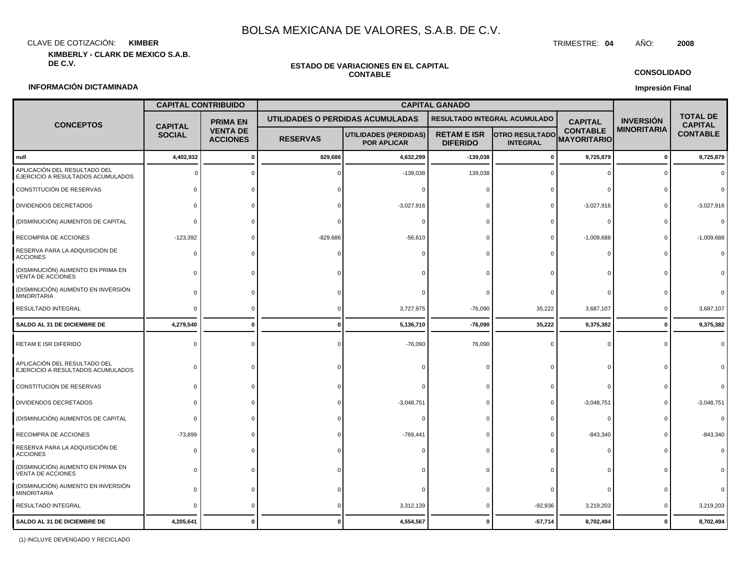CLAVE DE COTIZACIÓN: TRIMESTRE: **04** AÑO: **2008 KIMBER**

**KIMBERLY - CLARK DE MEXICO S.A.B.**

#### **ESTADO DE VARIACIONES EN EL CAPITAL CONTABLE**

**CONSOLIDADO**

#### **Impresión Final**

#### **INFORMACIÓN DICTAMINADA**

|                                                                   | <b>CAPITAL CONTRIBUIDO</b>      |                                    | <b>CAPITAL GANADO</b> |                                                    |                                       |                                          |                                       |                    |                                   |
|-------------------------------------------------------------------|---------------------------------|------------------------------------|-----------------------|----------------------------------------------------|---------------------------------------|------------------------------------------|---------------------------------------|--------------------|-----------------------------------|
| <b>CONCEPTOS</b>                                                  |                                 | <b>PRIMA EN</b>                    |                       | UTILIDADES O PERDIDAS ACUMULADAS                   | RESULTADO INTEGRAL ACUMULADO          |                                          | <b>CAPITAL</b>                        | <b>INVERSION</b>   | <b>TOTAL DE</b><br><b>CAPITAL</b> |
|                                                                   | <b>CAPITAL</b><br><b>SOCIAL</b> | <b>VENTA DE</b><br><b>ACCIONES</b> | <b>RESERVAS</b>       | <b>UTILIDADES (PERDIDAS)</b><br><b>POR APLICAR</b> | <b>RETAM E ISR</b><br><b>DIFERIDO</b> | <b>OTRO RESULTADO</b><br><b>INTEGRAL</b> | <b>CONTABLE</b><br><b>MAYORITARIO</b> | <b>MINORITARIA</b> | <b>CONTABLE</b>                   |
| null                                                              | 4,402,932                       | $\mathbf{0}$                       | 829,686               | 4,632,299                                          | $-139,038$                            | $\mathbf 0$                              | 9,725,879                             | $\mathbf 0$        | 9,725,879                         |
| APLICACIÓN DEL RESULTADO DEL<br>EJERCICIO A RESULTADOS ACUMULADOS |                                 |                                    |                       | $-139,038$                                         | 139,038                               | - 0                                      | $\Omega$                              | $\Omega$           |                                   |
| CONSTITUCIÓN DE RESERVAS                                          | $\Omega$                        | $\Omega$                           |                       | $\Omega$                                           |                                       |                                          | $\Omega$                              |                    |                                   |
| DIVIDENDOS DECRETADOS                                             |                                 |                                    |                       | $-3,027,916$                                       |                                       |                                          | $-3,027,916$                          |                    | $-3,027,916$                      |
| (DISMINUCIÓN) AUMENTOS DE CAPITAL                                 |                                 |                                    |                       | $\Omega$                                           |                                       |                                          | $\Omega$                              |                    |                                   |
| RECOMPRA DE ACCIONES                                              | $-123,392$                      |                                    | $-829,686$            | $-56,610$                                          |                                       |                                          | $-1,009,688$                          | $\Omega$           | $-1,009,688$                      |
| RESERVA PARA LA ADQUISICIÓN DE<br><b>ACCIONES</b>                 | $\Omega$                        |                                    |                       | $\Omega$                                           |                                       |                                          | $\Omega$                              |                    |                                   |
| (DISMINUCIÓN) AUMENTO EN PRIMA EN<br>VENTA DE ACCIONES            |                                 |                                    |                       |                                                    |                                       |                                          |                                       |                    |                                   |
| (DISMINUCIÓN) AUMENTO EN INVERSIÓN<br><b>MINORITARIA</b>          | <sup>0</sup>                    |                                    |                       |                                                    |                                       |                                          | $\Omega$                              |                    |                                   |
| RESULTADO INTEGRAL                                                | $\Omega$                        |                                    | $\Omega$              | 3,727,975                                          | $-76,090$                             | 35,222                                   | 3,687,107                             | $\Omega$           | 3,687,107                         |
| SALDO AL 31 DE DICIEMBRE DE                                       | 4,279,540                       |                                    | $\Omega$              | 5,136,710                                          | $-76,090$                             | 35,222                                   | 9,375,382                             | $\mathbf{0}$       | 9,375,382                         |
| RETAM E ISR DIFERIDO                                              | $\Omega$                        |                                    |                       | $-76,090$                                          | 76,090                                | $\Omega$                                 | $\Omega$                              |                    |                                   |
| APLICACIÓN DEL RESULTADO DEL<br>EJERCICIO A RESULTADOS ACUMULADOS | $\Omega$                        |                                    |                       |                                                    |                                       |                                          | $\Omega$                              |                    |                                   |
| CONSTITUCIÓN DE RESERVAS                                          | <sup>0</sup>                    |                                    |                       | $\Omega$                                           |                                       |                                          | $\Omega$                              |                    |                                   |
| DIVIDENDOS DECRETADOS                                             |                                 |                                    |                       | $-3,048,751$                                       |                                       |                                          | $-3,048,751$                          |                    | $-3,048,751$                      |
| (DISMINUCIÓN) AUMENTOS DE CAPITAL                                 | $\Omega$                        |                                    |                       | $\Omega$                                           |                                       |                                          | $\Omega$                              |                    |                                   |
| RECOMPRA DE ACCIONES                                              | $-73,899$                       |                                    |                       | $-769,441$                                         |                                       |                                          | $-843,340$                            |                    | $-843,340$                        |
| RESERVA PARA LA ADQUISICIÓN DE<br><b>ACCIONES</b>                 | $\Omega$                        |                                    |                       |                                                    |                                       |                                          |                                       |                    |                                   |
| (DISMINUCIÓN) AUMENTO EN PRIMA EN<br>VENTA DE ACCIONES            | <sup>0</sup>                    |                                    |                       |                                                    |                                       |                                          |                                       |                    |                                   |
| (DISMINUCIÓN) AUMENTO EN INVERSIÓN<br><b>MINORITARIA</b>          | <sup>0</sup>                    |                                    |                       | $\Omega$                                           |                                       |                                          | $\Omega$                              |                    |                                   |
| RESULTADO INTEGRAL                                                |                                 |                                    |                       | 3,312,139                                          | $\mathbf{0}$                          | $-92,936$                                | 3,219,203                             | $\Omega$           | 3,219,203                         |
| SALDO AL 31 DE DICIEMBRE DE                                       | 4,205,641                       |                                    |                       | 4,554,567                                          |                                       | $-57,714$                                | 8,702,494                             | $\Omega$           | 8,702,494                         |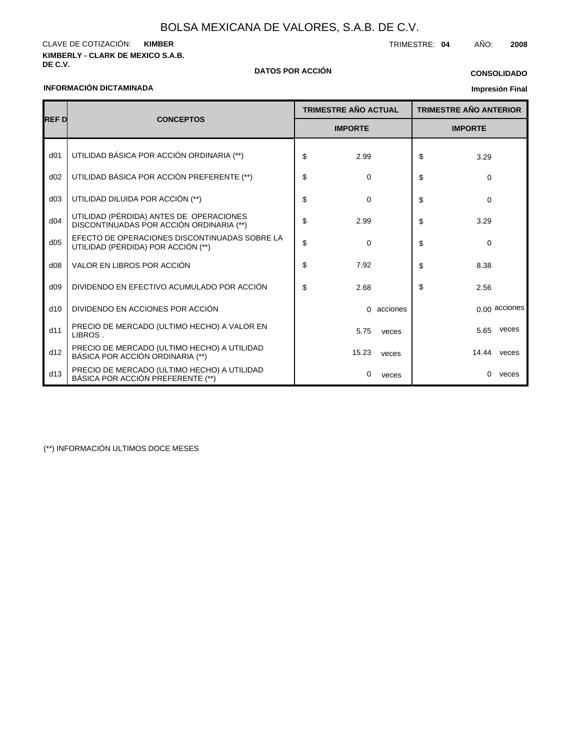**KIMBERLY - CLARK DE MEXICO S.A.B.** CLAVE DE COTIZACIÓN: TRIMESTRE: **04** AÑO: **2008 KIMBER**

## **INFORMACIÓN DICTAMINADA**

## **DE C.V. DATOS POR ACCIÓN**

## **CONSOLIDADO**

## **Impresión Final**

|                 |                                                                                     |    | <b>TRIMESTRE AÑO ACTUAL</b> |            |    | <b>TRIMESTRE AÑO ANTERIOR</b> |               |  |
|-----------------|-------------------------------------------------------------------------------------|----|-----------------------------|------------|----|-------------------------------|---------------|--|
| <b>REFD</b>     | <b>CONCEPTOS</b>                                                                    |    | <b>IMPORTE</b>              |            |    | <b>IMPORTE</b>                |               |  |
| d <sub>01</sub> | UTILIDAD BÁSICA POR ACCIÓN ORDINARIA (**)                                           | \$ | 2.99                        |            | \$ | 3.29                          |               |  |
| d02             | UTILIDAD BÁSICA POR ACCIÓN PREFERENTE (**)                                          | \$ | 0                           |            | \$ | $\Omega$                      |               |  |
| d03             | UTILIDAD DILUIDA POR ACCIÓN (**)                                                    | \$ | $\Omega$                    |            | \$ | $\Omega$                      |               |  |
| d04             | UTILIDAD (PÉRDIDA) ANTES DE OPERACIONES<br>DISCONTINUADAS POR ACCIÓN ORDINARIA (**) | \$ | 2.99                        |            | \$ | 3.29                          |               |  |
| d05             | EFECTO DE OPERACIONES DISCONTINUADAS SOBRE LA<br>UTILIDAD (PÉRDIDA) POR ACCIÓN (**) | \$ | $\Omega$                    |            | \$ | $\Omega$                      |               |  |
| d08             | VALOR EN LIBROS POR ACCIÓN                                                          | \$ | 7.92                        |            | \$ | 8.38                          |               |  |
| d09             | DIVIDENDO EN EFECTIVO ACUMULADO POR ACCIÓN                                          | \$ | 2.68                        |            | \$ | 2.56                          |               |  |
| d10             | DIVIDENDO EN ACCIONES POR ACCIÓN                                                    |    |                             | 0 acciones |    |                               | 0.00 acciones |  |
| d11             | PRECIO DE MERCADO (ULTIMO HECHO) A VALOR EN<br>LIBROS.                              |    | 5.75                        | veces      |    | 5.65                          | veces         |  |
| d12             | PRECIO DE MERCADO (ULTIMO HECHO) A UTILIDAD<br>BÁSICA POR ACCIÓN ORDINARIA (**)     |    | 15.23                       | veces      |    | 14.44 veces                   |               |  |
| d13             | PRECIO DE MERCADO (ULTIMO HECHO) A UTILIDAD<br>BÁSICA POR ACCIÓN PREFERENTE (**)    |    | 0                           | veces      |    | $\Omega$                      | veces         |  |

(\*\*) INFORMACIÓN ULTIMOS DOCE MESES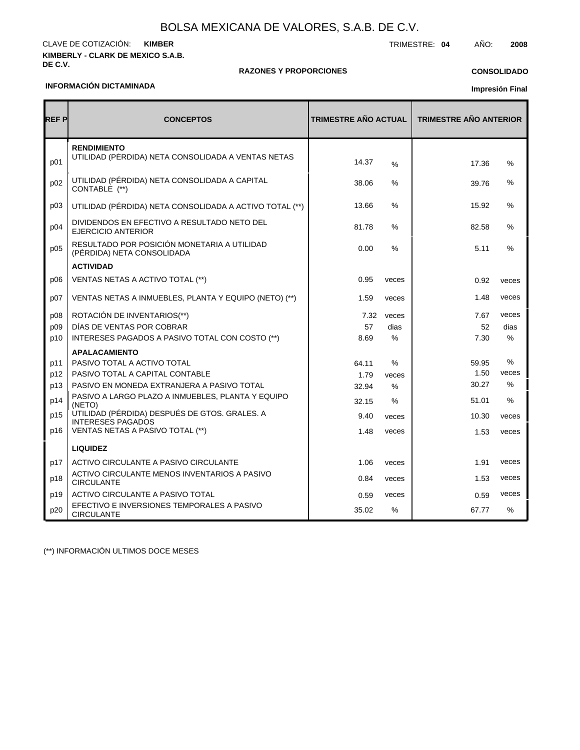#### **KIMBERLY - CLARK DE MEXICO S.A.B. DE C.V.** CLAVE DE COTIZACIÓN: TRIMESTRE: **04** AÑO: **2008 KIMBER**

#### **RAZONES Y PROPORCIONES**

## **CONSOLIDADO**

#### **INFORMACIÓN DICTAMINADA**

**Impresión Final**

| <b>REF P</b> | <b>CONCEPTOS</b>                                                          | TRIMESTRE AÑO ACTUAL |       | <b>TRIMESTRE AÑO ANTERIOR</b> |       |
|--------------|---------------------------------------------------------------------------|----------------------|-------|-------------------------------|-------|
| p01          | <b>RENDIMIENTO</b><br>UTILIDAD (PÉRDIDA) NETA CONSOLIDADA A VENTAS NETAS  | 14.37                | $\%$  | 17.36                         | %     |
| p02          | UTILIDAD (PÉRDIDA) NETA CONSOLIDADA A CAPITAL<br>CONTABLE (**)            | 38.06                | %     | 39.76                         | %     |
| p03          | UTILIDAD (PÉRDIDA) NETA CONSOLIDADA A ACTIVO TOTAL (**)                   | 13.66                | %     | 15.92                         | %     |
| p04          | DIVIDENDOS EN EFECTIVO A RESULTADO NETO DEL<br><b>EJERCICIO ANTERIOR</b>  | 81.78                | $\%$  | 82.58                         | $\%$  |
| p05          | RESULTADO POR POSICIÓN MONETARIA A UTILIDAD<br>(PÉRDIDA) NETA CONSOLIDADA | 0.00                 | $\%$  | 5.11                          | $\%$  |
|              | <b>ACTIVIDAD</b>                                                          |                      |       |                               |       |
| p06          | VENTAS NETAS A ACTIVO TOTAL (**)                                          | 0.95                 | veces | 0.92                          | veces |
| p07          | VENTAS NETAS A INMUEBLES, PLANTA Y EQUIPO (NETO) (**)                     | 1.59                 | veces | 1.48                          | veces |
| p08          | ROTACIÓN DE INVENTARIOS(**)                                               | 7.32                 | veces | 7.67                          | veces |
| p09          | DÍAS DE VENTAS POR COBRAR                                                 | 57                   | dias  | 52                            | dias  |
| p10          | INTERESES PAGADOS A PASIVO TOTAL CON COSTO (**)                           | 8.69                 | %     | 7.30                          | %     |
|              | <b>APALACAMIENTO</b>                                                      |                      |       |                               |       |
| p11          | PASIVO TOTAL A ACTIVO TOTAL                                               | 64.11                | $\%$  | 59.95                         | $\%$  |
| p12          | PASIVO TOTAL A CAPITAL CONTABLE                                           | 1.79                 | veces | 1.50                          | veces |
| p13          | PASIVO EN MONEDA EXTRANJERA A PASIVO TOTAL                                | 32.94                | %     | 30.27                         | %     |
| p14          | PASIVO A LARGO PLAZO A INMUEBLES, PLANTA Y EQUIPO<br>(NETO)               | 32.15                | %     | 51.01                         | %     |
| p15          | UTILIDAD (PÉRDIDA) DESPUÉS DE GTOS. GRALES. A<br><b>INTERESES PAGADOS</b> | 9.40                 | veces | 10.30                         | veces |
| p16          | VENTAS NETAS A PASIVO TOTAL (**)                                          | 1.48                 | veces | 1.53                          | veces |
|              | <b>LIQUIDEZ</b>                                                           |                      |       |                               |       |
| p17          | ACTIVO CIRCULANTE A PASIVO CIRCULANTE                                     | 1.06                 | veces | 1.91                          | veces |
| p18          | ACTIVO CIRCULANTE MENOS INVENTARIOS A PASIVO<br><b>CIRCULANTE</b>         | 0.84                 | veces | 1.53                          | veces |
| p19          | ACTIVO CIRCULANTE A PASIVO TOTAL                                          | 0.59                 | veces | 0.59                          | veces |
| p20          | EFECTIVO E INVERSIONES TEMPORALES A PASIVO<br><b>CIRCULANTE</b>           | 35.02                | $\%$  | 67.77                         | $\%$  |

(\*\*) INFORMACIÓN ULTIMOS DOCE MESES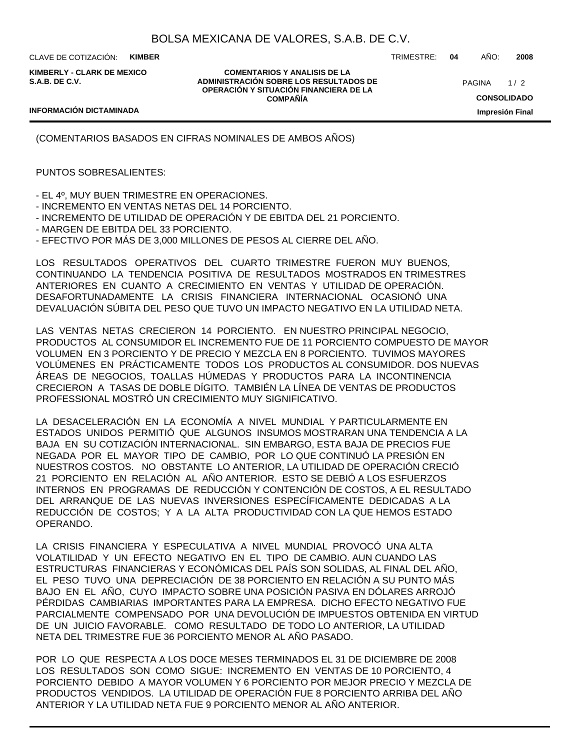CLAVE DE COTIZACIÓN: **KIMBER**

**KIMBERLY - CLARK DE MEXICO S.A.B. DE C.V.**

**COMENTARIOS Y ANALISIS DE LA ADMINISTRACIÓN SOBRE LOS RESULTADOS DE OPERACIÓN Y SITUACIÓN FINANCIERA DE LA COMPAÑÍA**

 $1/2$ **PAGINA** 

TRIMESTRE: **04** AÑO: **2008**

### **INFORMACIÓN DICTAMINADA**

**CONSOLIDADO Impresión Final**

(COMENTARIOS BASADOS EN CIFRAS NOMINALES DE AMBOS AÑOS)

## PUNTOS SOBRESALIENTES:

- EL 4º, MUY BUEN TRIMESTRE EN OPERACIONES.

- INCREMENTO EN VENTAS NETAS DEL 14 PORCIENTO.

- INCREMENTO DE UTILIDAD DE OPERACIÓN Y DE EBITDA DEL 21 PORCIENTO.

- MARGEN DE EBITDA DEL 33 PORCIENTO.

- EFECTIVO POR MÁS DE 3,000 MILLONES DE PESOS AL CIERRE DEL AÑO.

LOS RESULTADOS OPERATIVOS DEL CUARTO TRIMESTRE FUERON MUY BUENOS, CONTINUANDO LA TENDENCIA POSITIVA DE RESULTADOS MOSTRADOS EN TRIMESTRES ANTERIORES EN CUANTO A CRECIMIENTO EN VENTAS Y UTILIDAD DE OPERACIÓN. DESAFORTUNADAMENTE LA CRISIS FINANCIERA INTERNACIONAL OCASIONÓ UNA DEVALUACIÓN SÚBITA DEL PESO QUE TUVO UN IMPACTO NEGATIVO EN LA UTILIDAD NETA.

LAS VENTAS NETAS CRECIERON 14 PORCIENTO. EN NUESTRO PRINCIPAL NEGOCIO, PRODUCTOS AL CONSUMIDOR EL INCREMENTO FUE DE 11 PORCIENTO COMPUESTO DE MAYOR VOLUMEN EN 3 PORCIENTO Y DE PRECIO Y MEZCLA EN 8 PORCIENTO. TUVIMOS MAYORES VOLÚMENES EN PRÁCTICAMENTE TODOS LOS PRODUCTOS AL CONSUMIDOR. DOS NUEVAS ÁREAS DE NEGOCIOS, TOALLAS HÚMEDAS Y PRODUCTOS PARA LA INCONTINENCIA CRECIERON A TASAS DE DOBLE DÍGITO. TAMBIÉN LA LÍNEA DE VENTAS DE PRODUCTOS PROFESSIONAL MOSTRÓ UN CRECIMIENTO MUY SIGNIFICATIVO.

LA DESACELERACIÓN EN LA ECONOMÍA A NIVEL MUNDIAL Y PARTICULARMENTE EN ESTADOS UNIDOS PERMITIÓ QUE ALGUNOS INSUMOS MOSTRARAN UNA TENDENCIA A LA BAJA EN SU COTIZACIÓN INTERNACIONAL. SIN EMBARGO, ESTA BAJA DE PRECIOS FUE NEGADA POR EL MAYOR TIPO DE CAMBIO, POR LO QUE CONTINUÓ LA PRESIÓN EN NUESTROS COSTOS. NO OBSTANTE LO ANTERIOR, LA UTILIDAD DE OPERACIÓN CRECIÓ 21 PORCIENTO EN RELACIÓN AL AÑO ANTERIOR. ESTO SE DEBIÓ A LOS ESFUERZOS INTERNOS EN PROGRAMAS DE REDUCCIÓN Y CONTENCIÓN DE COSTOS, A EL RESULTADO DEL ARRANQUE DE LAS NUEVAS INVERSIONES ESPECÍFICAMENTE DEDICADAS A LA REDUCCIÓN DE COSTOS; Y A LA ALTA PRODUCTIVIDAD CON LA QUE HEMOS ESTADO OPERANDO.

LA CRISIS FINANCIERA Y ESPECULATIVA A NIVEL MUNDIAL PROVOCÓ UNA ALTA VOLATILIDAD Y UN EFECTO NEGATIVO EN EL TIPO DE CAMBIO. AUN CUANDO LAS ESTRUCTURAS FINANCIERAS Y ECONÓMICAS DEL PAÍS SON SOLIDAS, AL FINAL DEL AÑO, EL PESO TUVO UNA DEPRECIACIÓN DE 38 PORCIENTO EN RELACIÓN A SU PUNTO MÁS BAJO EN EL AÑO, CUYO IMPACTO SOBRE UNA POSICIÓN PASIVA EN DÓLARES ARROJÓ PÉRDIDAS CAMBIARIAS IMPORTANTES PARA LA EMPRESA. DICHO EFECTO NEGATIVO FUE PARCIALMENTE COMPENSADO POR UNA DEVOLUCIÓN DE IMPUESTOS OBTENIDA EN VIRTUD DE UN JUICIO FAVORABLE. COMO RESULTADO DE TODO LO ANTERIOR, LA UTILIDAD NETA DEL TRIMESTRE FUE 36 PORCIENTO MENOR AL AÑO PASADO.

POR LO QUE RESPECTA A LOS DOCE MESES TERMINADOS EL 31 DE DICIEMBRE DE 2008 LOS RESULTADOS SON COMO SIGUE: INCREMENTO EN VENTAS DE 10 PORCIENTO, 4 PORCIENTO DEBIDO A MAYOR VOLUMEN Y 6 PORCIENTO POR MEJOR PRECIO Y MEZCLA DE PRODUCTOS VENDIDOS. LA UTILIDAD DE OPERACIÓN FUE 8 PORCIENTO ARRIBA DEL AÑO ANTERIOR Y LA UTILIDAD NETA FUE 9 PORCIENTO MENOR AL AÑO ANTERIOR.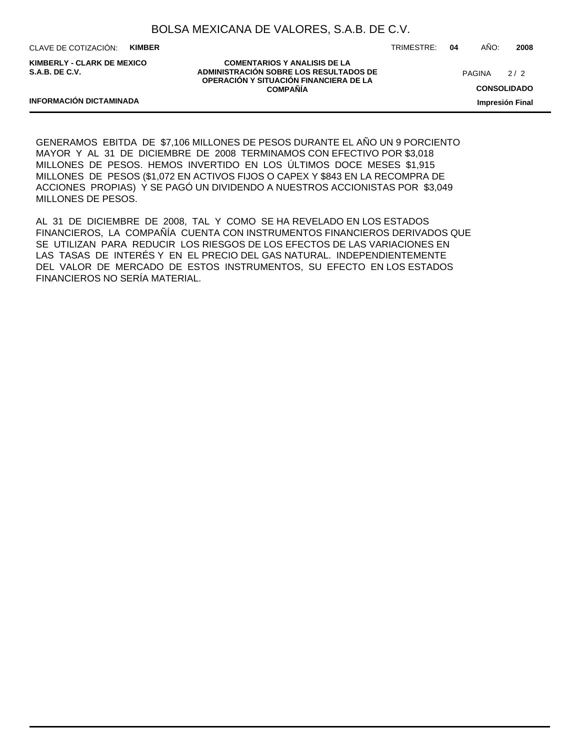CLAVE DE COTIZACIÓN: **KIMBER**

**KIMBERLY - CLARK DE MEXICO S.A.B. DE C.V.**

**INFORMACIÓN DICTAMINADA**

**COMENTARIOS Y ANALISIS DE LA ADMINISTRACIÓN SOBRE LOS RESULTADOS DE OPERACIÓN Y SITUACIÓN FINANCIERA DE LA COMPAÑÍA**

TRIMESTRE: **04** AÑO: **2008**

 $2/2$ **PAGINA** 

**CONSOLIDADO**

**Impresión Final**

GENERAMOS EBITDA DE \$7,106 MILLONES DE PESOS DURANTE EL AÑO UN 9 PORCIENTO MAYOR Y AL 31 DE DICIEMBRE DE 2008 TERMINAMOS CON EFECTIVO POR \$3,018 MILLONES DE PESOS. HEMOS INVERTIDO EN LOS ÚLTIMOS DOCE MESES \$1,915 MILLONES DE PESOS (\$1,072 EN ACTIVOS FIJOS O CAPEX Y \$843 EN LA RECOMPRA DE ACCIONES PROPIAS) Y SE PAGÓ UN DIVIDENDO A NUESTROS ACCIONISTAS POR \$3,049 MILLONES DE PESOS.

AL 31 DE DICIEMBRE DE 2008, TAL Y COMO SE HA REVELADO EN LOS ESTADOS FINANCIEROS, LA COMPAÑÍA CUENTA CON INSTRUMENTOS FINANCIEROS DERIVADOS QUE SE UTILIZAN PARA REDUCIR LOS RIESGOS DE LOS EFECTOS DE LAS VARIACIONES EN LAS TASAS DE INTERÉS Y EN EL PRECIO DEL GAS NATURAL. INDEPENDIENTEMENTE DEL VALOR DE MERCADO DE ESTOS INSTRUMENTOS, SU EFECTO EN LOS ESTADOS FINANCIEROS NO SERÍA MATERIAL.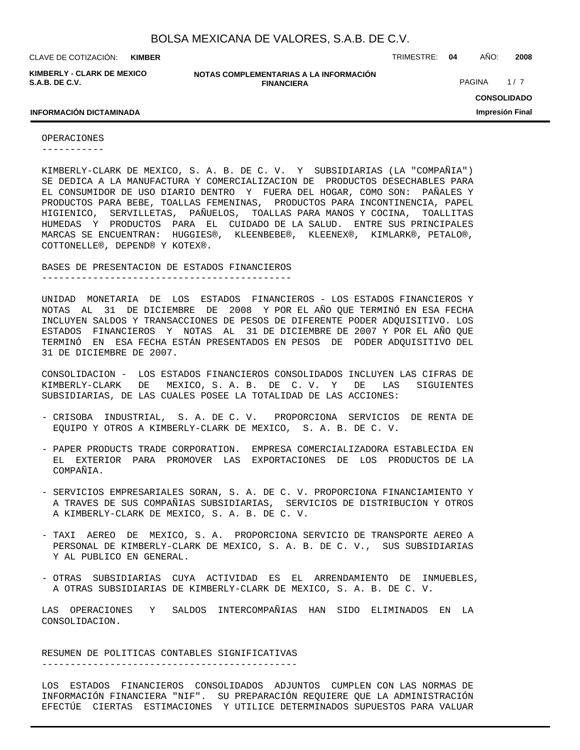**KIMBERLY - CLARK DE MEXICO S.A.B. DE C.V.**

**NOTAS COMPLEMENTARIAS A LA INFORMACIÓN FINANCIERA**

CLAVE DE COTIZACIÓN: TRIMESTRE: **04** AÑO: **2008**

PAGINA 1/7

**CONSOLIDADO Impresión Final**

#### **INFORMACIÓN DICTAMINADA**

OPERACIONES

-----------

KIMBERLY-CLARK DE MEXICO, S. A. B. DE C. V. Y SUBSIDIARIAS (LA "COMPAÑIA") SE DEDICA A LA MANUFACTURA Y COMERCIALIZACION DE PRODUCTOS DESECHABLES PARA EL CONSUMIDOR DE USO DIARIO DENTRO Y FUERA DEL HOGAR, COMO SON: PAÑALES Y PRODUCTOS PARA BEBE, TOALLAS FEMENINAS, PRODUCTOS PARA INCONTINENCIA, PAPEL HIGIENICO, SERVILLETAS, PAÑUELOS, TOALLAS PARA MANOS Y COCINA, TOALLITAS HUMEDAS Y PRODUCTOS PARA EL CUIDADO DE LA SALUD. ENTRE SUS PRINCIPALES MARCAS SE ENCUENTRAN: HUGGIES®, KLEENBEBE®, KLEENEX®, KIMLARK®, PETALO®, COTTONELLE®, DEPEND® Y KOTEX®.

BASES DE PRESENTACION DE ESTADOS FINANCIEROS --------------------------------------------

UNIDAD MONETARIA DE LOS ESTADOS FINANCIEROS - LOS ESTADOS FINANCIEROS Y NOTAS AL 31 DE DICIEMBRE DE 2008 Y POR EL AÑO QUE TERMINÓ EN ESA FECHA INCLUYEN SALDOS Y TRANSACCIONES DE PESOS DE DIFERENTE PODER ADQUISITIVO. LOS ESTADOS FINANCIEROS Y NOTAS AL 31 DE DICIEMBRE DE 2007 Y POR EL AÑO QUE TERMINÓ EN ESA FECHA ESTÁN PRESENTADOS EN PESOS DE PODER ADQUISITIVO DEL 31 DE DICIEMBRE DE 2007.

CONSOLIDACION - LOS ESTADOS FINANCIEROS CONSOLIDADOS INCLUYEN LAS CIFRAS DE KIMBERLY-CLARK DE MEXICO, S. A. B. DE C. V. Y DE LAS SIGUIENTES SUBSIDIARIAS, DE LAS CUALES POSEE LA TOTALIDAD DE LAS ACCIONES:

- CRISOBA INDUSTRIAL, S. A. DE C. V. PROPORCIONA SERVICIOS DE RENTA DE EQUIPO Y OTROS A KIMBERLY-CLARK DE MEXICO, S. A. B. DE C. V.
- PAPER PRODUCTS TRADE CORPORATION. EMPRESA COMERCIALIZADORA ESTABLECIDA EN EL EXTERIOR PARA PROMOVER LAS EXPORTACIONES DE LOS PRODUCTOS DE LA COMPAÑIA.
- SERVICIOS EMPRESARIALES SORAN, S. A. DE C. V. PROPORCIONA FINANCIAMIENTO Y A TRAVES DE SUS COMPAÑIAS SUBSIDIARIAS, SERVICIOS DE DISTRIBUCION Y OTROS A KIMBERLY-CLARK DE MEXICO, S. A. B. DE C. V.
- TAXI AEREO DE MEXICO, S. A. PROPORCIONA SERVICIO DE TRANSPORTE AEREO A PERSONAL DE KIMBERLY-CLARK DE MEXICO, S. A. B. DE C. V., SUS SUBSIDIARIAS Y AL PUBLICO EN GENERAL.
- OTRAS SUBSIDIARIAS CUYA ACTIVIDAD ES EL ARRENDAMIENTO DE INMUEBLES, A OTRAS SUBSIDIARIAS DE KIMBERLY-CLARK DE MEXICO, S. A. B. DE C. V.

LAS OPERACIONES Y SALDOS INTERCOMPAÑIAS HAN SIDO ELIMINADOS EN LA CONSOLIDACION.

RESUMEN DE POLITICAS CONTABLES SIGNIFICATIVAS ---------------------------------------------

LOS ESTADOS FINANCIEROS CONSOLIDADOS ADJUNTOS CUMPLEN CON LAS NORMAS DE INFORMACIÓN FINANCIERA "NIF". SU PREPARACIÓN REQUIERE QUE LA ADMINISTRACIÓN EFECTÚE CIERTAS ESTIMACIONES Y UTILICE DETERMINADOS SUPUESTOS PARA VALUAR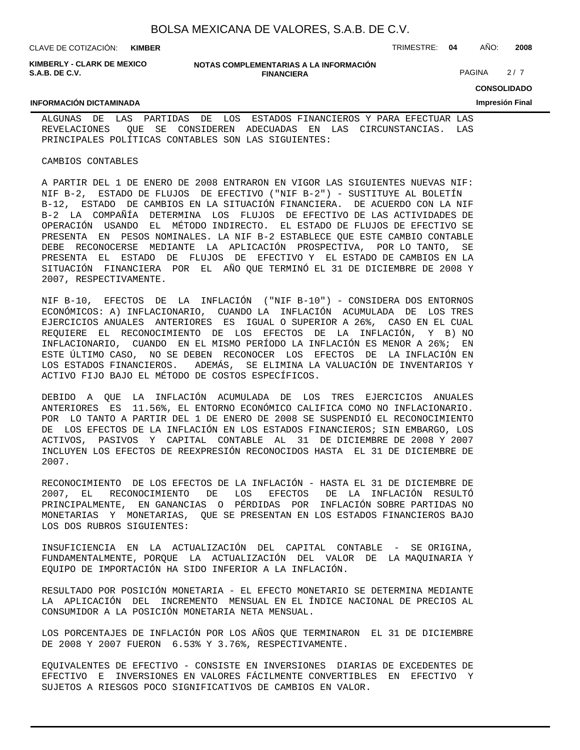CLAVE DE COTIZACIÓN: TRIMESTRE: **04** AÑO: **2008**

**KIMBERLY - CLARK DE MEXICO S.A.B. DE C.V.**

#### **NOTAS COMPLEMENTARIAS A LA INFORMACIÓN FINANCIERA**

PAGINA 2/7

**CONSOLIDADO**

**Impresión Final**

#### **INFORMACIÓN DICTAMINADA**

ALGUNAS DE LAS PARTIDAS DE LOS ESTADOS FINANCIEROS Y PARA EFECTUAR LAS REVELACIONES QUE SE CONSIDEREN ADECUADAS EN LAS CIRCUNSTANCIAS. LAS PRINCIPALES POLÍTICAS CONTABLES SON LAS SIGUIENTES:

#### CAMBIOS CONTABLES

A PARTIR DEL 1 DE ENERO DE 2008 ENTRARON EN VIGOR LAS SIGUIENTES NUEVAS NIF: NIF B-2, ESTADO DE FLUJOS DE EFECTIVO ("NIF B-2") - SUSTITUYE AL BOLETÍN B-12, ESTADO DE CAMBIOS EN LA SITUACIÓN FINANCIERA. DE ACUERDO CON LA NIF B-2 LA COMPAÑÍA DETERMINA LOS FLUJOS DE EFECTIVO DE LAS ACTIVIDADES DE OPERACIÓN USANDO EL MÉTODO INDIRECTO. EL ESTADO DE FLUJOS DE EFECTIVO SE PRESENTA EN PESOS NOMINALES. LA NIF B-2 ESTABLECE QUE ESTE CAMBIO CONTABLE DEBE RECONOCERSE MEDIANTE LA APLICACIÓN PROSPECTIVA, POR LO TANTO, SE PRESENTA EL ESTADO DE FLUJOS DE EFECTIVO Y EL ESTADO DE CAMBIOS EN LA SITUACIÓN FINANCIERA POR EL AÑO QUE TERMINÓ EL 31 DE DICIEMBRE DE 2008 Y 2007, RESPECTIVAMENTE.

NIF B-10, EFECTOS DE LA INFLACIÓN ("NIF B-10") - CONSIDERA DOS ENTORNOS ECONÓMICOS: A) INFLACIONARIO, CUANDO LA INFLACIÓN ACUMULADA DE LOS TRES EJERCICIOS ANUALES ANTERIORES ES IGUAL O SUPERIOR A 26%, CASO EN EL CUAL REQUIERE EL RECONOCIMIENTO DE LOS EFECTOS DE LA INFLACIÓN, Y B) NO INFLACIONARIO, CUANDO EN EL MISMO PERÍODO LA INFLACIÓN ES MENOR A 26%; EN ESTE ÚLTIMO CASO, NO SE DEBEN RECONOCER LOS EFECTOS DE LA INFLACIÓN EN LOS ESTADOS FINANCIEROS. ADEMÁS, SE ELIMINA LA VALUACIÓN DE INVENTARIOS Y ACTIVO FIJO BAJO EL MÉTODO DE COSTOS ESPECÍFICOS.

DEBIDO A QUE LA INFLACIÓN ACUMULADA DE LOS TRES EJERCICIOS ANUALES ANTERIORES ES 11.56%, EL ENTORNO ECONÓMICO CALIFICA COMO NO INFLACIONARIO. POR LO TANTO A PARTIR DEL 1 DE ENERO DE 2008 SE SUSPENDIÓ EL RECONOCIMIENTO DE LOS EFECTOS DE LA INFLACIÓN EN LOS ESTADOS FINANCIEROS; SIN EMBARGO, LOS ACTIVOS, PASIVOS Y CAPITAL CONTABLE AL 31 DE DICIEMBRE DE 2008 Y 2007 INCLUYEN LOS EFECTOS DE REEXPRESIÓN RECONOCIDOS HASTA EL 31 DE DICIEMBRE DE 2007.

RECONOCIMIENTO DE LOS EFECTOS DE LA INFLACIÓN - HASTA EL 31 DE DICIEMBRE DE 2007, EL RECONOCIMIENTO DE LOS EFECTOS DE LA INFLACIÓN RESULTÓ PRINCIPALMENTE, EN GANANCIAS O PÉRDIDAS POR INFLACIÓN SOBRE PARTIDAS NO MONETARIAS Y MONETARIAS, QUE SE PRESENTAN EN LOS ESTADOS FINANCIEROS BAJO LOS DOS RUBROS SIGUIENTES:

INSUFICIENCIA EN LA ACTUALIZACIÓN DEL CAPITAL CONTABLE - SE ORIGINA, FUNDAMENTALMENTE, PORQUE LA ACTUALIZACIÓN DEL VALOR DE LA MAQUINARIA Y EQUIPO DE IMPORTACIÓN HA SIDO INFERIOR A LA INFLACIÓN.

RESULTADO POR POSICIÓN MONETARIA - EL EFECTO MONETARIO SE DETERMINA MEDIANTE LA APLICACIÓN DEL INCREMENTO MENSUAL EN EL ÍNDICE NACIONAL DE PRECIOS AL CONSUMIDOR A LA POSICIÓN MONETARIA NETA MENSUAL.

LOS PORCENTAJES DE INFLACIÓN POR LOS AÑOS QUE TERMINARON EL 31 DE DICIEMBRE DE 2008 Y 2007 FUERON 6.53% Y 3.76%, RESPECTIVAMENTE.

EQUIVALENTES DE EFECTIVO - CONSISTE EN INVERSIONES DIARIAS DE EXCEDENTES DE EFECTIVO E INVERSIONES EN VALORES FÁCILMENTE CONVERTIBLES EN EFECTIVO Y SUJETOS A RIESGOS POCO SIGNIFICATIVOS DE CAMBIOS EN VALOR.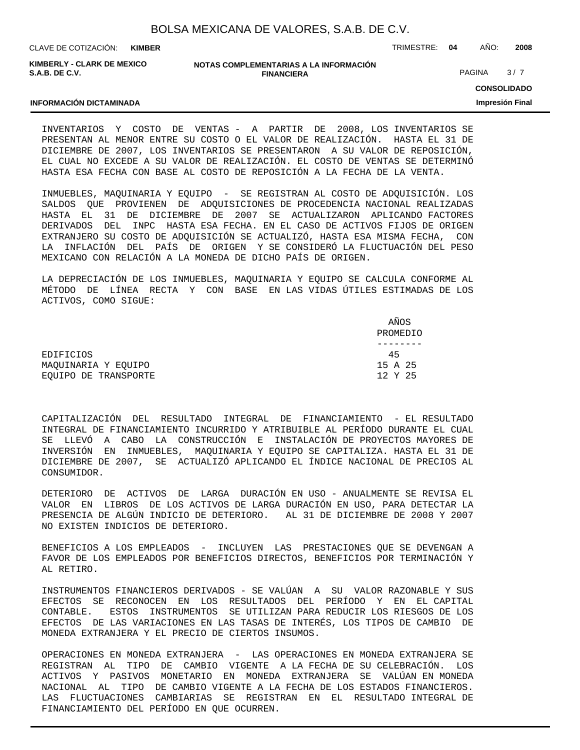| BOLSA MEXICANA DE VALORES, S.A.B. DE C.V. |
|-------------------------------------------|
|-------------------------------------------|

CLAVE DE COTIZACIÓN: TRIMESTRE: **04** AÑO: **2008 KIMBER**

**KIMBERLY - CLARK DE MEXICO S.A.B. DE C.V.**

**INFORMACIÓN DICTAMINADA**

#### **NOTAS COMPLEMENTARIAS A LA INFORMACIÓN FINANCIERA**

PAGINA 3/7

**CONSOLIDADO**

**Impresión Final**

INVENTARIOS Y COSTO DE VENTAS - A PARTIR DE 2008, LOS INVENTARIOS SE PRESENTAN AL MENOR ENTRE SU COSTO O EL VALOR DE REALIZACIÓN. HASTA EL 31 DE DICIEMBRE DE 2007, LOS INVENTARIOS SE PRESENTARON A SU VALOR DE REPOSICIÓN, EL CUAL NO EXCEDE A SU VALOR DE REALIZACIÓN. EL COSTO DE VENTAS SE DETERMINÓ HASTA ESA FECHA CON BASE AL COSTO DE REPOSICIÓN A LA FECHA DE LA VENTA.

INMUEBLES, MAQUINARIA Y EQUIPO - SE REGISTRAN AL COSTO DE ADQUISICIÓN. LOS SALDOS QUE PROVIENEN DE ADQUISICIONES DE PROCEDENCIA NACIONAL REALIZADAS HASTA EL 31 DE DICIEMBRE DE 2007 SE ACTUALIZARON APLICANDO FACTORES DERIVADOS DEL INPC HASTA ESA FECHA. EN EL CASO DE ACTIVOS FIJOS DE ORIGEN EXTRANJERO SU COSTO DE ADQUISICIÓN SE ACTUALIZÓ, HASTA ESA MISMA FECHA, CON LA INFLACIÓN DEL PAÍS DE ORIGEN Y SE CONSIDERÓ LA FLUCTUACIÓN DEL PESO MEXICANO CON RELACIÓN A LA MONEDA DE DICHO PAÍS DE ORIGEN.

LA DEPRECIACIÓN DE LOS INMUEBLES, MAQUINARIA Y EQUIPO SE CALCULA CONFORME AL MÉTODO DE LÍNEA RECTA Y CON BASE EN LAS VIDAS ÚTILES ESTIMADAS DE LOS ACTIVOS, COMO SIGUE:

|                      | AÑOS     |
|----------------------|----------|
|                      | PROMEDIO |
|                      |          |
| EDIFICIOS            | 45       |
| MAOUINARIA Y EOUIPO  | 15 A 25  |
| EOUIPO DE TRANSPORTE | 12 Y 25  |

CAPITALIZACIÓN DEL RESULTADO INTEGRAL DE FINANCIAMIENTO - EL RESULTADO INTEGRAL DE FINANCIAMIENTO INCURRIDO Y ATRIBUIBLE AL PERÍODO DURANTE EL CUAL SE LLEVÓ A CABO LA CONSTRUCCIÓN E INSTALACIÓN DE PROYECTOS MAYORES DE INVERSIÓN EN INMUEBLES, MAQUINARIA Y EQUIPO SE CAPITALIZA. HASTA EL 31 DE DICIEMBRE DE 2007, SE ACTUALIZÓ APLICANDO EL ÍNDICE NACIONAL DE PRECIOS AL CONSUMIDOR.

DETERIORO DE ACTIVOS DE LARGA DURACIÓN EN USO - ANUALMENTE SE REVISA EL VALOR EN LIBROS DE LOS ACTIVOS DE LARGA DURACIÓN EN USO, PARA DETECTAR LA PRESENCIA DE ALGÚN INDICIO DE DETERIORO. AL 31 DE DICIEMBRE DE 2008 Y 2007 NO EXISTEN INDICIOS DE DETERIORO.

BENEFICIOS A LOS EMPLEADOS - INCLUYEN LAS PRESTACIONES QUE SE DEVENGAN A FAVOR DE LOS EMPLEADOS POR BENEFICIOS DIRECTOS, BENEFICIOS POR TERMINACIÓN Y AL RETIRO.

INSTRUMENTOS FINANCIEROS DERIVADOS - SE VALÚAN A SU VALOR RAZONABLE Y SUS EFECTOS SE RECONOCEN EN LOS RESULTADOS DEL PERÍODO Y EN EL CAPITAL CONTABLE. ESTOS INSTRUMENTOS SE UTILIZAN PARA REDUCIR LOS RIESGOS DE LOS EFECTOS DE LAS VARIACIONES EN LAS TASAS DE INTERÉS, LOS TIPOS DE CAMBIO DE MONEDA EXTRANJERA Y EL PRECIO DE CIERTOS INSUMOS.

OPERACIONES EN MONEDA EXTRANJERA - LAS OPERACIONES EN MONEDA EXTRANJERA SE REGISTRAN AL TIPO DE CAMBIO VIGENTE A LA FECHA DE SU CELEBRACIÓN. LOS ACTIVOS Y PASIVOS MONETARIO EN MONEDA EXTRANJERA SE VALÚAN EN MONEDA NACIONAL AL TIPO DE CAMBIO VIGENTE A LA FECHA DE LOS ESTADOS FINANCIEROS. LAS FLUCTUACIONES CAMBIARIAS SE REGISTRAN EN EL RESULTADO INTEGRAL DE FINANCIAMIENTO DEL PERÍODO EN QUE OCURREN.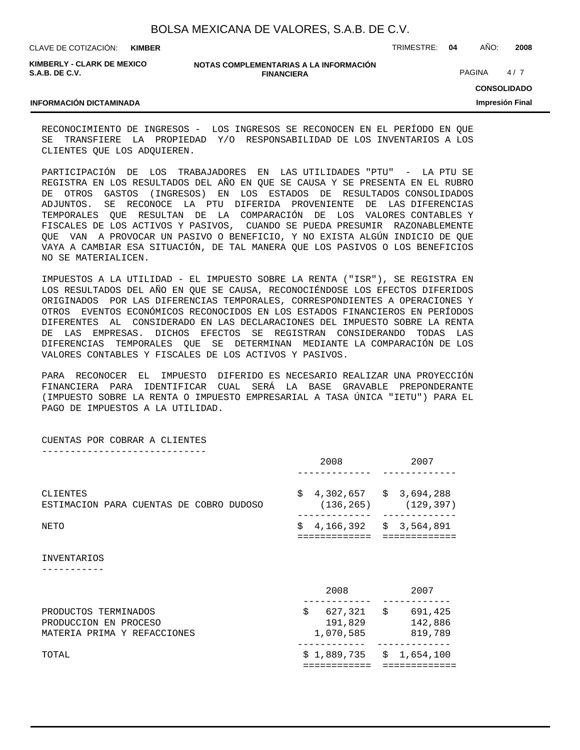| BOLSA MEXICANA DE VALORES, S.A.B. DE C.V. |  |  |  |
|-------------------------------------------|--|--|--|
|-------------------------------------------|--|--|--|

CLAVE DE COTIZACIÓN: TRIMESTRE: **04** AÑO: **2008 KIMBER**

**KIMBERLY - CLARK DE MEXICO S.A.B. DE C.V.**

#### **NOTAS COMPLEMENTARIAS A LA INFORMACIÓN FINANCIERA**

PAGINA 4/7

## **CONSOLIDADO**

**Impresión Final**

#### **INFORMACIÓN DICTAMINADA**

RECONOCIMIENTO DE INGRESOS - LOS INGRESOS SE RECONOCEN EN EL PERÍODO EN QUE SE TRANSFIERE LA PROPIEDAD Y/O RESPONSABILIDAD DE LOS INVENTARIOS A LOS CLIENTES QUE LOS ADQUIEREN.

PARTICIPACIÓN DE LOS TRABAJADORES EN LAS UTILIDADES "PTU" - LA PTU SE REGISTRA EN LOS RESULTADOS DEL AÑO EN QUE SE CAUSA Y SE PRESENTA EN EL RUBRO DE OTROS GASTOS (INGRESOS) EN LOS ESTADOS DE RESULTADOS CONSOLIDADOS ADJUNTOS. SE RECONOCE LA PTU DIFERIDA PROVENIENTE DE LAS DIFERENCIAS TEMPORALES QUE RESULTAN DE LA COMPARACIÓN DE LOS VALORES CONTABLES Y FISCALES DE LOS ACTIVOS Y PASIVOS, CUANDO SE PUEDA PRESUMIR RAZONABLEMENTE QUE VAN A PROVOCAR UN PASIVO O BENEFICIO, Y NO EXISTA ALGÚN INDICIO DE QUE VAYA A CAMBIAR ESA SITUACIÓN, DE TAL MANERA QUE LOS PASIVOS O LOS BENEFICIOS NO SE MATERIALICEN.

IMPUESTOS A LA UTILIDAD - EL IMPUESTO SOBRE LA RENTA ("ISR"), SE REGISTRA EN LOS RESULTADOS DEL AÑO EN QUE SE CAUSA, RECONOCIÉNDOSE LOS EFECTOS DIFERIDOS ORIGINADOS POR LAS DIFERENCIAS TEMPORALES, CORRESPONDIENTES A OPERACIONES Y OTROS EVENTOS ECONÓMICOS RECONOCIDOS EN LOS ESTADOS FINANCIEROS EN PERÍODOS DIFERENTES AL CONSIDERADO EN LAS DECLARACIONES DEL IMPUESTO SOBRE LA RENTA DE LAS EMPRESAS. DICHOS EFECTOS SE REGISTRAN CONSIDERANDO TODAS LAS DIFERENCIAS TEMPORALES QUE SE DETERMINAN MEDIANTE LA COMPARACIÓN DE LOS VALORES CONTABLES Y FISCALES DE LOS ACTIVOS Y PASIVOS.

PARA RECONOCER EL IMPUESTO DIFERIDO ES NECESARIO REALIZAR UNA PROYECCIÓN FINANCIERA PARA IDENTIFICAR CUAL SERÁ LA BASE GRAVABLE PREPONDERANTE (IMPUESTO SOBRE LA RENTA O IMPUESTO EMPRESARIAL A TASA ÚNICA "IETU") PARA EL PAGO DE IMPUESTOS A LA UTILIDAD.

CUENTAS POR COBRAR A CLIENTES -----------------------------

|                                                                              | 2008                       | 2007                                     |
|------------------------------------------------------------------------------|----------------------------|------------------------------------------|
| CLIENTES<br>ESTIMACION PARA CUENTAS DE COBRO DUDOSO                          | S.<br>(136, 265)           | 4,302,657 \$ 3,694,288<br>(129, 397)     |
| NETO                                                                         | Ŝ.<br>===========          | 4,166,392 \$ 3,564,891                   |
| INVENTARIOS                                                                  |                            |                                          |
|                                                                              | 2008                       | 2007                                     |
| PRODUCTOS TERMINADOS<br>PRODUCCION EN PROCESO<br>MATERIA PRIMA Y REFACCIONES | \$<br>191,829<br>1,070,585 | 627,321 \$ 691,425<br>142,886<br>819,789 |
| TOTAL                                                                        |                            | $$1,889,735 \t$1,654,100$                |
|                                                                              |                            |                                          |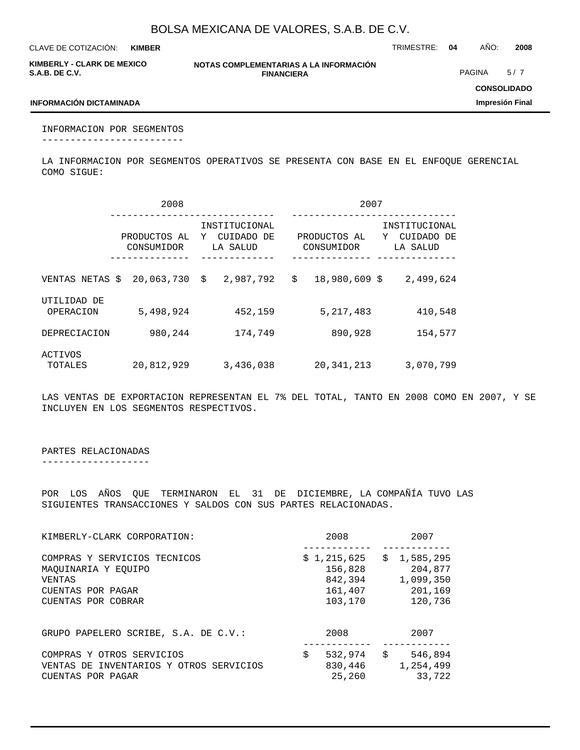**KIMBER**

CLAVE DE COTIZACIÓN: TRIMESTRE: **04** AÑO: **2008**

**KIMBERLY - CLARK DE MEXICO S.A.B. DE C.V.**

**NOTAS COMPLEMENTARIAS A LA INFORMACIÓN FINANCIERA**

PAGINA 5/7

**CONSOLIDADO Impresión Final**

### **INFORMACIÓN DICTAMINADA**

INFORMACION POR SEGMENTOS -------------------------

LA INFORMACION POR SEGMENTOS OPERATIVOS SE PRESENTA CON BASE EN EL ENFOQUE GERENCIAL COMO SIGUE:

|                                 | 2008       | 2007                                    |                                                                            |  |
|---------------------------------|------------|-----------------------------------------|----------------------------------------------------------------------------|--|
| PRODUCTOS AL<br>Y<br>CONSUMIDOR |            | INSTITUCIONAL<br>CUIDADO DE<br>LA SALUD | INSTITUCIONAL<br>PRODUCTOS AL<br>CUIDADO DE<br>Y<br>CONSUMIDOR<br>LA SALUD |  |
| VENTAS NETAS \$                 | 20,063,730 | 2,987,792<br>\$                         | \$<br>18,980,609 \$<br>2,499,624                                           |  |
| UTILIDAD DE<br>OPERACION        | 5,498,924  | 452,159                                 | 5, 217, 483<br>410,548                                                     |  |
| DEPRECIACION                    | 980,244    | 174,749                                 | 890,928<br>154,577                                                         |  |
| ACTIVOS<br>TOTALES              | 20,812,929 | 3,436,038                               | 20, 341, 213<br>3,070,799                                                  |  |

LAS VENTAS DE EXPORTACION REPRESENTAN EL 7% DEL TOTAL, TANTO EN 2008 COMO EN 2007, Y SE INCLUYEN EN LOS SEGMENTOS RESPECTIVOS.

## PARTES RELACIONADAS

-------------------

POR LOS AÑOS QUE TERMINARON EL 31 DE DICIEMBRE, LA COMPAÑÍA TUVO LAS SIGUIENTES TRANSACCIONES Y SALDOS CON SUS PARTES RELACIONADAS.

| KIMBERLY-CLARK CORPORATION:                                                                              | 2008                                                    | 2007 |                                                           |  |
|----------------------------------------------------------------------------------------------------------|---------------------------------------------------------|------|-----------------------------------------------------------|--|
| COMPRAS Y SERVICIOS TECNICOS<br>MAOUINARIA Y EOUIPO<br>VENTAS<br>CUENTAS POR PAGAR<br>CUENTAS POR COBRAR | \$1,215,625<br>156,828<br>842,394<br>161,407<br>103,170 |      | \$1,585,295<br>204,877<br>1,099,350<br>201,169<br>120,736 |  |
| GRUPO PAPELERO SCRIBE, S.A. DE C.V.:                                                                     | 2008                                                    |      | 2007                                                      |  |
| COMPRAS Y OTROS SERVICIOS<br>VENTAS DE INVENTARIOS Y OTROS SERVICIOS<br>CUENTAS POR PAGAR                | \$<br>532,974<br>830,446<br>25,260                      | Ŝ.   | 546,894<br>1,254,499<br>33,722                            |  |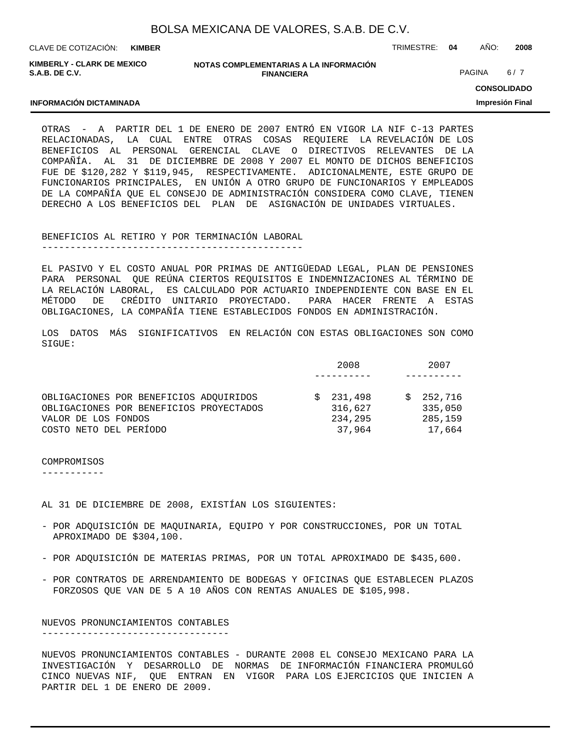| BOLSA MEXICANA DE VALORES, S.A.B. DE C.V. |  |  |  |
|-------------------------------------------|--|--|--|
|                                           |  |  |  |

CLAVE DE COTIZACIÓN: TRIMESTRE: **04** AÑO: **2008**

**KIMBERLY - CLARK DE MEXICO S.A.B. DE C.V.**

**INFORMACIÓN DICTAMINADA**

| NOTAS COMPLEMENTARIAS A LA INFORMACION |  |
|----------------------------------------|--|
| <b>FINANCIERA</b>                      |  |

PAGINA 6/7

**CONSOLIDADO**

**Impresión Final**

OTRAS - A PARTIR DEL 1 DE ENERO DE 2007 ENTRÓ EN VIGOR LA NIF C-13 PARTES RELACIONADAS, LA CUAL ENTRE OTRAS COSAS REQUIERE LA REVELACIÓN DE LOS BENEFICIOS AL PERSONAL GERENCIAL CLAVE O DIRECTIVOS RELEVANTES DE LA COMPAÑÍA. AL 31 DE DICIEMBRE DE 2008 Y 2007 EL MONTO DE DICHOS BENEFICIOS FUE DE \$120,282 Y \$119,945, RESPECTIVAMENTE. ADICIONALMENTE, ESTE GRUPO DE FUNCIONARIOS PRINCIPALES, EN UNIÓN A OTRO GRUPO DE FUNCIONARIOS Y EMPLEADOS DE LA COMPAÑÍA QUE EL CONSEJO DE ADMINISTRACIÓN CONSIDERA COMO CLAVE, TIENEN DERECHO A LOS BENEFICIOS DEL PLAN DE ASIGNACIÓN DE UNIDADES VIRTUALES.

BENEFICIOS AL RETIRO Y POR TERMINACIÓN LABORAL

----------------------------------------------

EL PASIVO Y EL COSTO ANUAL POR PRIMAS DE ANTIGÜEDAD LEGAL, PLAN DE PENSIONES PARA PERSONAL QUE REÚNA CIERTOS REQUISITOS E INDEMNIZACIONES AL TÉRMINO DE LA RELACIÓN LABORAL, ES CALCULADO POR ACTUARIO INDEPENDIENTE CON BASE EN EL MÉTODO DE CRÉDITO UNITARIO PROYECTADO. PARA HACER FRENTE A ESTAS OBLIGACIONES, LA COMPAÑÍA TIENE ESTABLECIDOS FONDOS EN ADMINISTRACIÓN.

LOS DATOS MÁS SIGNIFICATIVOS EN RELACIÓN CON ESTAS OBLIGACIONES SON COMO SIGUE:

|                                         | 2008    | 2007    |
|-----------------------------------------|---------|---------|
|                                         |         |         |
| OBLIGACIONES POR BENEFICIOS ADOUIRIDOS  | 231,498 | 252,716 |
| OBLIGACIONES POR BENEFICIOS PROYECTADOS | 316,627 | 335,050 |
| VALOR DE LOS FONDOS                     | 234,295 | 285,159 |
| COSTO NETO DEL PERÍODO                  | 37,964  | 17,664  |

COMPROMISOS

-----------

AL 31 DE DICIEMBRE DE 2008, EXISTÍAN LOS SIGUIENTES:

- POR ADQUISICIÓN DE MAQUINARIA, EQUIPO Y POR CONSTRUCCIONES, POR UN TOTAL APROXIMADO DE \$304,100.
- POR ADQUISICIÓN DE MATERIAS PRIMAS, POR UN TOTAL APROXIMADO DE \$435,600.
- POR CONTRATOS DE ARRENDAMIENTO DE BODEGAS Y OFICINAS QUE ESTABLECEN PLAZOS FORZOSOS QUE VAN DE 5 A 10 AÑOS CON RENTAS ANUALES DE \$105,998.

NUEVOS PRONUNCIAMIENTOS CONTABLES ---------------------------------

NUEVOS PRONUNCIAMIENTOS CONTABLES - DURANTE 2008 EL CONSEJO MEXICANO PARA LA INVESTIGACIÓN Y DESARROLLO DE NORMAS DE INFORMACIÓN FINANCIERA PROMULGÓ CINCO NUEVAS NIF, QUE ENTRAN EN VIGOR PARA LOS EJERCICIOS QUE INICIEN A PARTIR DEL 1 DE ENERO DE 2009.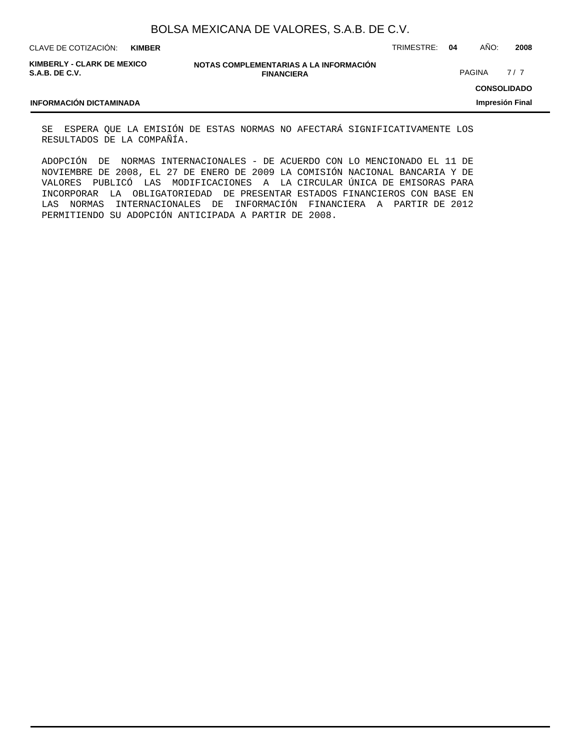| BOLSA MEXICANA DE VALORES, S.A.B. DE C.V. |  |  |  |
|-------------------------------------------|--|--|--|
|-------------------------------------------|--|--|--|

CLAVE DE COTIZACIÓN: TRIMESTRE: **04** AÑO: **2008**

**KIMBERLY - CLARK DE MEXICO S.A.B. DE C.V.**

| NOTAS COMPLEMENTARIAS A LA INFORMACIÓN |
|----------------------------------------|
| <b>FINANCIERA</b>                      |

PAGINA 7/7

**CONSOLIDADO Impresión Final**

#### **INFORMACIÓN DICTAMINADA**

SE ESPERA QUE LA EMISIÓN DE ESTAS NORMAS NO AFECTARÁ SIGNIFICATIVAMENTE LOS RESULTADOS DE LA COMPAÑÍA.

ADOPCIÓN DE NORMAS INTERNACIONALES - DE ACUERDO CON LO MENCIONADO EL 11 DE NOVIEMBRE DE 2008, EL 27 DE ENERO DE 2009 LA COMISIÓN NACIONAL BANCARIA Y DE VALORES PUBLICÓ LAS MODIFICACIONES A LA CIRCULAR ÚNICA DE EMISORAS PARA INCORPORAR LA OBLIGATORIEDAD DE PRESENTAR ESTADOS FINANCIEROS CON BASE EN LAS NORMAS INTERNACIONALES DE INFORMACIÓN FINANCIERA A PARTIR DE 2012 PERMITIENDO SU ADOPCIÓN ANTICIPADA A PARTIR DE 2008.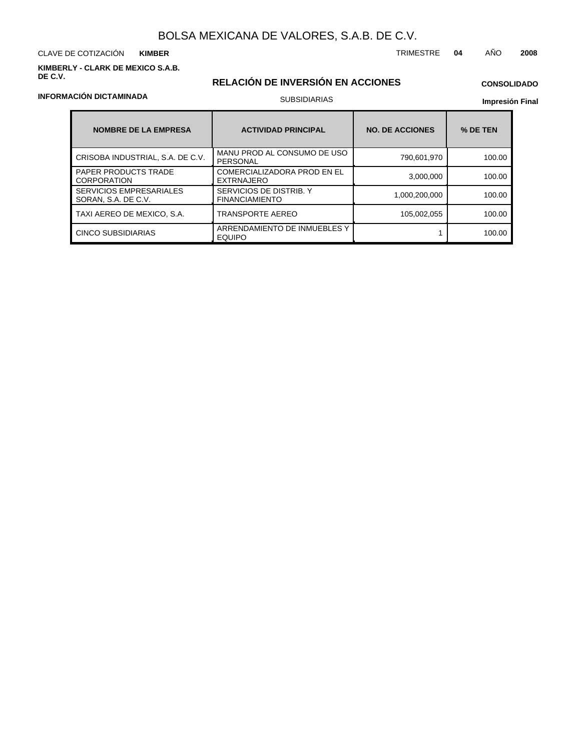#### **KIMBERLY - CLARK DE MEXICO S.A.B. DE C.V.**

## **RELACIÓN DE INVERSIÓN EN ACCIONES**

## **CONSOLIDADO**

**Impresión Final**

| <b>NOMBRE DE LA EMPRESA</b>                           | <b>ACTIVIDAD PRINCIPAL</b>                              | <b>NO. DE ACCIONES</b> | % DE TEN |
|-------------------------------------------------------|---------------------------------------------------------|------------------------|----------|
| CRISOBA INDUSTRIAL, S.A. DE C.V.                      | MANU PROD AL CONSUMO DE USO<br>PERSONAL                 | 790,601,970            | 100.00   |
| <b>PAPER PRODUCTS TRADE</b><br><b>CORPORATION</b>     | <b>COMERCIALIZADORA PROD EN EL</b><br><b>EXTRNAJERO</b> | 3.000.000              | 100.00   |
| <b>SERVICIOS EMPRESARIALES</b><br>SORAN, S.A. DE C.V. | SERVICIOS DE DISTRIB. Y<br><b>FINANCIAMIENTO</b>        | 1,000,200,000          | 100.00   |
| TAXI AEREO DE MEXICO, S.A.                            | <b>TRANSPORTE AEREO</b>                                 | 105,002,055            | 100.00   |
| <b>CINCO SUBSIDIARIAS</b>                             | ARRENDAMIENTO DE INMUEBLES Y<br><b>EQUIPO</b>           |                        | 100.00   |

## **INFORMACIÓN DICTAMINADA**

SUBSIDIARIAS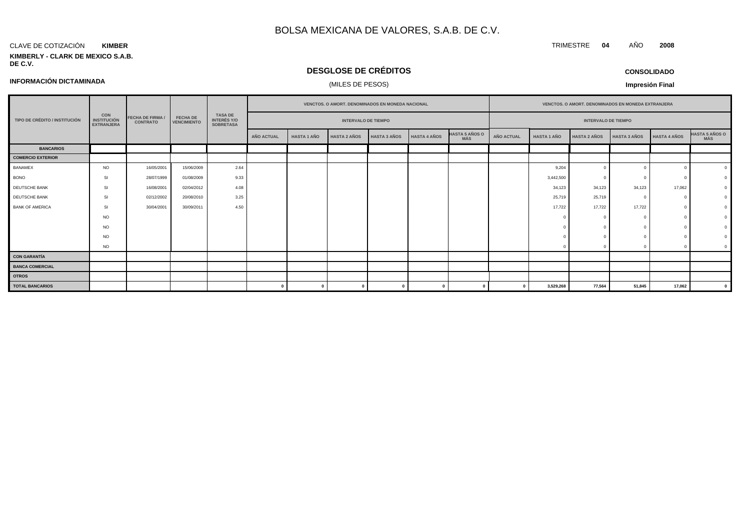#### CLAVE DE COTIZACIÓN **KIMBER**

**INFORMACIÓN DICTAMINADA**

#### **KIMBERLY - CLARK DE MEXICO S.A.B. DE C.V.**

## **DESGLOSE DE CRÉDITOS**

(MILES DE PESOS)

| <b>CONSOLIDADO</b> |  |
|--------------------|--|
|--------------------|--|

**Impresión Final**

|                               |                                                       |                                            | <b>FECHA DE</b><br><b>VENCIMIENTO</b> | VENCTOS. O AMORT. DENOMINADOS EN MONEDA NACIONAL |                   |                    |                     |                     |                     |                              | VENCTOS. O AMORT. DENOMINADOS EN MONEDA EXTRANJERA |                    |                     |                     |                                                          |                              |  |                            |  |  |  |  |                            |  |  |  |
|-------------------------------|-------------------------------------------------------|--------------------------------------------|---------------------------------------|--------------------------------------------------|-------------------|--------------------|---------------------|---------------------|---------------------|------------------------------|----------------------------------------------------|--------------------|---------------------|---------------------|----------------------------------------------------------|------------------------------|--|----------------------------|--|--|--|--|----------------------------|--|--|--|
| TIPO DE CRÉDITO / INSTITUCIÓN | <b>CON</b><br><b>INSTITUCIÓN</b><br><b>EXTRANJERA</b> | <b>FECHA DE FIRMA /</b><br><b>CONTRATO</b> |                                       |                                                  |                   |                    |                     |                     |                     |                              |                                                    |                    |                     |                     | <b>TASA DE</b><br><b>INTERÉS Y/O</b><br><b>SOBRETASA</b> |                              |  | <b>INTERVALO DE TIEMPO</b> |  |  |  |  | <b>INTERVALO DE TIEMPO</b> |  |  |  |
|                               |                                                       |                                            |                                       |                                                  | <b>AÑO ACTUAL</b> | <b>HASTA 1 AÑO</b> | <b>HASTA 2 AÑOS</b> | <b>HASTA 3 AÑOS</b> | <b>HASTA 4 AÑOS</b> | <b>HASTA 5 AÑOS O</b><br>MÁS | <b>AÑO ACTUAL</b>                                  | <b>HASTA 1 AÑO</b> | <b>HASTA 2 AÑOS</b> | <b>HASTA 3 AÑOS</b> | <b>HASTA 4 AÑOS</b>                                      | <b>HASTA 5 AÑOS O</b><br>MÁS |  |                            |  |  |  |  |                            |  |  |  |
| <b>BANCARIOS</b>              |                                                       |                                            |                                       |                                                  |                   |                    |                     |                     |                     |                              |                                                    |                    |                     |                     |                                                          |                              |  |                            |  |  |  |  |                            |  |  |  |
| <b>COMERCIO EXTERIOR</b>      |                                                       |                                            |                                       |                                                  |                   |                    |                     |                     |                     |                              |                                                    |                    |                     |                     |                                                          |                              |  |                            |  |  |  |  |                            |  |  |  |
| <b>BANAMEX</b>                | <b>NO</b>                                             | 16/05/2001                                 | 15/06/2009                            | 2.64                                             |                   |                    |                     |                     |                     |                              |                                                    | 9,204              | $\Omega$            | $\Omega$            |                                                          |                              |  |                            |  |  |  |  |                            |  |  |  |
| <b>BONO</b>                   | <b>SI</b>                                             | 28/07/1999                                 | 01/08/2009                            | 9.33                                             |                   |                    |                     |                     |                     |                              |                                                    | 3,442,500          | $\Omega$            |                     |                                                          |                              |  |                            |  |  |  |  |                            |  |  |  |
| DEUTSCHE BANK                 | <b>SI</b>                                             | 16/08/2001                                 | 02/04/2012                            | 4.08                                             |                   |                    |                     |                     |                     |                              |                                                    | 34,123             | 34,123              | 34,123              | 17,062                                                   |                              |  |                            |  |  |  |  |                            |  |  |  |
| DEUTSCHE BANK                 | SI                                                    | 02/12/2002                                 | 20/08/2010                            | 3.25                                             |                   |                    |                     |                     |                     |                              |                                                    | 25,719             | 25,719              |                     |                                                          |                              |  |                            |  |  |  |  |                            |  |  |  |
| <b>BANK OF AMERICA</b>        | SI                                                    | 30/04/2001                                 | 30/09/2011                            | 4.50                                             |                   |                    |                     |                     |                     |                              |                                                    | 17,722             | 17,722              | 17,722              |                                                          |                              |  |                            |  |  |  |  |                            |  |  |  |
|                               | <b>NO</b>                                             |                                            |                                       |                                                  |                   |                    |                     |                     |                     |                              |                                                    |                    |                     |                     |                                                          |                              |  |                            |  |  |  |  |                            |  |  |  |
|                               | <b>NO</b>                                             |                                            |                                       |                                                  |                   |                    |                     |                     |                     |                              |                                                    |                    |                     |                     |                                                          |                              |  |                            |  |  |  |  |                            |  |  |  |
|                               | <b>NO</b>                                             |                                            |                                       |                                                  |                   |                    |                     |                     |                     |                              |                                                    |                    |                     |                     |                                                          |                              |  |                            |  |  |  |  |                            |  |  |  |
|                               | <b>NO</b>                                             |                                            |                                       |                                                  |                   |                    |                     |                     |                     |                              |                                                    |                    |                     |                     |                                                          |                              |  |                            |  |  |  |  |                            |  |  |  |
| <b>CON GARANTÍA</b>           |                                                       |                                            |                                       |                                                  |                   |                    |                     |                     |                     |                              |                                                    |                    |                     |                     |                                                          |                              |  |                            |  |  |  |  |                            |  |  |  |
| <b>BANCA COMERCIAL</b>        |                                                       |                                            |                                       |                                                  |                   |                    |                     |                     |                     |                              |                                                    |                    |                     |                     |                                                          |                              |  |                            |  |  |  |  |                            |  |  |  |
| <b>OTROS</b>                  |                                                       |                                            |                                       |                                                  |                   |                    |                     |                     |                     |                              |                                                    |                    |                     |                     |                                                          |                              |  |                            |  |  |  |  |                            |  |  |  |
| <b>TOTAL BANCARIOS</b>        |                                                       |                                            |                                       |                                                  |                   |                    |                     |                     |                     |                              |                                                    | 3,529,268          | 77,564              | 51,845              | 17,062                                                   |                              |  |                            |  |  |  |  |                            |  |  |  |

TRIMESTRE **04** AÑO **2008**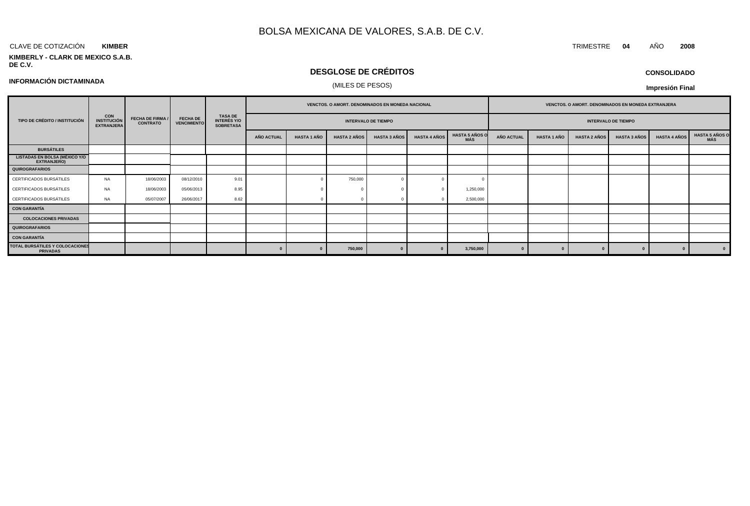#### CLAVE DE COTIZACIÓN TRIMESTRE **04** AÑO **2008 KIMBER**

#### **KIMBERLY - CLARK DE MEXICO S.A.B. DE C.V.**

## **DESGLOSE DE CRÉDITOS**

**CONSOLIDADO**

**Impresión Final**

|                                                                                                    |           |                         |                                       |                                                          | <b>VENCTOS, O AMORT, DENOMINADOS EN MONEDA NACIONAL</b> |                    |                     |                     |                     | <b>VENCTOS, O AMORT, DENOMINADOS EN MONEDA EXTRANJERA</b> |                   |                            |                     |                     |                     |                       |  |
|----------------------------------------------------------------------------------------------------|-----------|-------------------------|---------------------------------------|----------------------------------------------------------|---------------------------------------------------------|--------------------|---------------------|---------------------|---------------------|-----------------------------------------------------------|-------------------|----------------------------|---------------------|---------------------|---------------------|-----------------------|--|
| CON<br>TIPO DE CRÉDITO / INSTITUCIÓN<br><b>INSTITUCIÓN</b><br><b>CONTRATO</b><br><b>EXTRANJERA</b> |           | <b>FECHA DE FIRMA /</b> | <b>FECHA DE</b><br><b>VENCIMIENTO</b> | <b>TASA DE</b><br><b>INTERÉS Y/O</b><br><b>SOBRETASA</b> | <b>INTERVALO DE TIEMPO</b>                              |                    |                     |                     |                     |                                                           |                   | <b>INTERVALO DE TIEMPO</b> |                     |                     |                     |                       |  |
|                                                                                                    |           |                         |                                       |                                                          | AÑO ACTUAL                                              | <b>HASTA 1 AÑO</b> | <b>HASTA 2 AÑOS</b> | <b>HASTA 3 AÑOS</b> | <b>HASTA 4 AÑOS</b> | <b>HASTA 5 AÑOS O</b><br>MÁS                              | <b>AÑO ACTUAL</b> | <b>HASTA 1 AÑO</b>         | <b>HASTA 2 AÑOS</b> | <b>HASTA 3 AÑOS</b> | <b>HASTA 4 AÑOS</b> | HASTA 5 AÑOS O<br>MÁS |  |
| <b>BURSÁTILES</b>                                                                                  |           |                         |                                       |                                                          |                                                         |                    |                     |                     |                     |                                                           |                   |                            |                     |                     |                     |                       |  |
| <b>LISTADAS EN BOLSA (MÉXICO Y/O</b><br><b>EXTRANJERO)</b>                                         |           |                         |                                       |                                                          |                                                         |                    |                     |                     |                     |                                                           |                   |                            |                     |                     |                     |                       |  |
| <b>QUIROGRAFARIOS</b>                                                                              |           |                         |                                       |                                                          |                                                         |                    |                     |                     |                     |                                                           |                   |                            |                     |                     |                     |                       |  |
| CERTIFICADOS BURSÁTILES                                                                            | <b>NA</b> | 18/06/2003              | 08/12/2010                            | 9.01                                                     |                                                         |                    | 750,000             |                     |                     |                                                           |                   |                            |                     |                     |                     |                       |  |
| CERTIFICADOS BURSÁTILES                                                                            | <b>NA</b> | 18/06/2003              | 05/06/2013                            | 8.95                                                     |                                                         |                    |                     |                     |                     | 1,250,000                                                 |                   |                            |                     |                     |                     |                       |  |
| CERTIFICADOS BURSÁTILES                                                                            | <b>NA</b> | 05/07/2007              | 26/06/2017                            | 8.62                                                     |                                                         |                    |                     |                     |                     | 2,500,000                                                 |                   |                            |                     |                     |                     |                       |  |
| <b>CON GARANTÍA</b>                                                                                |           |                         |                                       |                                                          |                                                         |                    |                     |                     |                     |                                                           |                   |                            |                     |                     |                     |                       |  |
| <b>COLOCACIONES PRIVADAS</b>                                                                       |           |                         |                                       |                                                          |                                                         |                    |                     |                     |                     |                                                           |                   |                            |                     |                     |                     |                       |  |
| <b>QUIROGRAFARIOS</b>                                                                              |           |                         |                                       |                                                          |                                                         |                    |                     |                     |                     |                                                           |                   |                            |                     |                     |                     |                       |  |
| <b>CON GARANTÍA</b>                                                                                |           |                         |                                       |                                                          |                                                         |                    |                     |                     |                     |                                                           |                   |                            |                     |                     |                     |                       |  |
| TOTAL BURSÁTILES Y COLOCACIONES<br><b>PRIVADAS</b>                                                 |           |                         |                                       |                                                          |                                                         |                    | 750,000             |                     |                     | 3,750,000                                                 |                   |                            |                     |                     |                     |                       |  |

(MILES DE PESOS) **INFORMACIÓN DICTAMINADA**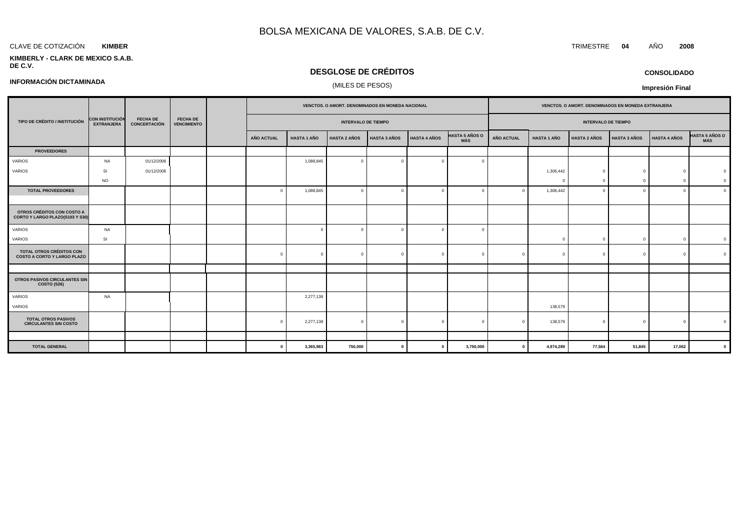#### CLAVE DE COTIZACIÓN TRIMESTRE **04** AÑO **2008 KIMBER**

**INFORMACIÓN DICTAMINADA**

#### **KIMBERLY - CLARK DE MEXICO S.A.B. DE C.V.**

## **DESGLOSE DE CRÉDITOS**

## (MILES DE PESOS)

## **CONSOLIDADO**

**Impresión Final**

|                                                                       |                                             |                                        | <b>FECHA DE</b><br><b>VENCIMIENTO</b> |                   |                            |                     |                     | VENCTOS. O AMORT. DENOMINADOS EN MONEDA NACIONAL |                              |                   |                    |                            | VENCTOS. O AMORT. DENOMINADOS EN MONEDA EXTRANJERA |                |                              |  |
|-----------------------------------------------------------------------|---------------------------------------------|----------------------------------------|---------------------------------------|-------------------|----------------------------|---------------------|---------------------|--------------------------------------------------|------------------------------|-------------------|--------------------|----------------------------|----------------------------------------------------|----------------|------------------------------|--|
| TIPO DE CRÉDITO / INSTITUCIÓN                                         | <b>CON INSTITUCIÓN</b><br><b>EXTRANJERA</b> | <b>FECHA DE</b><br><b>CONCERTACIÓN</b> |                                       |                   | <b>INTERVALO DE TIEMPO</b> |                     |                     |                                                  |                              |                   |                    | <b>INTERVALO DE TIEMPO</b> |                                                    |                |                              |  |
|                                                                       |                                             |                                        |                                       | <b>AÑO ACTUAL</b> | <b>HASTA 1 AÑO</b>         | <b>HASTA 2 AÑOS</b> | <b>HASTA 3 AÑOS</b> | <b>HASTA 4 AÑOS</b>                              | <b>HASTA 5 AÑOS O</b><br>MÁS | <b>AÑO ACTUAL</b> | <b>HASTA 1 AÑO</b> | <b>HASTA 2 AÑOS</b>        | <b>HASTA 3 AÑOS</b>                                | HASTA 4 AÑOS   | <b>HASTA 5 AÑOS O</b><br>MÁS |  |
| <b>PROVEEDORES</b>                                                    |                                             |                                        |                                       |                   |                            |                     |                     |                                                  |                              |                   |                    |                            |                                                    |                |                              |  |
| VARIOS                                                                | <b>NA</b>                                   | 01/12/2008                             |                                       |                   | 1,088,845                  | $\Omega$            |                     | $\bigcap$                                        | $\Omega$                     |                   |                    |                            |                                                    |                |                              |  |
| VARIOS                                                                | -SI                                         | 01/12/2008                             |                                       |                   |                            |                     |                     |                                                  |                              |                   | 1,306,442          | $\Omega$                   |                                                    | <sup>n</sup>   | $\Omega$                     |  |
|                                                                       | <b>NO</b>                                   |                                        |                                       |                   |                            |                     |                     |                                                  |                              |                   | C                  | $\Omega$                   |                                                    | $\Omega$       | $\Omega$                     |  |
| <b>TOTAL PROVEEDORES</b>                                              |                                             |                                        |                                       |                   | 1,088,845                  | $\Omega$            |                     | $\sqrt{ }$                                       |                              | $\Omega$          | 1,306,442          | $\Omega$                   |                                                    | $\Omega$       | $\overline{0}$               |  |
|                                                                       |                                             |                                        |                                       |                   |                            |                     |                     |                                                  |                              |                   |                    |                            |                                                    |                |                              |  |
| OTROS CRÉDITOS CON COSTO A<br>CORTO Y LARGO PLAZO(S103 Y S30)         |                                             |                                        |                                       |                   |                            |                     |                     |                                                  |                              |                   |                    |                            |                                                    |                |                              |  |
| <b>VARIOS</b>                                                         | NA                                          |                                        |                                       |                   | $\mathbf{0}$               | $\Omega$            |                     | $\Omega$                                         | $\Omega$                     |                   |                    |                            |                                                    |                |                              |  |
| VARIOS                                                                | <b>SI</b>                                   |                                        |                                       |                   |                            |                     |                     |                                                  |                              |                   | $\Omega$           | $\mathbf{0}$               | $\Omega$                                           | $\overline{0}$ | $\overline{\mathbf{0}}$      |  |
| <b>TOTAL OTROS CRÉDITOS CON</b><br><b>COSTO A CORTO Y LARGO PLAZO</b> |                                             |                                        |                                       |                   | $\mathbf{0}$               | $\overline{0}$      |                     | $\bigcap$                                        | $\overline{0}$               | $\mathbf{0}$      | $\Omega$           | $\Omega$                   | $\Omega$                                           | $\Omega$       |                              |  |
|                                                                       |                                             |                                        |                                       |                   |                            |                     |                     |                                                  |                              |                   |                    |                            |                                                    |                |                              |  |
| OTROS PASIVOS CIRCULANTES SIN<br>COSTO (S26)                          |                                             |                                        |                                       |                   |                            |                     |                     |                                                  |                              |                   |                    |                            |                                                    |                |                              |  |
| VARIOS                                                                | <b>NA</b>                                   |                                        |                                       |                   | 2,277,138                  |                     |                     |                                                  |                              |                   |                    |                            |                                                    |                |                              |  |
| <b>VARIOS</b>                                                         |                                             |                                        |                                       |                   |                            |                     |                     |                                                  |                              |                   | 138,579            |                            |                                                    |                |                              |  |
| <b>TOTAL OTROS PASIVOS</b><br><b>CIRCULANTES SIN COSTO</b>            |                                             |                                        |                                       |                   | 2,277,138                  | $\overline{0}$      |                     |                                                  | $\Omega$                     |                   | 138,579            | $\Omega$                   | $\Omega$                                           | $\Omega$       |                              |  |
|                                                                       |                                             |                                        |                                       |                   |                            |                     |                     |                                                  |                              |                   |                    |                            |                                                    |                |                              |  |
| <b>TOTAL GENERAL</b>                                                  |                                             |                                        |                                       |                   | 3,365,983                  | 750,000             |                     | $\Omega$                                         | 3,750,000                    | $\mathbf{0}$      | 4,974,289          | 77,564                     | 51,845                                             | 17,062         | $\mathbf{0}$                 |  |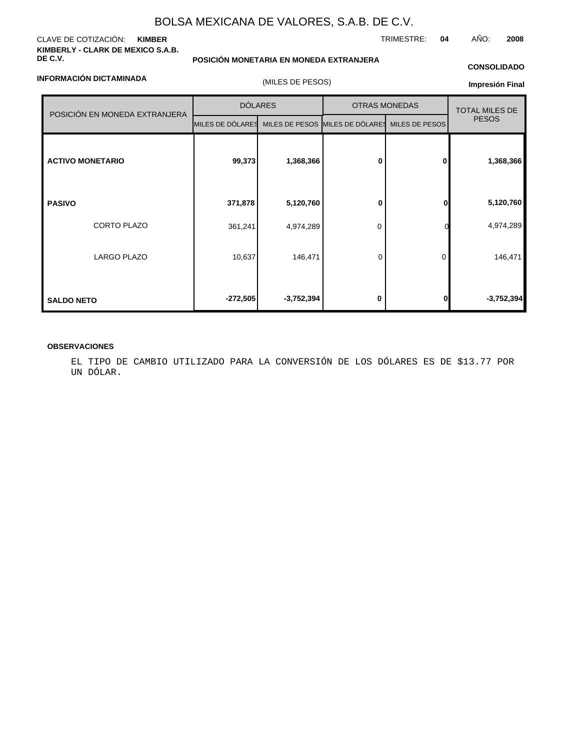#### CLAVE DE COTIZACIÓN: **KIMBER KIMBERLY - CLARK DE MEXICO S.A.B. DE C.V.**

**INFORMACIÓN DICTAMINADA**

## **POSICIÓN MONETARIA EN MONEDA EXTRANJERA**

## **CONSOLIDADO**

TRIMESTRE: **04** AÑO: **2008**

| (MILES DE PESOS) |  |
|------------------|--|
|                  |  |

### **Impresión Final**

|                               | <b>DÓLARES</b>                                   |              | <b>OTRAS MONEDAS</b> | <b>TOTAL MILES DE</b> |              |
|-------------------------------|--------------------------------------------------|--------------|----------------------|-----------------------|--------------|
| POSICIÓN EN MONEDA EXTRANJERA | MILES DE DÓLARES MILES DE PESOS MILES DE DÓLARES |              |                      | MILES DE PESOS        | <b>PESOS</b> |
| <b>ACTIVO MONETARIO</b>       | 99,373                                           | 1,368,366    | 0                    | 0                     | 1,368,366    |
| <b>PASIVO</b>                 | 371,878                                          | 5,120,760    | 0                    | $\bf{0}$              | 5,120,760    |
| CORTO PLAZO                   | 361,241                                          | 4,974,289    | 0                    |                       | 4,974,289    |
| <b>LARGO PLAZO</b>            | 10,637                                           | 146,471      | 0                    | 0                     | 146,471      |
| <b>SALDO NETO</b>             | $-272,505$                                       | $-3,752,394$ | 0                    | $\bf{0}$              | $-3,752,394$ |

### **OBSERVACIONES**

EL TIPO DE CAMBIO UTILIZADO PARA LA CONVERSIÓN DE LOS DÓLARES ES DE \$13.77 POR UN DÓLAR.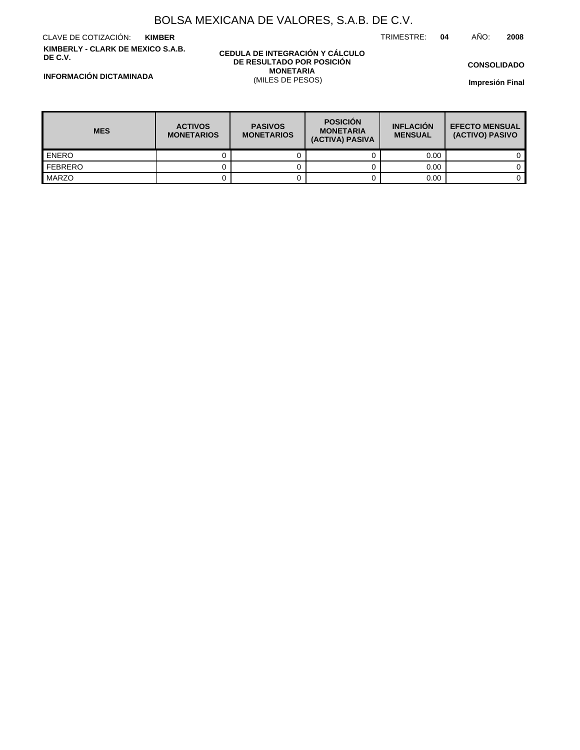TRIMESTRE: **04** AÑO: **2008**

CLAVE DE COTIZACIÓN: **KIMBER KIMBERLY - CLARK DE MEXICO S.A.B. DE C.V.**

#### **CEDULA DE INTEGRACIÓN Y CÁLCULO DE RESULTADO POR POSICIÓN MONETARIA** (MILES DE PESOS)

**CONSOLIDADO**

**Impresión Final**

**INFORMACIÓN DICTAMINADA**

| <b>MES</b>       | <b>ACTIVOS</b><br><b>MONETARIOS</b> | <b>PASIVOS</b><br><b>MONETARIOS</b> | <b>POSICIÓN</b><br><b>MONETARIA</b><br>(ACTIVA) PASIVA | <b>INFLACIÓN</b><br><b>MENSUAL</b> | <b>EFECTO MENSUAL</b><br>(ACTIVO) PASIVO |  |
|------------------|-------------------------------------|-------------------------------------|--------------------------------------------------------|------------------------------------|------------------------------------------|--|
| <b>LENERO</b>    |                                     |                                     |                                                        | 0.00                               |                                          |  |
| <b>I</b> FEBRERO |                                     |                                     |                                                        | 0.00                               |                                          |  |
| MARZO            |                                     |                                     |                                                        | 0.00                               |                                          |  |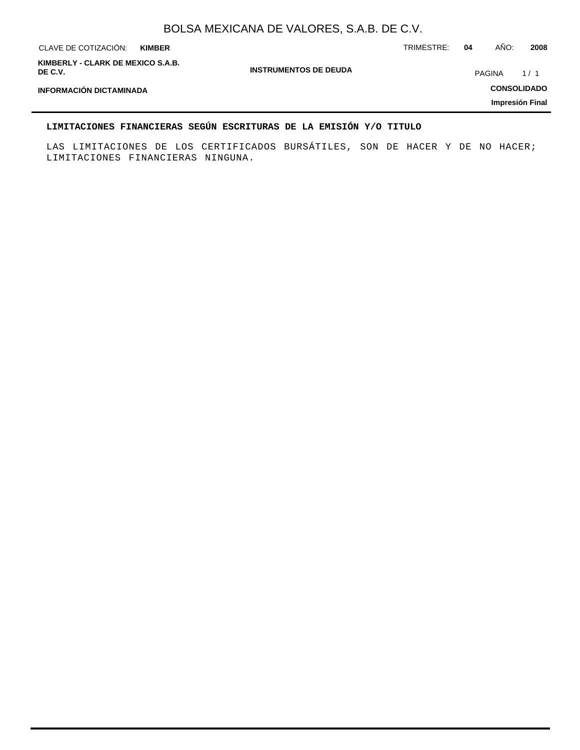| CLAVE DE COTIZACIÓN:                         | <b>KIMBER</b> |                              | TRIMESTRE: | 04 | AÑO:               | 2008            |
|----------------------------------------------|---------------|------------------------------|------------|----|--------------------|-----------------|
| KIMBERLY - CLARK DE MEXICO S.A.B.<br>DE C.V. |               | <b>INSTRUMENTOS DE DEUDA</b> |            |    | <b>PAGINA</b>      | 1/1             |
| <b>INFORMACIÓN DICTAMINADA</b>               |               |                              |            |    | <b>CONSOLIDADO</b> |                 |
|                                              |               |                              |            |    |                    | Impresión Final |
|                                              |               |                              |            |    |                    |                 |

## **LIMITACIONES FINANCIERAS SEGÚN ESCRITURAS DE LA EMISIÓN Y/O TITULO**

LAS LIMITACIONES DE LOS CERTIFICADOS BURSÁTILES, SON DE HACER Y DE NO HACER; LIMITACIONES FINANCIERAS NINGUNA.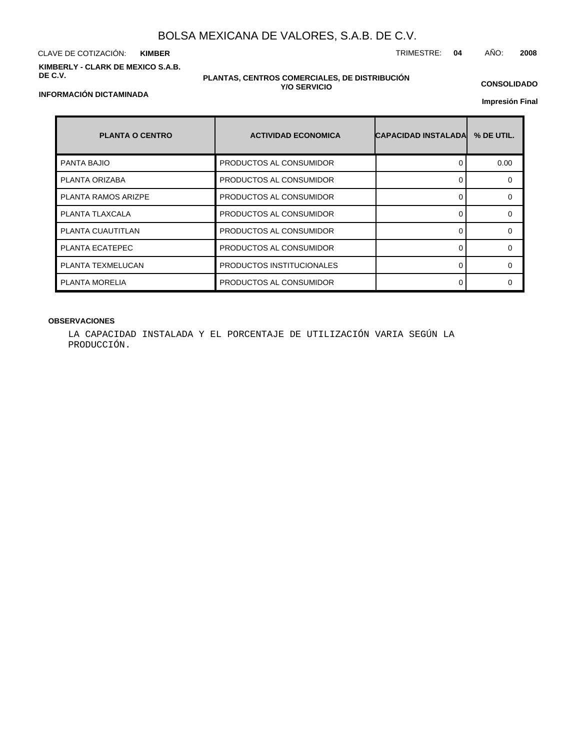CLAVE DE COTIZACIÓN: TRIMESTRE: **04** AÑO: **2008 KIMBER KIMBERLY - CLARK DE MEXICO S.A.B. DE C.V.**

**INFORMACIÓN DICTAMINADA**

#### **PLANTAS, CENTROS COMERCIALES, DE DISTRIBUCIÓN Y/O SERVICIO**

**CONSOLIDADO**

**Impresión Final**

| <b>PLANTA O CENTRO</b>     | <b>ACTIVIDAD ECONOMICA</b> | <b>ICAPACIDAD INSTALADAI</b> | % DE UTIL. |
|----------------------------|----------------------------|------------------------------|------------|
| <b>PANTA BAJIO</b>         | PRODUCTOS AL CONSUMIDOR    | 0                            | 0.00       |
| PLANTA ORIZABA             | PRODUCTOS AL CONSUMIDOR    | ∩                            | ∩          |
| <b>PLANTA RAMOS ARIZPE</b> | PRODUCTOS AL CONSUMIDOR    | $\Omega$                     | $\Omega$   |
| PLANTA TLAXCALA            | PRODUCTOS AL CONSUMIDOR    | 0                            | ∩          |
| PLANTA CUAUTITLAN          | PRODUCTOS AL CONSUMIDOR    | O                            | O          |
| PLANTA ECATEPEC            | PRODUCTOS AL CONSUMIDOR    | 0                            | ∩          |
| PLANTA TEXMELUCAN          | PRODUCTOS INSTITUCIONALES  | 0                            | $\Omega$   |
| PLANTA MORELIA             | PRODUCTOS AL CONSUMIDOR    | $\Omega$                     | ∩          |

## **OBSERVACIONES**

LA CAPACIDAD INSTALADA Y EL PORCENTAJE DE UTILIZACIÓN VARIA SEGÚN LA PRODUCCIÓN.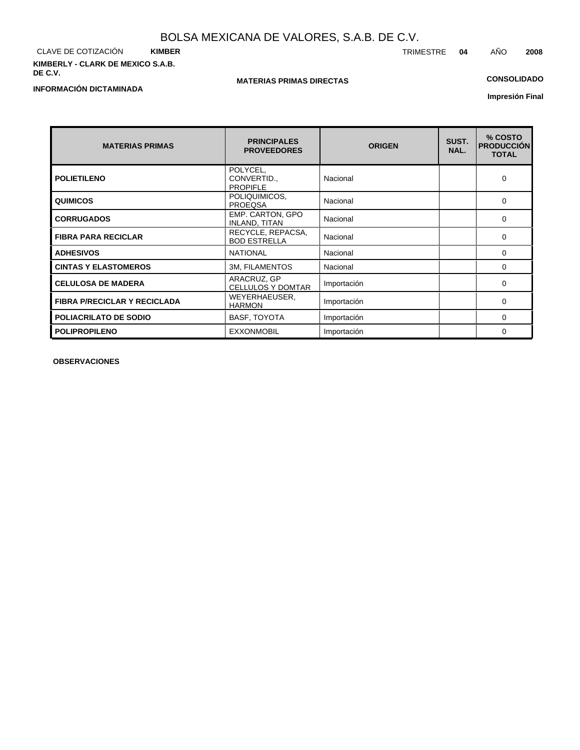CLAVE DE COTIZACIÓN **KIMBER KIMBERLY - CLARK DE MEXICO S.A.B. DE C.V.**

**INFORMACIÓN DICTAMINADA**

## **MATERIAS PRIMAS DIRECTAS**

## **CONSOLIDADO**

**Impresión Final**

| <b>MATERIAS PRIMAS</b>              | <b>PRINCIPALES</b><br><b>PROVEEDORES</b>   | <b>ORIGEN</b> | SUST.<br>NAL. | % COSTO<br><b>PRODUCCIÓN</b><br><b>TOTAL</b> |
|-------------------------------------|--------------------------------------------|---------------|---------------|----------------------------------------------|
| <b>POLIETILENO</b>                  | POLYCEL,<br>CONVERTID.,<br><b>PROPIFLE</b> | Nacional      |               | 0                                            |
| <b>QUIMICOS</b>                     | POLIQUIMICOS,<br><b>PROEQSA</b>            | Nacional      |               | $\Omega$                                     |
| <b>CORRUGADOS</b>                   | EMP. CARTON, GPO<br><b>INLAND, TITAN</b>   | Nacional      |               | 0                                            |
| <b>FIBRA PARA RECICLAR</b>          | RECYCLE, REPACSA,<br><b>BOD ESTRELLA</b>   | Nacional      |               | 0                                            |
| <b>ADHESIVOS</b>                    | <b>NATIONAL</b>                            | Nacional      |               | $\Omega$                                     |
| <b>CINTAS Y ELASTOMEROS</b>         | <b>3M, FILAMENTOS</b>                      | Nacional      |               | 0                                            |
| <b>CELULOSA DE MADERA</b>           | ARACRUZ, GP<br><b>CELLULOS Y DOMTAR</b>    | Importación   |               | $\Omega$                                     |
| <b>FIBRA P/RECICLAR Y RECICLADA</b> | WEYERHAEUSER,<br><b>HARMON</b>             | Importación   |               | 0                                            |
| <b>POLIACRILATO DE SODIO</b>        | <b>BASF, TOYOTA</b>                        | Importación   |               | $\Omega$                                     |
| <b>POLIPROPILENO</b>                | <b>EXXONMOBIL</b>                          | Importación   |               | 0                                            |

**OBSERVACIONES**

TRIMESTRE **04** AÑO **2008**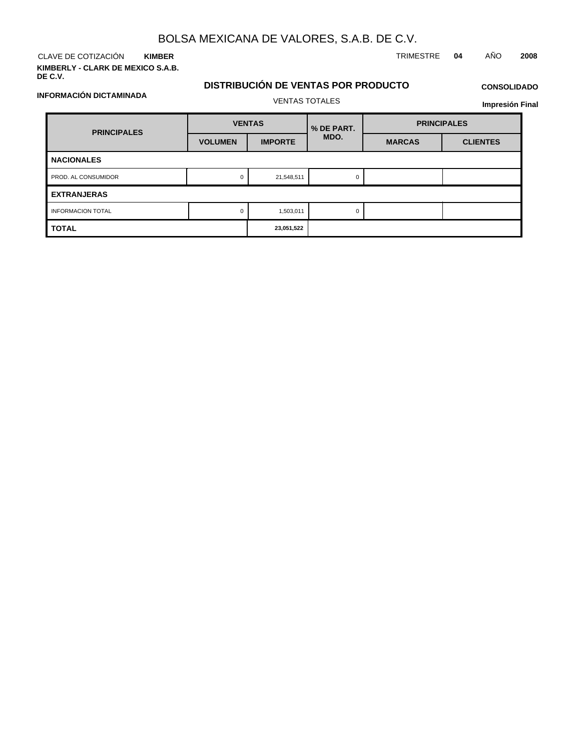CLAVE DE COTIZACIÓN TRIMESTRE **04** AÑO **2008 KIMBER**

**KIMBERLY - CLARK DE MEXICO S.A.B. DE C.V.**

**INFORMACIÓN DICTAMINADA**

## **DISTRIBUCIÓN DE VENTAS POR PRODUCTO**

**Impresión Final**

| <b>PRINCIPALES</b>       | <b>VENTAS</b>  |                | % DE PART. | <b>PRINCIPALES</b> |                 |  |  |  |  |
|--------------------------|----------------|----------------|------------|--------------------|-----------------|--|--|--|--|
|                          | <b>VOLUMEN</b> | <b>IMPORTE</b> | MDO.       | <b>MARCAS</b>      | <b>CLIENTES</b> |  |  |  |  |
| <b>NACIONALES</b>        |                |                |            |                    |                 |  |  |  |  |
| PROD. AL CONSUMIDOR      | 0              | 21,548,511     |            |                    |                 |  |  |  |  |
| <b>EXTRANJERAS</b>       |                |                |            |                    |                 |  |  |  |  |
| <b>INFORMACION TOTAL</b> | $\mathbf 0$    | 1,503,011      | O          |                    |                 |  |  |  |  |
| <b>TOTAL</b>             |                | 23,051,522     |            |                    |                 |  |  |  |  |

# VENTAS TOTALES

**CONSOLIDADO**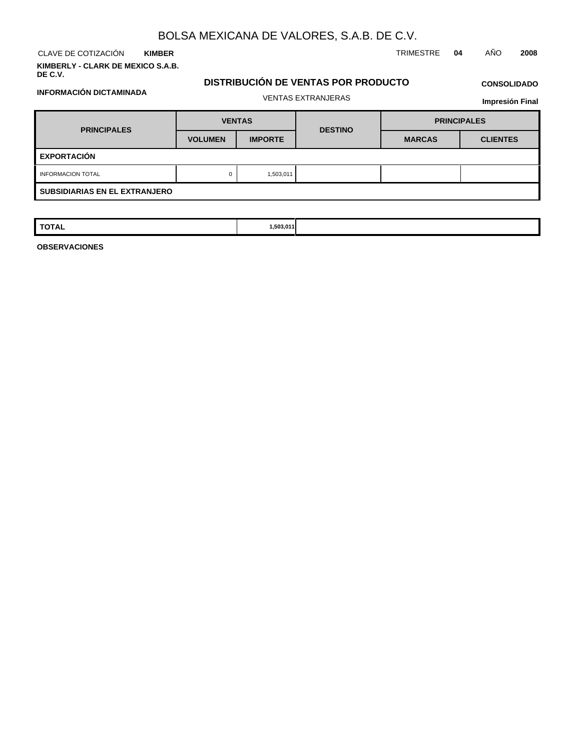**KIMBER**

**KIMBERLY - CLARK DE MEXICO S.A.B. DE C.V.**

CLAVE DE COTIZACIÓN TRIMESTRE **04** AÑO **2008**

## **DISTRIBUCIÓN DE VENTAS POR PRODUCTO**

# **CONSOLIDADO**

| <b>INFORMACIÓN DICTAMINADA</b>       |                |                           |                |                        |                    |  |
|--------------------------------------|----------------|---------------------------|----------------|------------------------|--------------------|--|
|                                      |                | <b>VENTAS EXTRANJERAS</b> |                | <b>Impresión Final</b> |                    |  |
| <b>PRINCIPALES</b>                   |                | <b>VENTAS</b>             |                |                        | <b>PRINCIPALES</b> |  |
|                                      | <b>VOLUMEN</b> | <b>IMPORTE</b>            | <b>DESTINO</b> | <b>MARCAS</b>          | <b>CLIENTES</b>    |  |
| <b>EXPORTACIÓN</b>                   |                |                           |                |                        |                    |  |
| <b>INFORMACION TOTAL</b>             | 0              | 1,503,011                 |                |                        |                    |  |
| <b>SUBSIDIARIAS EN EL EXTRANJERO</b> |                |                           |                |                        |                    |  |

| <b>TOTAL</b> | 1,503,011 |  |  |
|--------------|-----------|--|--|

**OBSERVACIONES**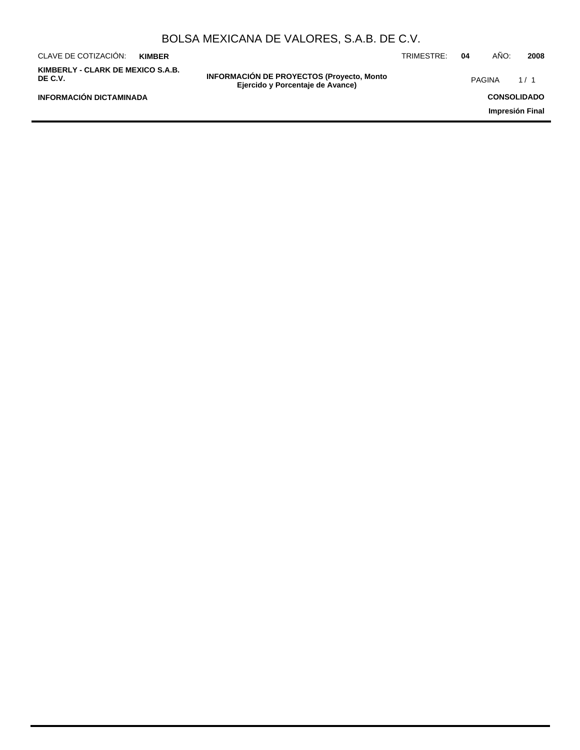|                                              |               | BOLSA MEXICANA DE VALORES, S.A.B. DE C.V.                                            |            |    |               |                    |
|----------------------------------------------|---------------|--------------------------------------------------------------------------------------|------------|----|---------------|--------------------|
| CLAVE DE COTIZACIÓN:                         | <b>KIMBER</b> |                                                                                      | TRIMESTRE: | 04 | AÑO:          | 2008               |
| KIMBERLY - CLARK DE MEXICO S.A.B.<br>DE C.V. |               | <b>INFORMACIÓN DE PROYECTOS (Proyecto, Monto</b><br>Ejercido y Porcentaje de Avance) |            |    | <b>PAGINA</b> | 1/1                |
| <b>INFORMACIÓN DICTAMINADA</b>               |               |                                                                                      |            |    |               | <b>CONSOLIDADO</b> |
|                                              |               |                                                                                      |            |    |               | Impresión Final    |
|                                              |               |                                                                                      |            |    |               |                    |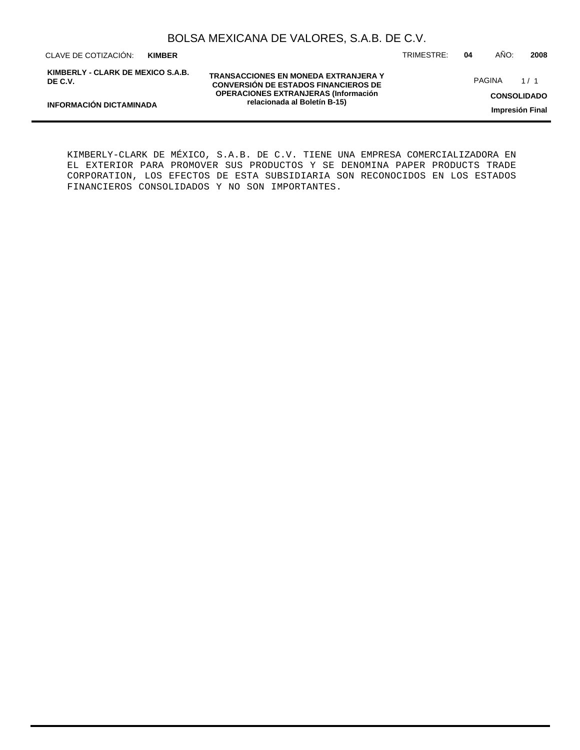CLAVE DE COTIZACIÓN: TRIMESTRE: **04** AÑO: **2008 KIMBER**

**KIMBERLY - CLARK DE MEXICO S.A.B. DE C.V.**

**TRANSACCIONES EN MONEDA EXTRANJERA Y CONVERSIÓN DE ESTADOS FINANCIEROS DE OPERACIONES EXTRANJERAS (Información relacionada al Boletín B-15)**

PAGINA 1/1

**CONSOLIDADO**

**Impresión Final**

KIMBERLY-CLARK DE MÉXICO, S.A.B. DE C.V. TIENE UNA EMPRESA COMERCIALIZADORA EN EL EXTERIOR PARA PROMOVER SUS PRODUCTOS Y SE DENOMINA PAPER PRODUCTS TRADE CORPORATION, LOS EFECTOS DE ESTA SUBSIDIARIA SON RECONOCIDOS EN LOS ESTADOS FINANCIEROS CONSOLIDADOS Y NO SON IMPORTANTES.

**INFORMACIÓN DICTAMINADA**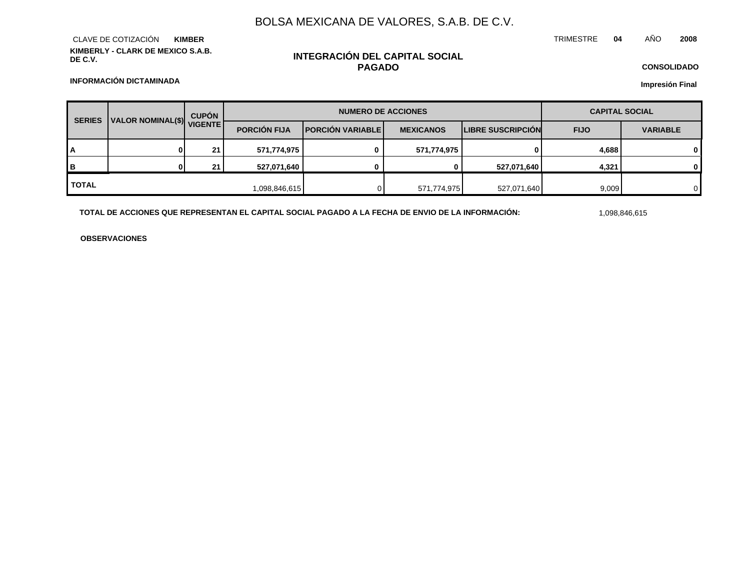**KIMBERLY - CLARK DE MEXICO S.A.B. DE C.V.** CLAVE DE COTIZACIÓN **KIMBER**

## **INTEGRACIÓN DEL CAPITAL SOCIAL PAGADO**

**CONSOLIDADO Impresión Final**

**INFORMACIÓN DICTAMINADA**

| <b>SERIES</b>             |  | <b>CUPÓN</b>        |                         | <b>NUMERO DE ACCIONES</b> | <b>CAPITAL SOCIAL</b>    |             |                 |          |
|---------------------------|--|---------------------|-------------------------|---------------------------|--------------------------|-------------|-----------------|----------|
| VALOR NOMINAL(\$) VIGENTE |  | <b>PORCIÓN FIJA</b> | <b>PORCIÓN VARIABLE</b> | <b>MEXICANOS</b>          | <b>LIBRE SUSCRIPCIÓN</b> | <b>FIJO</b> | <b>VARIABLE</b> |          |
| I٨                        |  | 21                  | 571,774,975             | 0                         | 571,774,975              | 0           | 4,688           | 0        |
| Iв                        |  | 21                  | 527,071,640             |                           |                          | 527,071,640 | 4,321           | $\Omega$ |
| <b>I</b> TOTAL            |  |                     | 1,098,846,615           |                           | 571,774,975              | 527,071,640 | 9,009           | 0        |

**TOTAL DE ACCIONES QUE REPRESENTAN EL CAPITAL SOCIAL PAGADO A LA FECHA DE ENVIO DE LA INFORMACIÓN:** 1,098,846,615

**OBSERVACIONES**

## TRIMESTRE **04** AÑO **2008**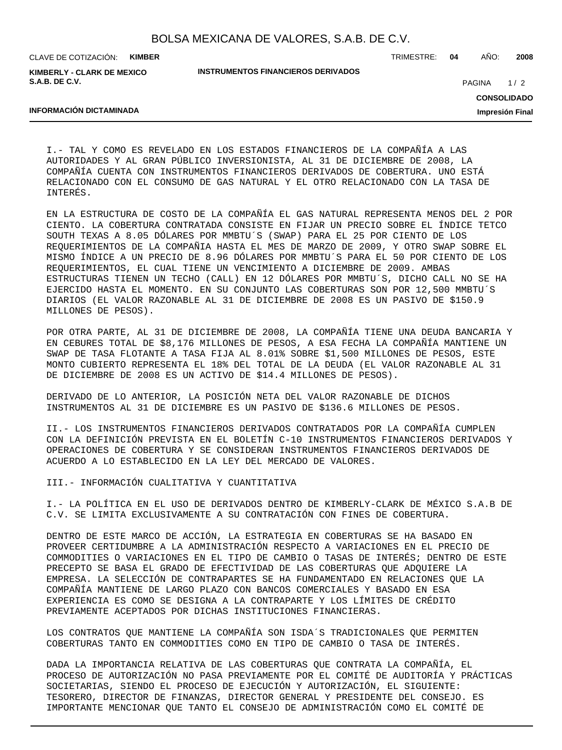| BOLSA MEXICANA DE VALORES, S.A.B. DE C.V. |  |  |  |  |  |
|-------------------------------------------|--|--|--|--|--|
|-------------------------------------------|--|--|--|--|--|

CLAVE DE COTIZACIÓN: **KIMBER**

**KIMBERLY - CLARK DE MEXICO S.A.B. DE C.V.**

**INSTRUMENTOS FINANCIEROS DERIVADOS**

TRIMESTRE: **04** AÑO: **2008**

 $1/2$ PAGINA

**CONSOLIDADO**

**Impresión Final**

## **INFORMACIÓN DICTAMINADA**

I.- TAL Y COMO ES REVELADO EN LOS ESTADOS FINANCIEROS DE LA COMPAÑÍA A LAS AUTORIDADES Y AL GRAN PÚBLICO INVERSIONISTA, AL 31 DE DICIEMBRE DE 2008, LA COMPAÑÍA CUENTA CON INSTRUMENTOS FINANCIEROS DERIVADOS DE COBERTURA. UNO ESTÁ RELACIONADO CON EL CONSUMO DE GAS NATURAL Y EL OTRO RELACIONADO CON LA TASA DE INTERÉS.

EN LA ESTRUCTURA DE COSTO DE LA COMPAÑÍA EL GAS NATURAL REPRESENTA MENOS DEL 2 POR CIENTO. LA COBERTURA CONTRATADA CONSISTE EN FIJAR UN PRECIO SOBRE EL ÍNDICE TETCO SOUTH TEXAS A 8.05 DÓLARES POR MMBTU´S (SWAP) PARA EL 25 POR CIENTO DE LOS REQUERIMIENTOS DE LA COMPAÑIA HASTA EL MES DE MARZO DE 2009, Y OTRO SWAP SOBRE EL MISMO ÍNDICE A UN PRECIO DE 8.96 DÓLARES POR MMBTU´S PARA EL 50 POR CIENTO DE LOS REQUERIMIENTOS, EL CUAL TIENE UN VENCIMIENTO A DICIEMBRE DE 2009. AMBAS ESTRUCTURAS TIENEN UN TECHO (CALL) EN 12 DÓLARES POR MMBTU´S, DICHO CALL NO SE HA EJERCIDO HASTA EL MOMENTO. EN SU CONJUNTO LAS COBERTURAS SON POR 12,500 MMBTU´S DIARIOS (EL VALOR RAZONABLE AL 31 DE DICIEMBRE DE 2008 ES UN PASIVO DE \$150.9 MILLONES DE PESOS).

POR OTRA PARTE, AL 31 DE DICIEMBRE DE 2008, LA COMPAÑÍA TIENE UNA DEUDA BANCARIA Y EN CEBURES TOTAL DE \$8,176 MILLONES DE PESOS, A ESA FECHA LA COMPAÑÍA MANTIENE UN SWAP DE TASA FLOTANTE A TASA FIJA AL 8.01% SOBRE \$1,500 MILLONES DE PESOS, ESTE MONTO CUBIERTO REPRESENTA EL 18% DEL TOTAL DE LA DEUDA (EL VALOR RAZONABLE AL 31 DE DICIEMBRE DE 2008 ES UN ACTIVO DE \$14.4 MILLONES DE PESOS).

DERIVADO DE LO ANTERIOR, LA POSICIÓN NETA DEL VALOR RAZONABLE DE DICHOS INSTRUMENTOS AL 31 DE DICIEMBRE ES UN PASIVO DE \$136.6 MILLONES DE PESOS.

II.- LOS INSTRUMENTOS FINANCIEROS DERIVADOS CONTRATADOS POR LA COMPAÑÍA CUMPLEN CON LA DEFINICIÓN PREVISTA EN EL BOLETÍN C-10 INSTRUMENTOS FINANCIEROS DERIVADOS Y OPERACIONES DE COBERTURA Y SE CONSIDERAN INSTRUMENTOS FINANCIEROS DERIVADOS DE ACUERDO A LO ESTABLECIDO EN LA LEY DEL MERCADO DE VALORES.

III.- INFORMACIÓN CUALITATIVA Y CUANTITATIVA

I.- LA POLÍTICA EN EL USO DE DERIVADOS DENTRO DE KIMBERLY-CLARK DE MÉXICO S.A.B DE C.V. SE LIMITA EXCLUSIVAMENTE A SU CONTRATACIÓN CON FINES DE COBERTURA.

DENTRO DE ESTE MARCO DE ACCIÓN, LA ESTRATEGIA EN COBERTURAS SE HA BASADO EN PROVEER CERTIDUMBRE A LA ADMINISTRACIÓN RESPECTO A VARIACIONES EN EL PRECIO DE COMMODITIES O VARIACIONES EN EL TIPO DE CAMBIO O TASAS DE INTERÉS; DENTRO DE ESTE PRECEPTO SE BASA EL GRADO DE EFECTIVIDAD DE LAS COBERTURAS QUE ADQUIERE LA EMPRESA. LA SELECCIÓN DE CONTRAPARTES SE HA FUNDAMENTADO EN RELACIONES QUE LA COMPAÑÍA MANTIENE DE LARGO PLAZO CON BANCOS COMERCIALES Y BASADO EN ESA EXPERIENCIA ES COMO SE DESIGNA A LA CONTRAPARTE Y LOS LÍMITES DE CRÉDITO PREVIAMENTE ACEPTADOS POR DICHAS INSTITUCIONES FINANCIERAS.

LOS CONTRATOS QUE MANTIENE LA COMPAÑÍA SON ISDA´S TRADICIONALES QUE PERMITEN COBERTURAS TANTO EN COMMODITIES COMO EN TIPO DE CAMBIO O TASA DE INTERÉS.

DADA LA IMPORTANCIA RELATIVA DE LAS COBERTURAS QUE CONTRATA LA COMPAÑÍA, EL PROCESO DE AUTORIZACIÓN NO PASA PREVIAMENTE POR EL COMITÉ DE AUDITORÍA Y PRÁCTICAS SOCIETARIAS, SIENDO EL PROCESO DE EJECUCIÓN Y AUTORIZACIÓN, EL SIGUIENTE: TESORERO, DIRECTOR DE FINANZAS, DIRECTOR GENERAL Y PRESIDENTE DEL CONSEJO. ES IMPORTANTE MENCIONAR QUE TANTO EL CONSEJO DE ADMINISTRACIÓN COMO EL COMITÉ DE